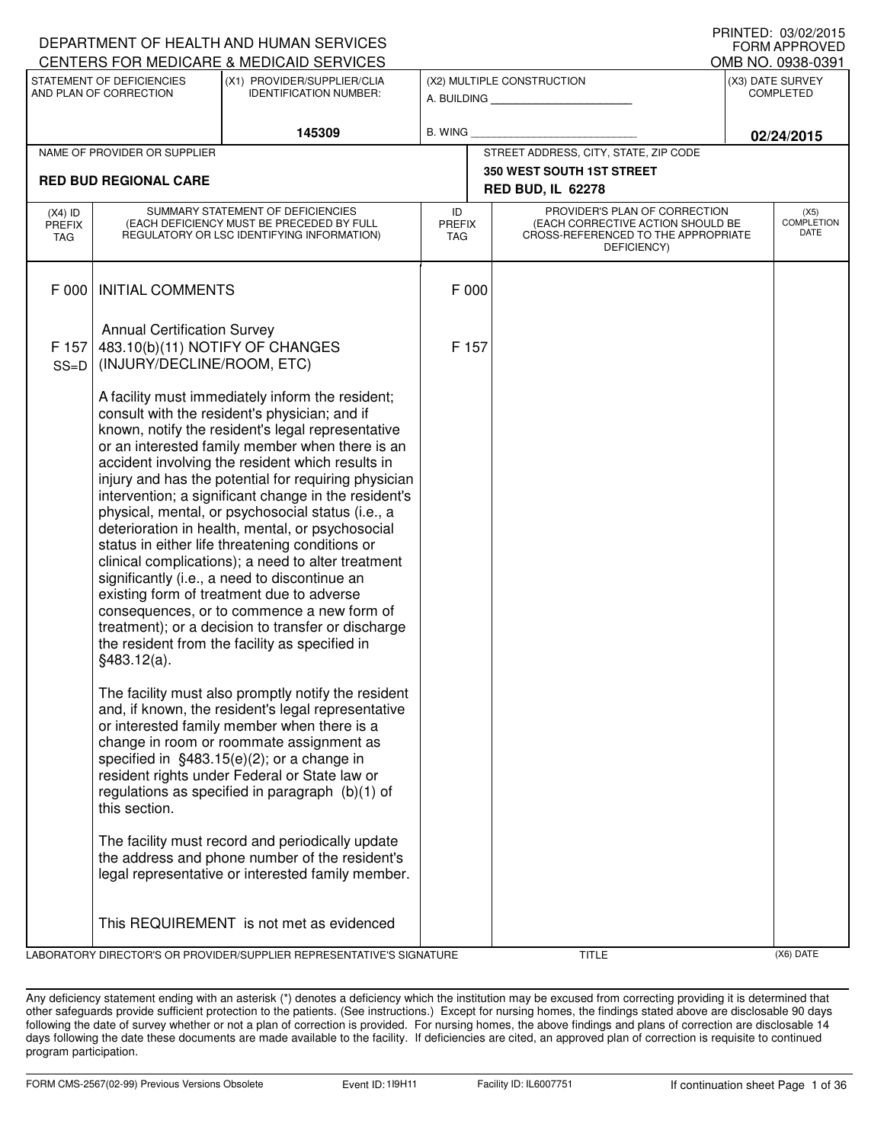|                                   |                                                                                                     | DEPARTMENT OF HEALTH AND HUMAN SERVICES                                                                                                                                                                                                                                                                                                                                                                                                                                                                                                                                                                                                                                                                                                                                                                                                             |                                   |       |                                                                                                                          | U INIVILD. VJ/VZ/ZVIJ<br>FORM APPROVED   |
|-----------------------------------|-----------------------------------------------------------------------------------------------------|-----------------------------------------------------------------------------------------------------------------------------------------------------------------------------------------------------------------------------------------------------------------------------------------------------------------------------------------------------------------------------------------------------------------------------------------------------------------------------------------------------------------------------------------------------------------------------------------------------------------------------------------------------------------------------------------------------------------------------------------------------------------------------------------------------------------------------------------------------|-----------------------------------|-------|--------------------------------------------------------------------------------------------------------------------------|------------------------------------------|
|                                   |                                                                                                     | CENTERS FOR MEDICARE & MEDICAID SERVICES                                                                                                                                                                                                                                                                                                                                                                                                                                                                                                                                                                                                                                                                                                                                                                                                            |                                   |       |                                                                                                                          | OMB NO. 0938-0391                        |
|                                   | STATEMENT OF DEFICIENCIES<br>AND PLAN OF CORRECTION                                                 | (X1) PROVIDER/SUPPLIER/CLIA<br><b>IDENTIFICATION NUMBER:</b>                                                                                                                                                                                                                                                                                                                                                                                                                                                                                                                                                                                                                                                                                                                                                                                        |                                   |       | (X2) MULTIPLE CONSTRUCTION<br>A. BUILDING <b>A.</b> BUILDING                                                             | (X3) DATE SURVEY<br><b>COMPLETED</b>     |
|                                   |                                                                                                     | 145309                                                                                                                                                                                                                                                                                                                                                                                                                                                                                                                                                                                                                                                                                                                                                                                                                                              | <b>B. WING</b>                    |       |                                                                                                                          | 02/24/2015                               |
|                                   | NAME OF PROVIDER OR SUPPLIER                                                                        |                                                                                                                                                                                                                                                                                                                                                                                                                                                                                                                                                                                                                                                                                                                                                                                                                                                     |                                   |       | STREET ADDRESS, CITY, STATE, ZIP CODE                                                                                    |                                          |
|                                   | <b>RED BUD REGIONAL CARE</b>                                                                        |                                                                                                                                                                                                                                                                                                                                                                                                                                                                                                                                                                                                                                                                                                                                                                                                                                                     |                                   |       | 350 WEST SOUTH 1ST STREET<br><b>RED BUD, IL 62278</b>                                                                    |                                          |
| $(X4)$ ID<br><b>PREFIX</b><br>TAG |                                                                                                     | SUMMARY STATEMENT OF DEFICIENCIES<br>(EACH DEFICIENCY MUST BE PRECEDED BY FULL<br>REGULATORY OR LSC IDENTIFYING INFORMATION)                                                                                                                                                                                                                                                                                                                                                                                                                                                                                                                                                                                                                                                                                                                        | ID<br><b>PREFIX</b><br><b>TAG</b> |       | PROVIDER'S PLAN OF CORRECTION<br>(EACH CORRECTIVE ACTION SHOULD BE<br>CROSS-REFERENCED TO THE APPROPRIATE<br>DEFICIENCY) | (X5)<br><b>COMPLETION</b><br><b>DATE</b> |
| F 000                             | <b>INITIAL COMMENTS</b>                                                                             |                                                                                                                                                                                                                                                                                                                                                                                                                                                                                                                                                                                                                                                                                                                                                                                                                                                     |                                   | F 000 |                                                                                                                          |                                          |
| F 157<br>$SS=D$                   | <b>Annual Certification Survey</b><br>483.10(b)(11) NOTIFY OF CHANGES<br>(INJURY/DECLINE/ROOM, ETC) |                                                                                                                                                                                                                                                                                                                                                                                                                                                                                                                                                                                                                                                                                                                                                                                                                                                     | F 157                             |       |                                                                                                                          |                                          |
|                                   | §483.12(a).                                                                                         | A facility must immediately inform the resident;<br>consult with the resident's physician; and if<br>known, notify the resident's legal representative<br>or an interested family member when there is an<br>accident involving the resident which results in<br>injury and has the potential for requiring physician<br>intervention; a significant change in the resident's<br>physical, mental, or psychosocial status (i.e., a<br>deterioration in health, mental, or psychosocial<br>status in either life threatening conditions or<br>clinical complications); a need to alter treatment<br>significantly (i.e., a need to discontinue an<br>existing form of treatment due to adverse<br>consequences, or to commence a new form of<br>treatment); or a decision to transfer or discharge<br>the resident from the facility as specified in |                                   |       |                                                                                                                          |                                          |
|                                   | this section.                                                                                       | The facility must also promptly notify the resident<br>and, if known, the resident's legal representative<br>or interested family member when there is a<br>change in room or roommate assignment as<br>specified in $§483.15(e)(2)$ ; or a change in<br>resident rights under Federal or State law or<br>regulations as specified in paragraph $(b)(1)$ of                                                                                                                                                                                                                                                                                                                                                                                                                                                                                         |                                   |       |                                                                                                                          |                                          |
|                                   |                                                                                                     | The facility must record and periodically update<br>the address and phone number of the resident's<br>legal representative or interested family member.                                                                                                                                                                                                                                                                                                                                                                                                                                                                                                                                                                                                                                                                                             |                                   |       |                                                                                                                          |                                          |
|                                   |                                                                                                     | This REQUIREMENT is not met as evidenced                                                                                                                                                                                                                                                                                                                                                                                                                                                                                                                                                                                                                                                                                                                                                                                                            |                                   |       |                                                                                                                          |                                          |
|                                   |                                                                                                     | LABORATORY DIRECTOR'S OR PROVIDER/SUPPLIER REPRESENTATIVE'S SIGNATURE                                                                                                                                                                                                                                                                                                                                                                                                                                                                                                                                                                                                                                                                                                                                                                               |                                   |       | TITLE                                                                                                                    | (X6) DATE                                |

Any deficiency statement ending with an asterisk (\*) denotes a deficiency which the institution may be excused from correcting providing it is determined that other safeguards provide sufficient protection to the patients. (See instructions.) Except for nursing homes, the findings stated above are disclosable 90 days following the date of survey whether or not a plan of correction is provided. For nursing homes, the above findings and plans of correction are disclosable 14 days following the date these documents are made available to the facility. If deficiencies are cited, an approved plan of correction is requisite to continued program participation.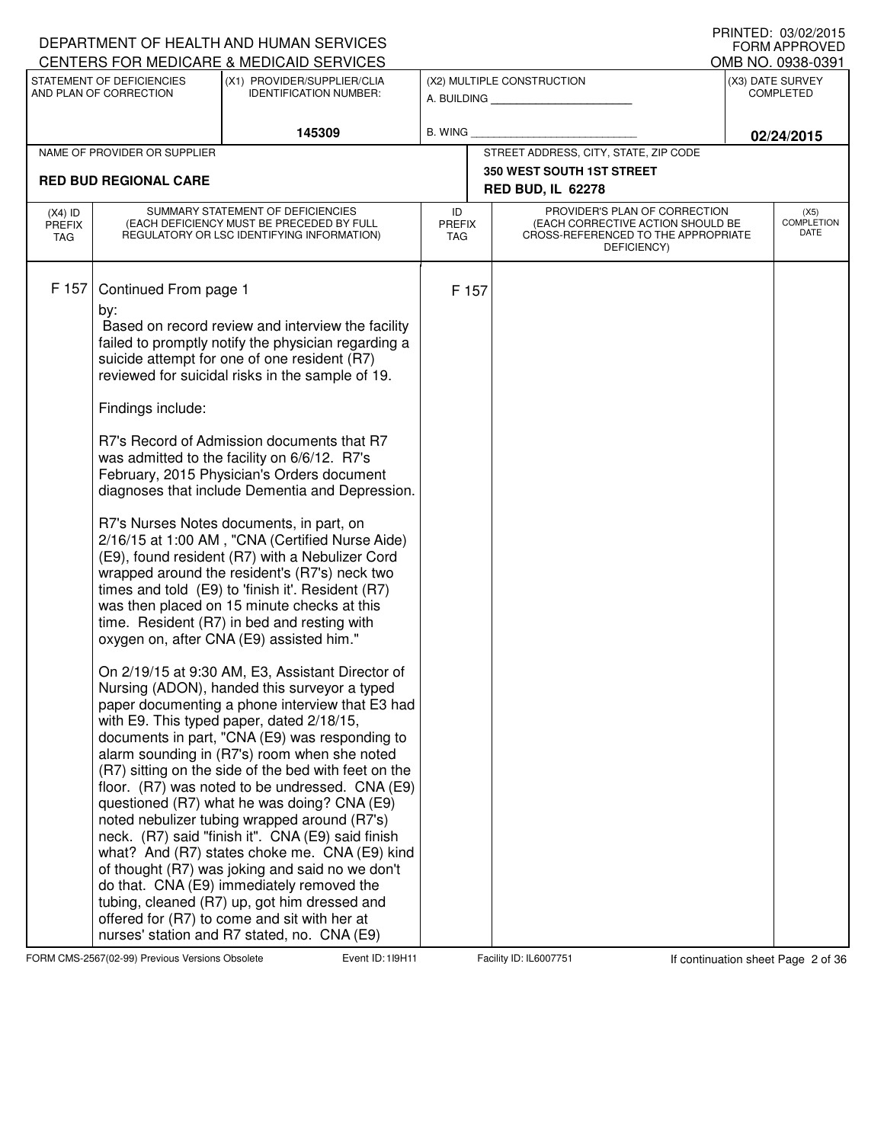|                      |                                                   | DEPARTMENT OF HEALTH AND HUMAN SERVICES<br>CENTERS FOR MEDICARE & MEDICAID SERVICES                                                                                                                                                                                                                                                                                                                                                                                                                                                                                                                                                                                                                                                                                                                                                                                                                                                                                                                                                                                                                                                                                                                                                                                                                                                                                                                                                                                                                                                                                                 |                      |       |                                                                                         | FORM APPROVED                         |
|----------------------|---------------------------------------------------|-------------------------------------------------------------------------------------------------------------------------------------------------------------------------------------------------------------------------------------------------------------------------------------------------------------------------------------------------------------------------------------------------------------------------------------------------------------------------------------------------------------------------------------------------------------------------------------------------------------------------------------------------------------------------------------------------------------------------------------------------------------------------------------------------------------------------------------------------------------------------------------------------------------------------------------------------------------------------------------------------------------------------------------------------------------------------------------------------------------------------------------------------------------------------------------------------------------------------------------------------------------------------------------------------------------------------------------------------------------------------------------------------------------------------------------------------------------------------------------------------------------------------------------------------------------------------------------|----------------------|-------|-----------------------------------------------------------------------------------------|---------------------------------------|
|                      | STATEMENT OF DEFICIENCIES                         | (X1) PROVIDER/SUPPLIER/CLIA                                                                                                                                                                                                                                                                                                                                                                                                                                                                                                                                                                                                                                                                                                                                                                                                                                                                                                                                                                                                                                                                                                                                                                                                                                                                                                                                                                                                                                                                                                                                                         |                      |       |                                                                                         | OMB NO. 0938-0391<br>(X3) DATE SURVEY |
|                      | AND PLAN OF CORRECTION                            | <b>IDENTIFICATION NUMBER:</b>                                                                                                                                                                                                                                                                                                                                                                                                                                                                                                                                                                                                                                                                                                                                                                                                                                                                                                                                                                                                                                                                                                                                                                                                                                                                                                                                                                                                                                                                                                                                                       |                      |       | (X2) MULTIPLE CONSTRUCTION<br>A. BUILDING <b>A. BUILDING</b>                            | <b>COMPLETED</b>                      |
|                      |                                                   | 145309                                                                                                                                                                                                                                                                                                                                                                                                                                                                                                                                                                                                                                                                                                                                                                                                                                                                                                                                                                                                                                                                                                                                                                                                                                                                                                                                                                                                                                                                                                                                                                              | <b>B. WING</b>       |       |                                                                                         | 02/24/2015                            |
|                      | NAME OF PROVIDER OR SUPPLIER                      |                                                                                                                                                                                                                                                                                                                                                                                                                                                                                                                                                                                                                                                                                                                                                                                                                                                                                                                                                                                                                                                                                                                                                                                                                                                                                                                                                                                                                                                                                                                                                                                     |                      |       | STREET ADDRESS, CITY, STATE, ZIP CODE                                                   |                                       |
|                      | <b>RED BUD REGIONAL CARE</b>                      |                                                                                                                                                                                                                                                                                                                                                                                                                                                                                                                                                                                                                                                                                                                                                                                                                                                                                                                                                                                                                                                                                                                                                                                                                                                                                                                                                                                                                                                                                                                                                                                     |                      |       | 350 WEST SOUTH 1ST STREET<br><b>RED BUD, IL 62278</b>                                   |                                       |
| $(X4)$ ID            |                                                   | SUMMARY STATEMENT OF DEFICIENCIES                                                                                                                                                                                                                                                                                                                                                                                                                                                                                                                                                                                                                                                                                                                                                                                                                                                                                                                                                                                                                                                                                                                                                                                                                                                                                                                                                                                                                                                                                                                                                   | ID                   |       | PROVIDER'S PLAN OF CORRECTION                                                           | (X5)                                  |
| <b>PREFIX</b><br>TAG |                                                   | (EACH DEFICIENCY MUST BE PRECEDED BY FULL<br>REGULATORY OR LSC IDENTIFYING INFORMATION)                                                                                                                                                                                                                                                                                                                                                                                                                                                                                                                                                                                                                                                                                                                                                                                                                                                                                                                                                                                                                                                                                                                                                                                                                                                                                                                                                                                                                                                                                             | PREFIX<br><b>TAG</b> |       | (EACH CORRECTIVE ACTION SHOULD BE<br>CROSS-REFERENCED TO THE APPROPRIATE<br>DEFICIENCY) | <b>COMPLETION</b><br>DATE             |
| F 157                | Continued From page 1<br>by:<br>Findings include: | Based on record review and interview the facility<br>failed to promptly notify the physician regarding a<br>suicide attempt for one of one resident (R7)<br>reviewed for suicidal risks in the sample of 19.<br>R7's Record of Admission documents that R7<br>was admitted to the facility on 6/6/12. R7's<br>February, 2015 Physician's Orders document<br>diagnoses that include Dementia and Depression.<br>R7's Nurses Notes documents, in part, on<br>2/16/15 at 1:00 AM, "CNA (Certified Nurse Aide)<br>(E9), found resident (R7) with a Nebulizer Cord<br>wrapped around the resident's (R7's) neck two<br>times and told (E9) to 'finish it'. Resident (R7)<br>was then placed on 15 minute checks at this<br>time. Resident (R7) in bed and resting with<br>oxygen on, after CNA (E9) assisted him."<br>On 2/19/15 at 9:30 AM, E3, Assistant Director of<br>Nursing (ADON), handed this surveyor a typed<br>paper documenting a phone interview that E3 had<br>with E9. This typed paper, dated 2/18/15,<br>documents in part, "CNA (E9) was responding to<br>alarm sounding in (R7's) room when she noted<br>(R7) sitting on the side of the bed with feet on the<br>floor. (R7) was noted to be undressed. CNA (E9)<br>questioned (R7) what he was doing? CNA (E9)<br>noted nebulizer tubing wrapped around (R7's)<br>neck. (R7) said "finish it". CNA (E9) said finish<br>what? And (R7) states choke me. CNA (E9) kind<br>of thought (R7) was joking and said no we don't<br>do that. CNA (E9) immediately removed the<br>tubing, cleaned (R7) up, got him dressed and |                      | F 157 |                                                                                         |                                       |
|                      |                                                   | offered for (R7) to come and sit with her at<br>nurses' station and R7 stated, no. CNA (E9)                                                                                                                                                                                                                                                                                                                                                                                                                                                                                                                                                                                                                                                                                                                                                                                                                                                                                                                                                                                                                                                                                                                                                                                                                                                                                                                                                                                                                                                                                         |                      |       |                                                                                         |                                       |

FORM CMS-2567(02-99) Previous Versions Obsolete **119H Event ID: 119H11** Facility ID: IL6007751 If continuation sheet Page 2 of 36

DEPARTMENT OF HEALTH AND HUMAN SERVICES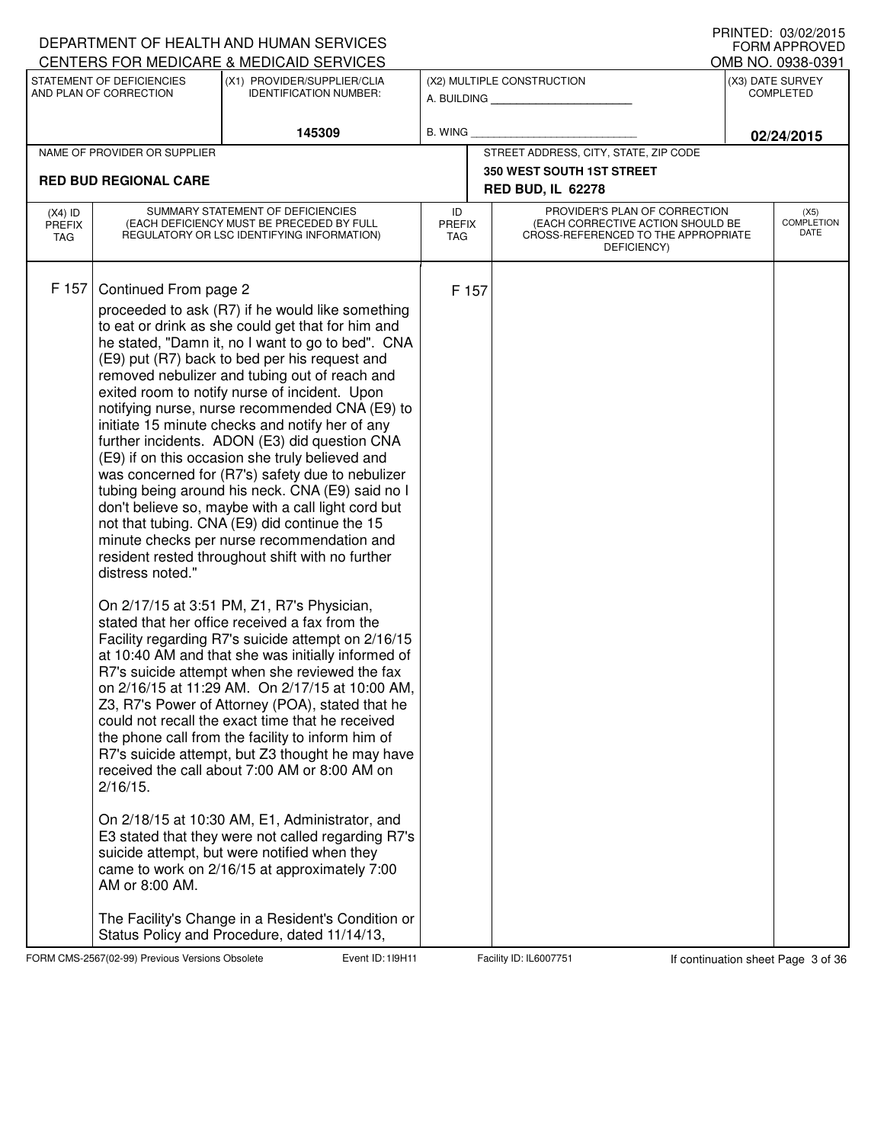|                                          |                                                                            | DEPARTMENT OF HEALTH AND HUMAN SERVICES<br>CENTERS FOR MEDICARE & MEDICAID SERVICES                                                                                                                                                                                                                                                                                                                                                                                                                                                                                                                                                                                                                                                                                                                                                                                                                                                                                                                                                                                                                                                                                                                                                                                                                                                                                                                                                                                                                                                                                                                                                                                                                                                       |                                   |       |                                                                                                                          |  | I INNILLI. VJ/VZ/ZVIJ<br><b>FORM APPROVED</b><br>OMB NO. 0938-0391 |  |
|------------------------------------------|----------------------------------------------------------------------------|-------------------------------------------------------------------------------------------------------------------------------------------------------------------------------------------------------------------------------------------------------------------------------------------------------------------------------------------------------------------------------------------------------------------------------------------------------------------------------------------------------------------------------------------------------------------------------------------------------------------------------------------------------------------------------------------------------------------------------------------------------------------------------------------------------------------------------------------------------------------------------------------------------------------------------------------------------------------------------------------------------------------------------------------------------------------------------------------------------------------------------------------------------------------------------------------------------------------------------------------------------------------------------------------------------------------------------------------------------------------------------------------------------------------------------------------------------------------------------------------------------------------------------------------------------------------------------------------------------------------------------------------------------------------------------------------------------------------------------------------|-----------------------------------|-------|--------------------------------------------------------------------------------------------------------------------------|--|--------------------------------------------------------------------|--|
|                                          | STATEMENT OF DEFICIENCIES<br>AND PLAN OF CORRECTION                        | (X1) PROVIDER/SUPPLIER/CLIA<br><b>IDENTIFICATION NUMBER:</b>                                                                                                                                                                                                                                                                                                                                                                                                                                                                                                                                                                                                                                                                                                                                                                                                                                                                                                                                                                                                                                                                                                                                                                                                                                                                                                                                                                                                                                                                                                                                                                                                                                                                              |                                   |       | (X2) MULTIPLE CONSTRUCTION<br>A. BUILDING                                                                                |  | (X3) DATE SURVEY<br><b>COMPLETED</b>                               |  |
|                                          |                                                                            | 145309                                                                                                                                                                                                                                                                                                                                                                                                                                                                                                                                                                                                                                                                                                                                                                                                                                                                                                                                                                                                                                                                                                                                                                                                                                                                                                                                                                                                                                                                                                                                                                                                                                                                                                                                    | <b>B. WING</b>                    |       |                                                                                                                          |  | 02/24/2015                                                         |  |
|                                          | NAME OF PROVIDER OR SUPPLIER                                               |                                                                                                                                                                                                                                                                                                                                                                                                                                                                                                                                                                                                                                                                                                                                                                                                                                                                                                                                                                                                                                                                                                                                                                                                                                                                                                                                                                                                                                                                                                                                                                                                                                                                                                                                           |                                   |       | STREET ADDRESS, CITY, STATE, ZIP CODE                                                                                    |  |                                                                    |  |
|                                          | <b>RED BUD REGIONAL CARE</b>                                               |                                                                                                                                                                                                                                                                                                                                                                                                                                                                                                                                                                                                                                                                                                                                                                                                                                                                                                                                                                                                                                                                                                                                                                                                                                                                                                                                                                                                                                                                                                                                                                                                                                                                                                                                           |                                   |       | <b>350 WEST SOUTH 1ST STREET</b><br><b>RED BUD, IL 62278</b>                                                             |  |                                                                    |  |
| $(X4)$ ID<br><b>PREFIX</b><br><b>TAG</b> |                                                                            | SUMMARY STATEMENT OF DEFICIENCIES<br>(EACH DEFICIENCY MUST BE PRECEDED BY FULL<br>REGULATORY OR LSC IDENTIFYING INFORMATION)                                                                                                                                                                                                                                                                                                                                                                                                                                                                                                                                                                                                                                                                                                                                                                                                                                                                                                                                                                                                                                                                                                                                                                                                                                                                                                                                                                                                                                                                                                                                                                                                              | ID<br><b>PREFIX</b><br><b>TAG</b> |       | PROVIDER'S PLAN OF CORRECTION<br>(EACH CORRECTIVE ACTION SHOULD BE<br>CROSS-REFERENCED TO THE APPROPRIATE<br>DEFICIENCY) |  | (X5)<br><b>COMPLETION</b><br>DATE                                  |  |
| F 157                                    | Continued From page 2<br>distress noted."<br>$2/16/15$ .<br>AM or 8:00 AM. | proceeded to ask (R7) if he would like something<br>to eat or drink as she could get that for him and<br>he stated, "Damn it, no I want to go to bed". CNA<br>(E9) put (R7) back to bed per his request and<br>removed nebulizer and tubing out of reach and<br>exited room to notify nurse of incident. Upon<br>notifying nurse, nurse recommended CNA (E9) to<br>initiate 15 minute checks and notify her of any<br>further incidents. ADON (E3) did question CNA<br>(E9) if on this occasion she truly believed and<br>was concerned for (R7's) safety due to nebulizer<br>tubing being around his neck. CNA (E9) said no I<br>don't believe so, maybe with a call light cord but<br>not that tubing. CNA (E9) did continue the 15<br>minute checks per nurse recommendation and<br>resident rested throughout shift with no further<br>On 2/17/15 at 3:51 PM, Z1, R7's Physician,<br>stated that her office received a fax from the<br>Facility regarding R7's suicide attempt on 2/16/15<br>at 10:40 AM and that she was initially informed of<br>R7's suicide attempt when she reviewed the fax<br>on 2/16/15 at 11:29 AM. On 2/17/15 at 10:00 AM,<br>Z3, R7's Power of Attorney (POA), stated that he<br>could not recall the exact time that he received<br>the phone call from the facility to inform him of<br>R7's suicide attempt, but Z3 thought he may have<br>received the call about 7:00 AM or 8:00 AM on<br>On 2/18/15 at 10:30 AM, E1, Administrator, and<br>E3 stated that they were not called regarding R7's<br>suicide attempt, but were notified when they<br>came to work on 2/16/15 at approximately 7:00<br>The Facility's Change in a Resident's Condition or<br>Status Policy and Procedure, dated 11/14/13, |                                   | F 157 |                                                                                                                          |  |                                                                    |  |

FORM CMS-2567(02-99) Previous Versions Obsolete **119H Event ID: 119H11** Facility ID: IL6007751 If continuation sheet Page 3 of 36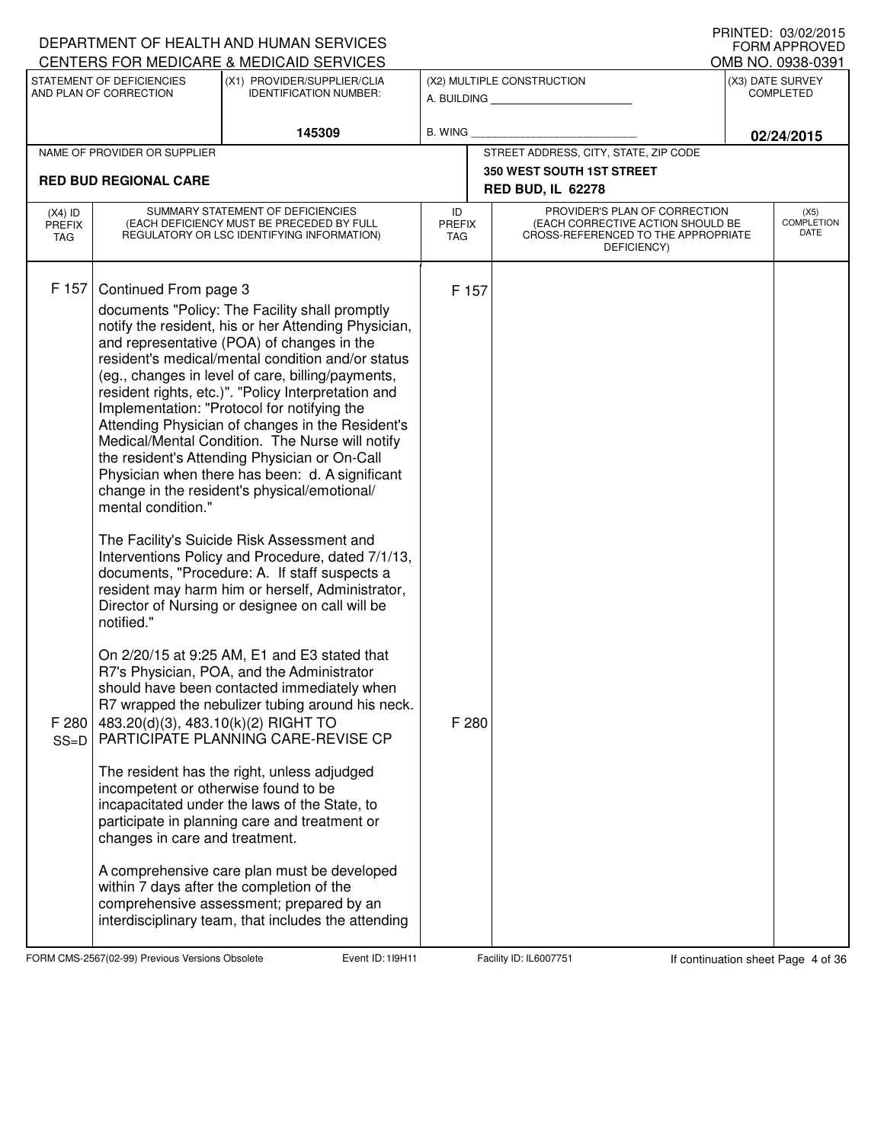|                                          |                                                                                                                                                                            | DEPARTMENT OF HEALTH AND HUMAN SERVICES<br>CENTERS FOR MEDICARE & MEDICAID SERVICES                                                                                                                                                                                                                                                                                                                                                                                                                                                                                                                                                                                                                                                                                                                                                                                                                                                                                                                                                                                                                                                                                                                                                                                                                                                                                                                                                                                                |                                   |                                                                                                                          |            | $1$ THISTLD. US/UZ/ZUTJ<br><b>FORM APPROVED</b><br>OMB NO. 0938-0391 |
|------------------------------------------|----------------------------------------------------------------------------------------------------------------------------------------------------------------------------|------------------------------------------------------------------------------------------------------------------------------------------------------------------------------------------------------------------------------------------------------------------------------------------------------------------------------------------------------------------------------------------------------------------------------------------------------------------------------------------------------------------------------------------------------------------------------------------------------------------------------------------------------------------------------------------------------------------------------------------------------------------------------------------------------------------------------------------------------------------------------------------------------------------------------------------------------------------------------------------------------------------------------------------------------------------------------------------------------------------------------------------------------------------------------------------------------------------------------------------------------------------------------------------------------------------------------------------------------------------------------------------------------------------------------------------------------------------------------------|-----------------------------------|--------------------------------------------------------------------------------------------------------------------------|------------|----------------------------------------------------------------------|
|                                          | STATEMENT OF DEFICIENCIES<br>AND PLAN OF CORRECTION                                                                                                                        | (X1) PROVIDER/SUPPLIER/CLIA<br><b>IDENTIFICATION NUMBER:</b>                                                                                                                                                                                                                                                                                                                                                                                                                                                                                                                                                                                                                                                                                                                                                                                                                                                                                                                                                                                                                                                                                                                                                                                                                                                                                                                                                                                                                       |                                   | (X2) MULTIPLE CONSTRUCTION<br>A. BUILDING                                                                                |            | (X3) DATE SURVEY<br><b>COMPLETED</b>                                 |
|                                          |                                                                                                                                                                            | 145309                                                                                                                                                                                                                                                                                                                                                                                                                                                                                                                                                                                                                                                                                                                                                                                                                                                                                                                                                                                                                                                                                                                                                                                                                                                                                                                                                                                                                                                                             | B. WING                           |                                                                                                                          | 02/24/2015 |                                                                      |
|                                          | NAME OF PROVIDER OR SUPPLIER                                                                                                                                               |                                                                                                                                                                                                                                                                                                                                                                                                                                                                                                                                                                                                                                                                                                                                                                                                                                                                                                                                                                                                                                                                                                                                                                                                                                                                                                                                                                                                                                                                                    |                                   | STREET ADDRESS, CITY, STATE, ZIP CODE                                                                                    |            |                                                                      |
|                                          | <b>RED BUD REGIONAL CARE</b>                                                                                                                                               |                                                                                                                                                                                                                                                                                                                                                                                                                                                                                                                                                                                                                                                                                                                                                                                                                                                                                                                                                                                                                                                                                                                                                                                                                                                                                                                                                                                                                                                                                    |                                   | 350 WEST SOUTH 1ST STREET<br><b>RED BUD, IL 62278</b>                                                                    |            |                                                                      |
| $(X4)$ ID<br><b>PREFIX</b><br><b>TAG</b> |                                                                                                                                                                            | SUMMARY STATEMENT OF DEFICIENCIES<br>(EACH DEFICIENCY MUST BE PRECEDED BY FULL<br>REGULATORY OR LSC IDENTIFYING INFORMATION)                                                                                                                                                                                                                                                                                                                                                                                                                                                                                                                                                                                                                                                                                                                                                                                                                                                                                                                                                                                                                                                                                                                                                                                                                                                                                                                                                       | ID<br><b>PREFIX</b><br><b>TAG</b> | PROVIDER'S PLAN OF CORRECTION<br>(EACH CORRECTIVE ACTION SHOULD BE<br>CROSS-REFERENCED TO THE APPROPRIATE<br>DEFICIENCY) |            | (X5)<br><b>COMPLETION</b><br>DATE                                    |
| F 157<br>F 280<br>$SS=D$                 | Continued From page 3<br>mental condition."<br>notified."<br>483.20(d)(3), 483.10(k)(2) RIGHT TO<br>incompetent or otherwise found to be<br>changes in care and treatment. | documents "Policy: The Facility shall promptly<br>notify the resident, his or her Attending Physician,<br>and representative (POA) of changes in the<br>resident's medical/mental condition and/or status<br>(eg., changes in level of care, billing/payments,<br>resident rights, etc.)". "Policy Interpretation and<br>Implementation: "Protocol for notifying the<br>Attending Physician of changes in the Resident's<br>Medical/Mental Condition. The Nurse will notify<br>the resident's Attending Physician or On-Call<br>Physician when there has been: d. A significant<br>change in the resident's physical/emotional/<br>The Facility's Suicide Risk Assessment and<br>Interventions Policy and Procedure, dated 7/1/13,<br>documents, "Procedure: A. If staff suspects a<br>resident may harm him or herself, Administrator,<br>Director of Nursing or designee on call will be<br>On 2/20/15 at 9:25 AM, E1 and E3 stated that<br>R7's Physician, POA, and the Administrator<br>should have been contacted immediately when<br>R7 wrapped the nebulizer tubing around his neck.<br>PARTICIPATE PLANNING CARE-REVISE CP<br>The resident has the right, unless adjudged<br>incapacitated under the laws of the State, to<br>participate in planning care and treatment or<br>A comprehensive care plan must be developed<br>within 7 days after the completion of the<br>comprehensive assessment; prepared by an<br>interdisciplinary team, that includes the attending | F 157<br>F 280                    |                                                                                                                          |            |                                                                      |

FORM CMS-2567(02-99) Previous Versions Obsolete **119H Event ID: 119H11** Facility ID: IL6007751 If continuation sheet Page 4 of 36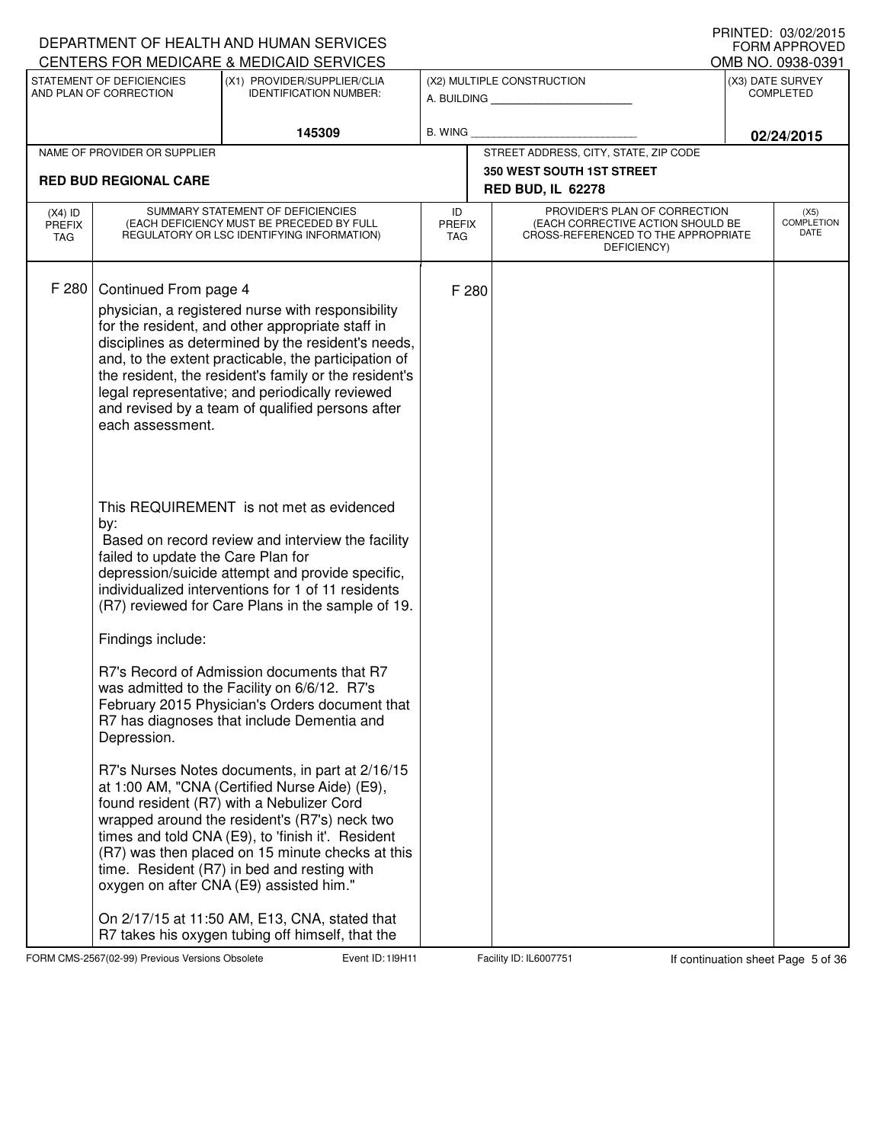|                                          |                                                                | DEPARTMENT OF HEALTH AND HUMAN SERVICES<br>CENTERS FOR MEDICARE & MEDICAID SERVICES                                                                                                                                                                                                                                                                                                               |                                   |                                       |                                                                                                                          |  | <b>I INIVILD. VJ/VZ/ZVIJ</b><br><b>FORM APPROVED</b> |  |  |
|------------------------------------------|----------------------------------------------------------------|---------------------------------------------------------------------------------------------------------------------------------------------------------------------------------------------------------------------------------------------------------------------------------------------------------------------------------------------------------------------------------------------------|-----------------------------------|---------------------------------------|--------------------------------------------------------------------------------------------------------------------------|--|------------------------------------------------------|--|--|
|                                          | STATEMENT OF DEFICIENCIES                                      | (X1) PROVIDER/SUPPLIER/CLIA                                                                                                                                                                                                                                                                                                                                                                       |                                   |                                       | (X2) MULTIPLE CONSTRUCTION                                                                                               |  | OMB NO. 0938-0391<br>(X3) DATE SURVEY                |  |  |
|                                          | AND PLAN OF CORRECTION                                         | <b>IDENTIFICATION NUMBER:</b>                                                                                                                                                                                                                                                                                                                                                                     |                                   |                                       | A. BUILDING AND AN INCOME.                                                                                               |  | <b>COMPLETED</b>                                     |  |  |
|                                          |                                                                | 145309                                                                                                                                                                                                                                                                                                                                                                                            | <b>B. WING</b>                    |                                       |                                                                                                                          |  | 02/24/2015                                           |  |  |
|                                          | NAME OF PROVIDER OR SUPPLIER                                   |                                                                                                                                                                                                                                                                                                                                                                                                   |                                   | STREET ADDRESS, CITY, STATE, ZIP CODE |                                                                                                                          |  |                                                      |  |  |
|                                          | <b>RED BUD REGIONAL CARE</b>                                   |                                                                                                                                                                                                                                                                                                                                                                                                   |                                   |                                       | <b>350 WEST SOUTH 1ST STREET</b>                                                                                         |  |                                                      |  |  |
|                                          |                                                                |                                                                                                                                                                                                                                                                                                                                                                                                   |                                   |                                       | <b>RED BUD, IL 62278</b>                                                                                                 |  |                                                      |  |  |
| $(X4)$ ID<br><b>PREFIX</b><br><b>TAG</b> |                                                                | SUMMARY STATEMENT OF DEFICIENCIES<br>(EACH DEFICIENCY MUST BE PRECEDED BY FULL<br>REGULATORY OR LSC IDENTIFYING INFORMATION)                                                                                                                                                                                                                                                                      | ID<br><b>PREFIX</b><br><b>TAG</b> |                                       | PROVIDER'S PLAN OF CORRECTION<br>(EACH CORRECTIVE ACTION SHOULD BE<br>CROSS-REFERENCED TO THE APPROPRIATE<br>DEFICIENCY) |  | (X5)<br><b>COMPLETION</b><br>DATE                    |  |  |
| F 280                                    | Continued From page 4<br>each assessment.                      | physician, a registered nurse with responsibility<br>for the resident, and other appropriate staff in<br>disciplines as determined by the resident's needs,<br>and, to the extent practicable, the participation of<br>the resident, the resident's family or the resident's<br>legal representative; and periodically reviewed<br>and revised by a team of qualified persons after               |                                   | F 280                                 |                                                                                                                          |  |                                                      |  |  |
|                                          | by:<br>failed to update the Care Plan for<br>Findings include: | This REQUIREMENT is not met as evidenced<br>Based on record review and interview the facility<br>depression/suicide attempt and provide specific,<br>individualized interventions for 1 of 11 residents<br>(R7) reviewed for Care Plans in the sample of 19.                                                                                                                                      |                                   |                                       |                                                                                                                          |  |                                                      |  |  |
|                                          | Depression.                                                    | R7's Record of Admission documents that R7<br>was admitted to the Facility on 6/6/12. R7's<br>February 2015 Physician's Orders document that<br>R7 has diagnoses that include Dementia and                                                                                                                                                                                                        |                                   |                                       |                                                                                                                          |  |                                                      |  |  |
|                                          |                                                                | R7's Nurses Notes documents, in part at 2/16/15<br>at 1:00 AM, "CNA (Certified Nurse Aide) (E9),<br>found resident (R7) with a Nebulizer Cord<br>wrapped around the resident's (R7's) neck two<br>times and told CNA (E9), to 'finish it'. Resident<br>(R7) was then placed on 15 minute checks at this<br>time. Resident (R7) in bed and resting with<br>oxygen on after CNA (E9) assisted him." |                                   |                                       |                                                                                                                          |  |                                                      |  |  |
|                                          |                                                                | On 2/17/15 at 11:50 AM, E13, CNA, stated that<br>R7 takes his oxygen tubing off himself, that the                                                                                                                                                                                                                                                                                                 |                                   |                                       |                                                                                                                          |  |                                                      |  |  |

FORM CMS-2567(02-99) Previous Versions Obsolete **119H Event ID: 119H11** Facility ID: IL6007751 If continuation sheet Page 5 of 36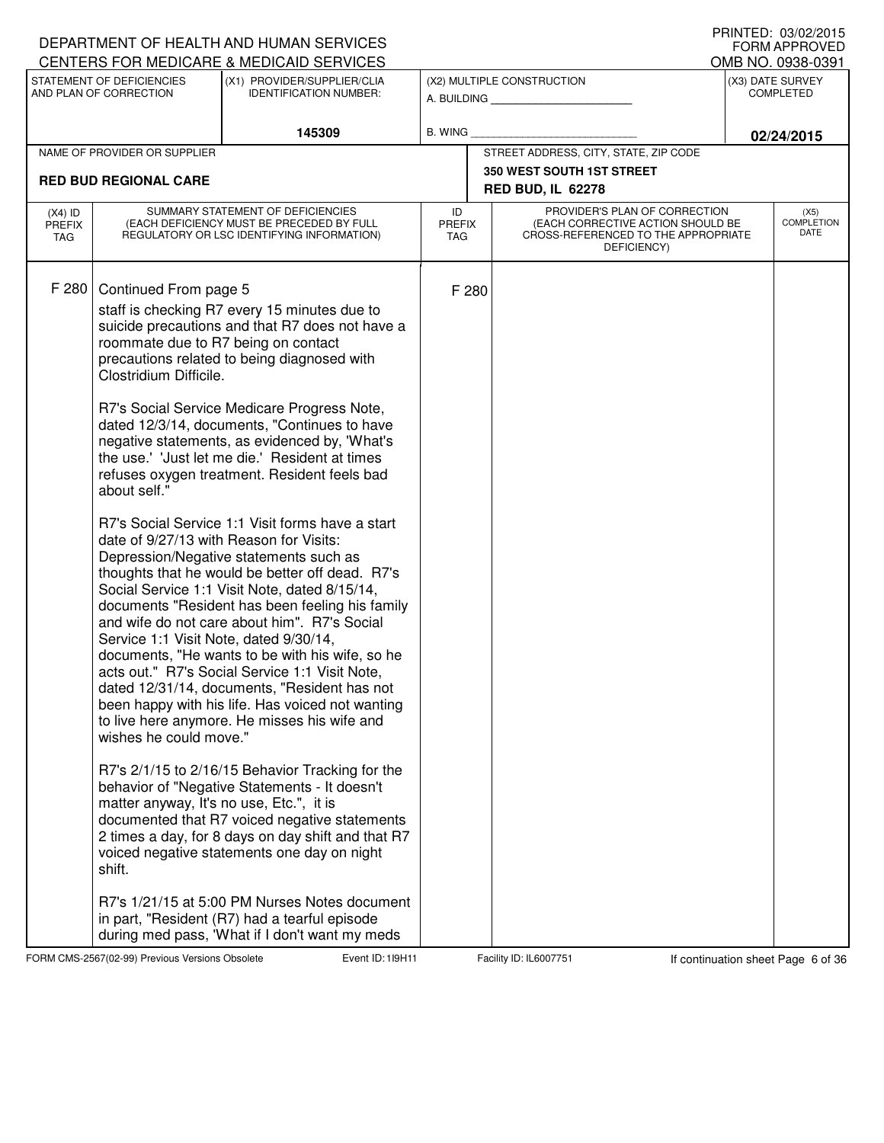| CENTERS FOR MEDICARE & MEDICAID SERVICES<br>OMB NO. 0938-0391<br>STATEMENT OF DEFICIENCIES<br>(X1) PROVIDER/SUPPLIER/CLIA<br>(X2) MULTIPLE CONSTRUCTION<br>(X3) DATE SURVEY<br>AND PLAN OF CORRECTION<br><b>COMPLETED</b><br><b>IDENTIFICATION NUMBER:</b><br>A. BUILDING<br>145309<br>B. WING<br>02/24/2015<br>STREET ADDRESS, CITY, STATE, ZIP CODE<br>NAME OF PROVIDER OR SUPPLIER<br><b>350 WEST SOUTH 1ST STREET</b><br><b>RED BUD REGIONAL CARE</b><br><b>RED BUD, IL 62278</b><br>PROVIDER'S PLAN OF CORRECTION<br>SUMMARY STATEMENT OF DEFICIENCIES<br>ID<br>(X5)<br>$(X4)$ ID<br><b>COMPLETION</b><br>(EACH DEFICIENCY MUST BE PRECEDED BY FULL<br>(EACH CORRECTIVE ACTION SHOULD BE<br><b>PREFIX</b><br><b>PREFIX</b><br>DATE<br>REGULATORY OR LSC IDENTIFYING INFORMATION)<br>CROSS-REFERENCED TO THE APPROPRIATE<br><b>TAG</b><br>TAG<br>DEFICIENCY)<br>F 280<br>Continued From page 5<br>F 280<br>staff is checking R7 every 15 minutes due to<br>suicide precautions and that R7 does not have a<br>roommate due to R7 being on contact<br>precautions related to being diagnosed with<br>Clostridium Difficile.<br>R7's Social Service Medicare Progress Note,<br>dated 12/3/14, documents, "Continues to have<br>negative statements, as evidenced by, 'What's<br>the use.' 'Just let me die.' Resident at times<br>refuses oxygen treatment. Resident feels bad<br>about self."<br>R7's Social Service 1:1 Visit forms have a start<br>date of 9/27/13 with Reason for Visits:<br>Depression/Negative statements such as<br>thoughts that he would be better off dead. R7's<br>Social Service 1:1 Visit Note, dated 8/15/14,<br>documents "Resident has been feeling his family<br>and wife do not care about him". R7's Social<br>Service 1:1 Visit Note, dated 9/30/14,<br>documents, "He wants to be with his wife, so he<br>acts out." R7's Social Service 1:1 Visit Note,<br>dated 12/31/14, documents, "Resident has not<br>been happy with his life. Has voiced not wanting<br>to live here anymore. He misses his wife and<br>wishes he could move."<br>R7's 2/1/15 to 2/16/15 Behavior Tracking for the<br>behavior of "Negative Statements - It doesn't<br>matter anyway, It's no use, Etc.", it is<br>documented that R7 voiced negative statements<br>2 times a day, for 8 days on day shift and that R7<br>voiced negative statements one day on night<br>shift. |  | DEPARTMENT OF HEALTH AND HUMAN SERVICES |  |  | I INNILLI. VJ/VZ/ZVIJ<br><b>FORM APPROVED</b> |  |
|------------------------------------------------------------------------------------------------------------------------------------------------------------------------------------------------------------------------------------------------------------------------------------------------------------------------------------------------------------------------------------------------------------------------------------------------------------------------------------------------------------------------------------------------------------------------------------------------------------------------------------------------------------------------------------------------------------------------------------------------------------------------------------------------------------------------------------------------------------------------------------------------------------------------------------------------------------------------------------------------------------------------------------------------------------------------------------------------------------------------------------------------------------------------------------------------------------------------------------------------------------------------------------------------------------------------------------------------------------------------------------------------------------------------------------------------------------------------------------------------------------------------------------------------------------------------------------------------------------------------------------------------------------------------------------------------------------------------------------------------------------------------------------------------------------------------------------------------------------------------------------------------------------------------------------------------------------------------------------------------------------------------------------------------------------------------------------------------------------------------------------------------------------------------------------------------------------------------------------------------------------------------------------------------------------------------------------------------------------------------------------------------|--|-----------------------------------------|--|--|-----------------------------------------------|--|
|                                                                                                                                                                                                                                                                                                                                                                                                                                                                                                                                                                                                                                                                                                                                                                                                                                                                                                                                                                                                                                                                                                                                                                                                                                                                                                                                                                                                                                                                                                                                                                                                                                                                                                                                                                                                                                                                                                                                                                                                                                                                                                                                                                                                                                                                                                                                                                                                |  |                                         |  |  |                                               |  |
|                                                                                                                                                                                                                                                                                                                                                                                                                                                                                                                                                                                                                                                                                                                                                                                                                                                                                                                                                                                                                                                                                                                                                                                                                                                                                                                                                                                                                                                                                                                                                                                                                                                                                                                                                                                                                                                                                                                                                                                                                                                                                                                                                                                                                                                                                                                                                                                                |  |                                         |  |  |                                               |  |
|                                                                                                                                                                                                                                                                                                                                                                                                                                                                                                                                                                                                                                                                                                                                                                                                                                                                                                                                                                                                                                                                                                                                                                                                                                                                                                                                                                                                                                                                                                                                                                                                                                                                                                                                                                                                                                                                                                                                                                                                                                                                                                                                                                                                                                                                                                                                                                                                |  |                                         |  |  |                                               |  |
|                                                                                                                                                                                                                                                                                                                                                                                                                                                                                                                                                                                                                                                                                                                                                                                                                                                                                                                                                                                                                                                                                                                                                                                                                                                                                                                                                                                                                                                                                                                                                                                                                                                                                                                                                                                                                                                                                                                                                                                                                                                                                                                                                                                                                                                                                                                                                                                                |  |                                         |  |  |                                               |  |
|                                                                                                                                                                                                                                                                                                                                                                                                                                                                                                                                                                                                                                                                                                                                                                                                                                                                                                                                                                                                                                                                                                                                                                                                                                                                                                                                                                                                                                                                                                                                                                                                                                                                                                                                                                                                                                                                                                                                                                                                                                                                                                                                                                                                                                                                                                                                                                                                |  |                                         |  |  |                                               |  |
|                                                                                                                                                                                                                                                                                                                                                                                                                                                                                                                                                                                                                                                                                                                                                                                                                                                                                                                                                                                                                                                                                                                                                                                                                                                                                                                                                                                                                                                                                                                                                                                                                                                                                                                                                                                                                                                                                                                                                                                                                                                                                                                                                                                                                                                                                                                                                                                                |  |                                         |  |  |                                               |  |
| R7's 1/21/15 at 5:00 PM Nurses Notes document<br>in part, "Resident (R7) had a tearful episode<br>during med pass, 'What if I don't want my meds                                                                                                                                                                                                                                                                                                                                                                                                                                                                                                                                                                                                                                                                                                                                                                                                                                                                                                                                                                                                                                                                                                                                                                                                                                                                                                                                                                                                                                                                                                                                                                                                                                                                                                                                                                                                                                                                                                                                                                                                                                                                                                                                                                                                                                               |  |                                         |  |  |                                               |  |

FORM CMS-2567(02-99) Previous Versions Obsolete **119H Event ID: 119H11** Facility ID: IL6007751 If continuation sheet Page 6 of 36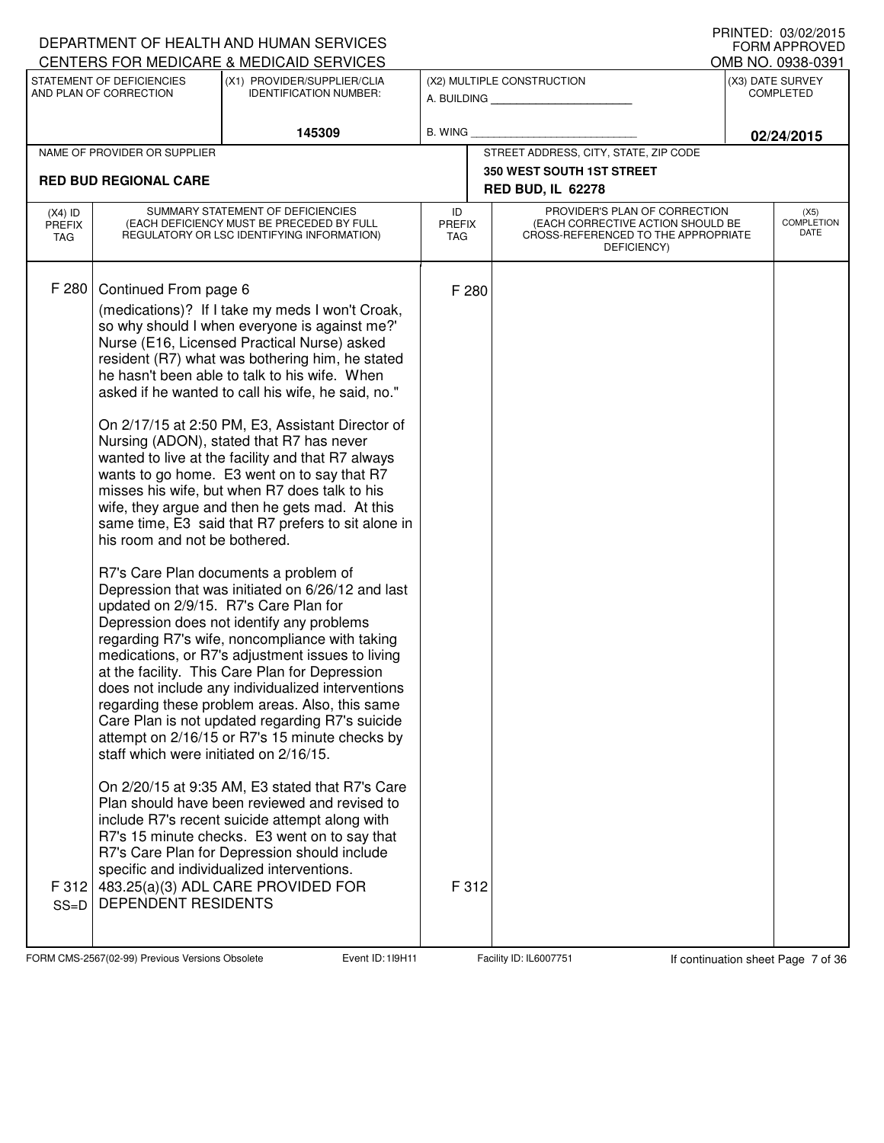|                                   |                                                                                                                         | DEPARTMENT OF HEALTH AND HUMAN SERVICES                                                                                                                                                                                                                                                                                                                                                                                                                                                                                                                                                                                                                                                                                                                                                                                                                                                                                                                                                                                                                                                                                                                                                                                                                                                                                                                                                                                                                                                                                                                                   |                     |                                                                                                                          | I INNILL, VJ/VZ/ZVIJ<br><b>FORM APPROVED</b> |
|-----------------------------------|-------------------------------------------------------------------------------------------------------------------------|---------------------------------------------------------------------------------------------------------------------------------------------------------------------------------------------------------------------------------------------------------------------------------------------------------------------------------------------------------------------------------------------------------------------------------------------------------------------------------------------------------------------------------------------------------------------------------------------------------------------------------------------------------------------------------------------------------------------------------------------------------------------------------------------------------------------------------------------------------------------------------------------------------------------------------------------------------------------------------------------------------------------------------------------------------------------------------------------------------------------------------------------------------------------------------------------------------------------------------------------------------------------------------------------------------------------------------------------------------------------------------------------------------------------------------------------------------------------------------------------------------------------------------------------------------------------------|---------------------|--------------------------------------------------------------------------------------------------------------------------|----------------------------------------------|
|                                   |                                                                                                                         | CENTERS FOR MEDICARE & MEDICAID SERVICES                                                                                                                                                                                                                                                                                                                                                                                                                                                                                                                                                                                                                                                                                                                                                                                                                                                                                                                                                                                                                                                                                                                                                                                                                                                                                                                                                                                                                                                                                                                                  |                     |                                                                                                                          | OMB NO. 0938-0391                            |
|                                   | STATEMENT OF DEFICIENCIES<br>(X1) PROVIDER/SUPPLIER/CLIA<br>AND PLAN OF CORRECTION<br><b>IDENTIFICATION NUMBER:</b>     |                                                                                                                                                                                                                                                                                                                                                                                                                                                                                                                                                                                                                                                                                                                                                                                                                                                                                                                                                                                                                                                                                                                                                                                                                                                                                                                                                                                                                                                                                                                                                                           |                     | (X2) MULTIPLE CONSTRUCTION<br>A. BUILDING                                                                                | (X3) DATE SURVEY<br><b>COMPLETED</b>         |
|                                   |                                                                                                                         | 145309                                                                                                                                                                                                                                                                                                                                                                                                                                                                                                                                                                                                                                                                                                                                                                                                                                                                                                                                                                                                                                                                                                                                                                                                                                                                                                                                                                                                                                                                                                                                                                    | <b>B. WING</b>      |                                                                                                                          | 02/24/2015                                   |
|                                   | NAME OF PROVIDER OR SUPPLIER                                                                                            |                                                                                                                                                                                                                                                                                                                                                                                                                                                                                                                                                                                                                                                                                                                                                                                                                                                                                                                                                                                                                                                                                                                                                                                                                                                                                                                                                                                                                                                                                                                                                                           |                     | STREET ADDRESS, CITY, STATE, ZIP CODE                                                                                    |                                              |
|                                   | <b>RED BUD REGIONAL CARE</b>                                                                                            |                                                                                                                                                                                                                                                                                                                                                                                                                                                                                                                                                                                                                                                                                                                                                                                                                                                                                                                                                                                                                                                                                                                                                                                                                                                                                                                                                                                                                                                                                                                                                                           |                     | <b>350 WEST SOUTH 1ST STREET</b><br><b>RED BUD, IL 62278</b>                                                             |                                              |
| $(X4)$ ID<br><b>PREFIX</b><br>TAG |                                                                                                                         | SUMMARY STATEMENT OF DEFICIENCIES<br>(EACH DEFICIENCY MUST BE PRECEDED BY FULL<br>REGULATORY OR LSC IDENTIFYING INFORMATION)                                                                                                                                                                                                                                                                                                                                                                                                                                                                                                                                                                                                                                                                                                                                                                                                                                                                                                                                                                                                                                                                                                                                                                                                                                                                                                                                                                                                                                              | ID<br>PREFIX<br>TAG | PROVIDER'S PLAN OF CORRECTION<br>(EACH CORRECTIVE ACTION SHOULD BE<br>CROSS-REFERENCED TO THE APPROPRIATE<br>DEFICIENCY) | (X5)<br><b>COMPLETION</b><br>DATE            |
| F 280<br>F 312<br>$SS=D$          | Continued From page 6<br>his room and not be bothered.<br>staff which were initiated on 2/16/15.<br>DEPENDENT RESIDENTS | (medications)? If I take my meds I won't Croak,<br>so why should I when everyone is against me?'<br>Nurse (E16, Licensed Practical Nurse) asked<br>resident (R7) what was bothering him, he stated<br>he hasn't been able to talk to his wife. When<br>asked if he wanted to call his wife, he said, no."<br>On 2/17/15 at 2:50 PM, E3, Assistant Director of<br>Nursing (ADON), stated that R7 has never<br>wanted to live at the facility and that R7 always<br>wants to go home. E3 went on to say that R7<br>misses his wife, but when R7 does talk to his<br>wife, they argue and then he gets mad. At this<br>same time, E3 said that R7 prefers to sit alone in<br>R7's Care Plan documents a problem of<br>Depression that was initiated on 6/26/12 and last<br>updated on 2/9/15. R7's Care Plan for<br>Depression does not identify any problems<br>regarding R7's wife, noncompliance with taking<br>medications, or R7's adjustment issues to living<br>at the facility. This Care Plan for Depression<br>does not include any individualized interventions<br>regarding these problem areas. Also, this same<br>Care Plan is not updated regarding R7's suicide<br>attempt on 2/16/15 or R7's 15 minute checks by<br>On 2/20/15 at 9:35 AM, E3 stated that R7's Care<br>Plan should have been reviewed and revised to<br>include R7's recent suicide attempt along with<br>R7's 15 minute checks. E3 went on to say that<br>R7's Care Plan for Depression should include<br>specific and individualized interventions.<br>483.25(a)(3) ADL CARE PROVIDED FOR | F 280<br>F 312      |                                                                                                                          |                                              |

FORM CMS-2567(02-99) Previous Versions Obsolete 119H11 Event ID: 119H11 Facility ID: IL6007751 If continuation sheet Page 7 of 36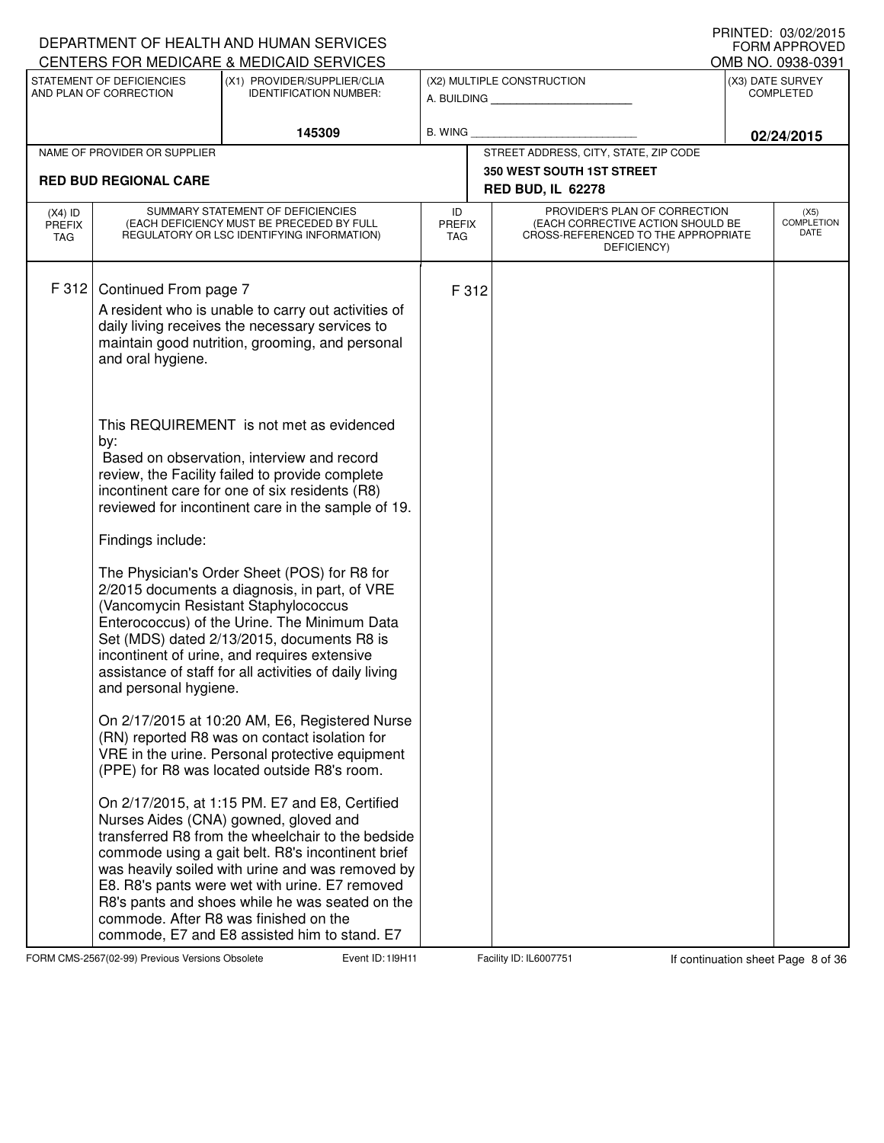|                                          |                                                                                                                                                                 | DEPARTMENT OF HEALTH AND HUMAN SERVICES                                                                                                                                                                                                                                                                                                                                                                                                                                                                                                                                                                                                                                                                                                                                                                 |                                   |       |                                                                                                                          | I IUIN LLU. VU/VE/LUTJ<br><b>FORM APPROVED</b><br>OMB NO. 0938-0391 |
|------------------------------------------|-----------------------------------------------------------------------------------------------------------------------------------------------------------------|---------------------------------------------------------------------------------------------------------------------------------------------------------------------------------------------------------------------------------------------------------------------------------------------------------------------------------------------------------------------------------------------------------------------------------------------------------------------------------------------------------------------------------------------------------------------------------------------------------------------------------------------------------------------------------------------------------------------------------------------------------------------------------------------------------|-----------------------------------|-------|--------------------------------------------------------------------------------------------------------------------------|---------------------------------------------------------------------|
|                                          | CENTERS FOR MEDICARE & MEDICAID SERVICES<br>STATEMENT OF DEFICIENCIES<br>(X1) PROVIDER/SUPPLIER/CLIA<br>AND PLAN OF CORRECTION<br><b>IDENTIFICATION NUMBER:</b> |                                                                                                                                                                                                                                                                                                                                                                                                                                                                                                                                                                                                                                                                                                                                                                                                         |                                   |       | (X2) MULTIPLE CONSTRUCTION<br>A. BUILDING <b>A.</b> BUILDING                                                             | (X3) DATE SURVEY<br><b>COMPLETED</b>                                |
|                                          |                                                                                                                                                                 | 145309                                                                                                                                                                                                                                                                                                                                                                                                                                                                                                                                                                                                                                                                                                                                                                                                  | <b>B. WING</b>                    |       |                                                                                                                          | 02/24/2015                                                          |
|                                          | NAME OF PROVIDER OR SUPPLIER                                                                                                                                    |                                                                                                                                                                                                                                                                                                                                                                                                                                                                                                                                                                                                                                                                                                                                                                                                         |                                   |       | STREET ADDRESS, CITY, STATE, ZIP CODE                                                                                    |                                                                     |
|                                          | <b>RED BUD REGIONAL CARE</b>                                                                                                                                    |                                                                                                                                                                                                                                                                                                                                                                                                                                                                                                                                                                                                                                                                                                                                                                                                         |                                   |       | <b>350 WEST SOUTH 1ST STREET</b>                                                                                         |                                                                     |
|                                          |                                                                                                                                                                 |                                                                                                                                                                                                                                                                                                                                                                                                                                                                                                                                                                                                                                                                                                                                                                                                         |                                   |       | <b>RED BUD, IL 62278</b>                                                                                                 |                                                                     |
| $(X4)$ ID<br><b>PREFIX</b><br><b>TAG</b> |                                                                                                                                                                 | SUMMARY STATEMENT OF DEFICIENCIES<br>(EACH DEFICIENCY MUST BE PRECEDED BY FULL<br>REGULATORY OR LSC IDENTIFYING INFORMATION)                                                                                                                                                                                                                                                                                                                                                                                                                                                                                                                                                                                                                                                                            | ID<br><b>PREFIX</b><br><b>TAG</b> |       | PROVIDER'S PLAN OF CORRECTION<br>(EACH CORRECTIVE ACTION SHOULD BE<br>CROSS-REFERENCED TO THE APPROPRIATE<br>DEFICIENCY) | (X5)<br><b>COMPLETION</b><br>DATE                                   |
| F 312                                    | Continued From page 7<br>and oral hygiene.                                                                                                                      | A resident who is unable to carry out activities of<br>daily living receives the necessary services to<br>maintain good nutrition, grooming, and personal                                                                                                                                                                                                                                                                                                                                                                                                                                                                                                                                                                                                                                               |                                   | F 312 |                                                                                                                          |                                                                     |
|                                          | by:<br>Findings include:<br>and personal hygiene.                                                                                                               | This REQUIREMENT is not met as evidenced<br>Based on observation, interview and record<br>review, the Facility failed to provide complete<br>incontinent care for one of six residents (R8)<br>reviewed for incontinent care in the sample of 19.<br>The Physician's Order Sheet (POS) for R8 for<br>2/2015 documents a diagnosis, in part, of VRE<br>(Vancomycin Resistant Staphylococcus<br>Enterococcus) of the Urine. The Minimum Data<br>Set (MDS) dated 2/13/2015, documents R8 is<br>incontinent of urine, and requires extensive<br>assistance of staff for all activities of daily living<br>On 2/17/2015 at 10:20 AM, E6, Registered Nurse<br>(RN) reported R8 was on contact isolation for<br>VRE in the urine. Personal protective equipment<br>(PPE) for R8 was located outside R8's room. |                                   |       |                                                                                                                          |                                                                     |
|                                          |                                                                                                                                                                 | On 2/17/2015, at 1:15 PM. E7 and E8, Certified<br>Nurses Aides (CNA) gowned, gloved and<br>transferred R8 from the wheelchair to the bedside<br>commode using a gait belt. R8's incontinent brief<br>was heavily soiled with urine and was removed by<br>E8. R8's pants were wet with urine. E7 removed<br>R8's pants and shoes while he was seated on the<br>commode. After R8 was finished on the<br>commode, E7 and E8 assisted him to stand. E7                                                                                                                                                                                                                                                                                                                                                     |                                   |       |                                                                                                                          |                                                                     |

FORM CMS-2567(02-99) Previous Versions Obsolete Event ID: 119H11 Facility ID: IL6007751 If continuation sheet Page 8 of 36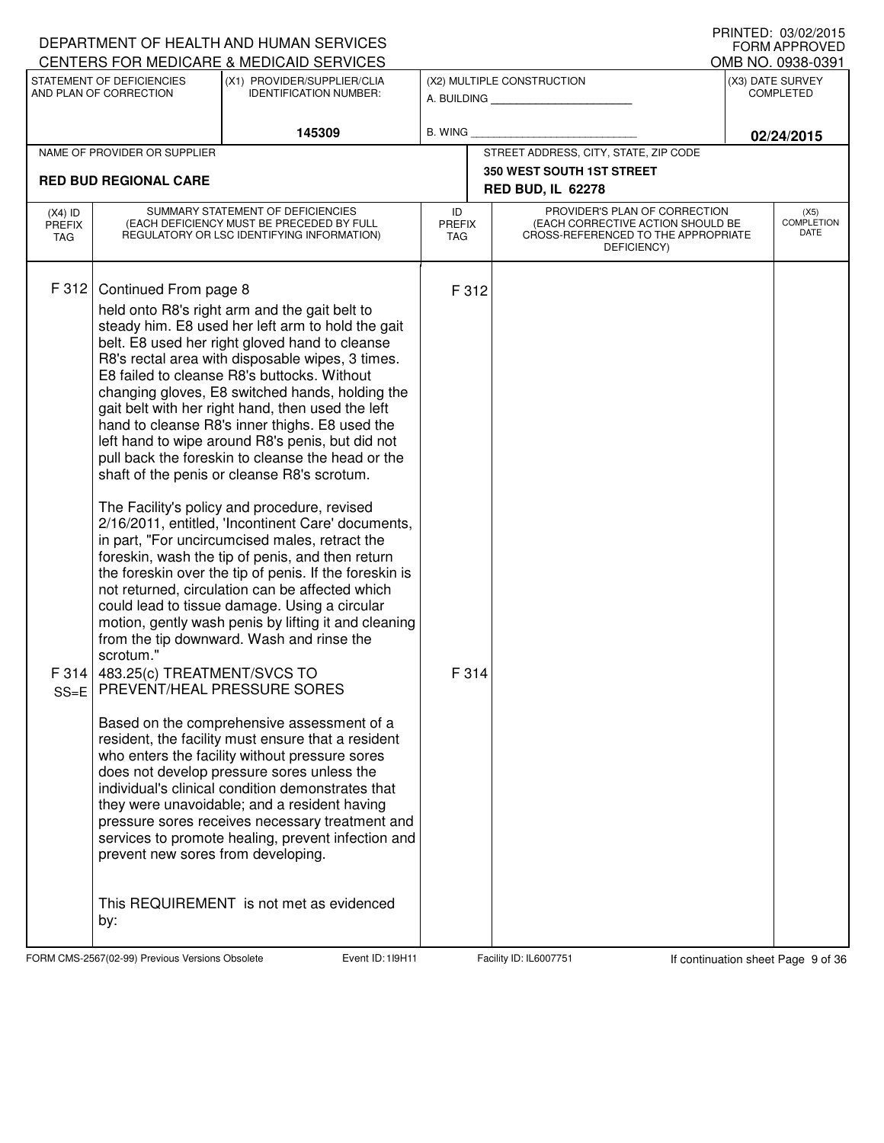|                                          |                                                                                                                                               | DEPARTMENT OF HEALTH AND HUMAN SERVICES<br>CENTERS FOR MEDICARE & MEDICAID SERVICES                                                                                                                                                                                                                                                                                                                                                                                                                                                                                                                                                                                                                                                                                                                                                                                                                                                                                                                                                                                                                                                                                                                                                                                                                                                                                                                                                                                                                                    |                |                |                                                              | I IUINILLU. VUIVLILUIJ<br><b>FORM APPROVED</b><br>OMB NO. 0938-0391 |
|------------------------------------------|-----------------------------------------------------------------------------------------------------------------------------------------------|------------------------------------------------------------------------------------------------------------------------------------------------------------------------------------------------------------------------------------------------------------------------------------------------------------------------------------------------------------------------------------------------------------------------------------------------------------------------------------------------------------------------------------------------------------------------------------------------------------------------------------------------------------------------------------------------------------------------------------------------------------------------------------------------------------------------------------------------------------------------------------------------------------------------------------------------------------------------------------------------------------------------------------------------------------------------------------------------------------------------------------------------------------------------------------------------------------------------------------------------------------------------------------------------------------------------------------------------------------------------------------------------------------------------------------------------------------------------------------------------------------------------|----------------|----------------|--------------------------------------------------------------|---------------------------------------------------------------------|
|                                          | STATEMENT OF DEFICIENCIES<br>AND PLAN OF CORRECTION                                                                                           | (X1) PROVIDER/SUPPLIER/CLIA<br><b>IDENTIFICATION NUMBER:</b>                                                                                                                                                                                                                                                                                                                                                                                                                                                                                                                                                                                                                                                                                                                                                                                                                                                                                                                                                                                                                                                                                                                                                                                                                                                                                                                                                                                                                                                           |                |                | (X2) MULTIPLE CONSTRUCTION<br>A. BUILDING                    | (X3) DATE SURVEY<br><b>COMPLETED</b>                                |
|                                          |                                                                                                                                               | 145309                                                                                                                                                                                                                                                                                                                                                                                                                                                                                                                                                                                                                                                                                                                                                                                                                                                                                                                                                                                                                                                                                                                                                                                                                                                                                                                                                                                                                                                                                                                 | <b>B. WING</b> |                |                                                              | 02/24/2015                                                          |
|                                          | NAME OF PROVIDER OR SUPPLIER                                                                                                                  |                                                                                                                                                                                                                                                                                                                                                                                                                                                                                                                                                                                                                                                                                                                                                                                                                                                                                                                                                                                                                                                                                                                                                                                                                                                                                                                                                                                                                                                                                                                        |                |                | STREET ADDRESS, CITY, STATE, ZIP CODE                        |                                                                     |
|                                          | <b>RED BUD REGIONAL CARE</b>                                                                                                                  |                                                                                                                                                                                                                                                                                                                                                                                                                                                                                                                                                                                                                                                                                                                                                                                                                                                                                                                                                                                                                                                                                                                                                                                                                                                                                                                                                                                                                                                                                                                        |                |                | <b>350 WEST SOUTH 1ST STREET</b><br><b>RED BUD, IL 62278</b> |                                                                     |
| $(X4)$ ID<br><b>PREFIX</b><br><b>TAG</b> |                                                                                                                                               | PROVIDER'S PLAN OF CORRECTION<br>SUMMARY STATEMENT OF DEFICIENCIES<br>ID<br>(EACH DEFICIENCY MUST BE PRECEDED BY FULL<br>(EACH CORRECTIVE ACTION SHOULD BE<br><b>PREFIX</b><br>REGULATORY OR LSC IDENTIFYING INFORMATION)<br>CROSS-REFERENCED TO THE APPROPRIATE<br><b>TAG</b><br>DEFICIENCY)                                                                                                                                                                                                                                                                                                                                                                                                                                                                                                                                                                                                                                                                                                                                                                                                                                                                                                                                                                                                                                                                                                                                                                                                                          |                |                | (X5)<br><b>COMPLETION</b><br>DATE                            |                                                                     |
| F 312<br>F314<br>$SS=E$                  | Continued From page 8<br>scrotum."<br>483.25(c) TREATMENT/SVCS TO<br>PREVENT/HEAL PRESSURE SORES<br>prevent new sores from developing.<br>by: | held onto R8's right arm and the gait belt to<br>steady him. E8 used her left arm to hold the gait<br>belt. E8 used her right gloved hand to cleanse<br>R8's rectal area with disposable wipes, 3 times.<br>E8 failed to cleanse R8's buttocks. Without<br>changing gloves, E8 switched hands, holding the<br>gait belt with her right hand, then used the left<br>hand to cleanse R8's inner thighs. E8 used the<br>left hand to wipe around R8's penis, but did not<br>pull back the foreskin to cleanse the head or the<br>shaft of the penis or cleanse R8's scrotum.<br>The Facility's policy and procedure, revised<br>2/16/2011, entitled, 'Incontinent Care' documents,<br>in part, "For uncircumcised males, retract the<br>foreskin, wash the tip of penis, and then return<br>the foreskin over the tip of penis. If the foreskin is<br>not returned, circulation can be affected which<br>could lead to tissue damage. Using a circular<br>motion, gently wash penis by lifting it and cleaning<br>from the tip downward. Wash and rinse the<br>Based on the comprehensive assessment of a<br>resident, the facility must ensure that a resident<br>who enters the facility without pressure sores<br>does not develop pressure sores unless the<br>individual's clinical condition demonstrates that<br>they were unavoidable; and a resident having<br>pressure sores receives necessary treatment and<br>services to promote healing, prevent infection and<br>This REQUIREMENT is not met as evidenced |                | F 312<br>F 314 |                                                              |                                                                     |

FORM CMS-2567(02-99) Previous Versions Obsolete **119H Event ID: 119H11** Facility ID: IL6007751 If continuation sheet Page 9 of 36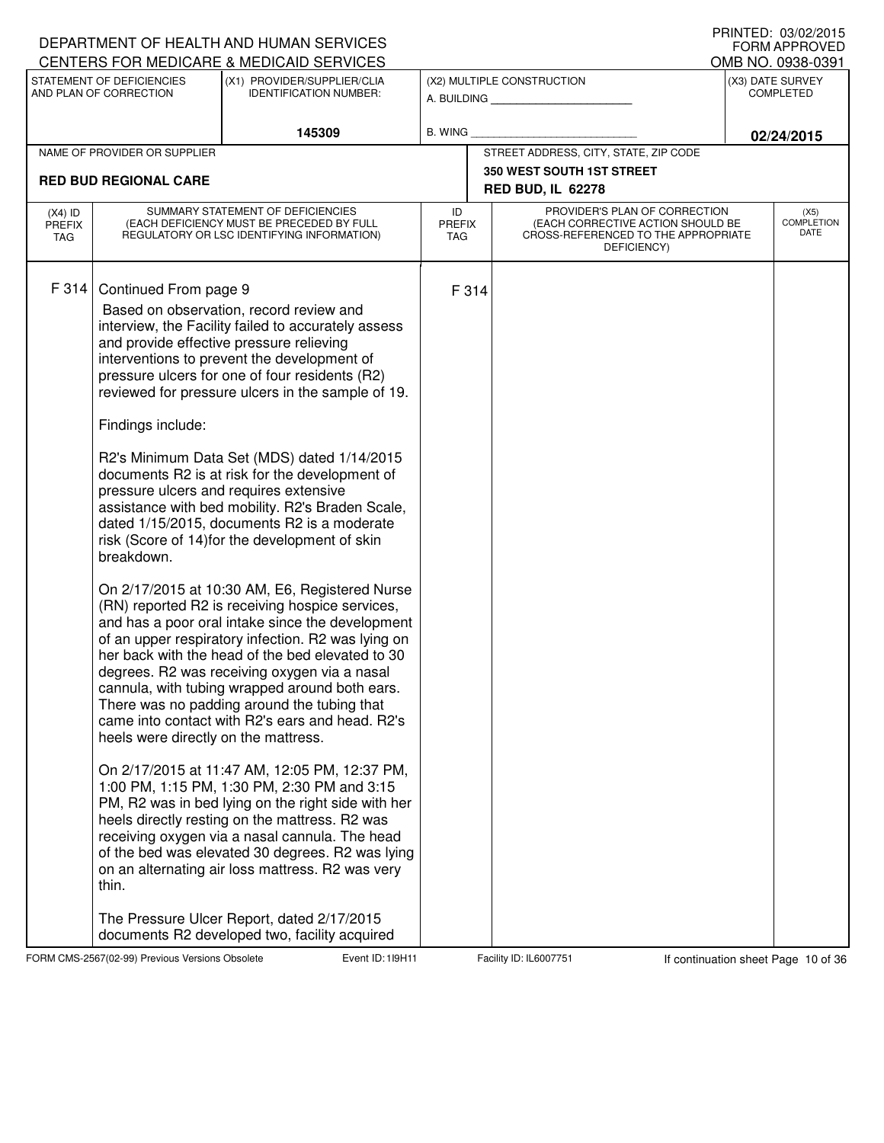|                                          |                                                                                                           | DEPARTMENT OF HEALTH AND HUMAN SERVICES                                                                                                                                                                                                                                                                                                                                                                                                                                                                                                                                                                                                                                                                                                                                                                                                                                                                                                                                                                                                                                                                                                                                                                                                                                                                                                                                                                                                                                                                                                  |                                   |       |                                                                                                                          |  | I IUIN LLU. VU/VE/LUTJ<br><b>FORM APPROVED</b> |  |  |
|------------------------------------------|-----------------------------------------------------------------------------------------------------------|------------------------------------------------------------------------------------------------------------------------------------------------------------------------------------------------------------------------------------------------------------------------------------------------------------------------------------------------------------------------------------------------------------------------------------------------------------------------------------------------------------------------------------------------------------------------------------------------------------------------------------------------------------------------------------------------------------------------------------------------------------------------------------------------------------------------------------------------------------------------------------------------------------------------------------------------------------------------------------------------------------------------------------------------------------------------------------------------------------------------------------------------------------------------------------------------------------------------------------------------------------------------------------------------------------------------------------------------------------------------------------------------------------------------------------------------------------------------------------------------------------------------------------------|-----------------------------------|-------|--------------------------------------------------------------------------------------------------------------------------|--|------------------------------------------------|--|--|
|                                          |                                                                                                           | CENTERS FOR MEDICARE & MEDICAID SERVICES                                                                                                                                                                                                                                                                                                                                                                                                                                                                                                                                                                                                                                                                                                                                                                                                                                                                                                                                                                                                                                                                                                                                                                                                                                                                                                                                                                                                                                                                                                 |                                   |       |                                                                                                                          |  | OMB NO. 0938-0391                              |  |  |
|                                          | STATEMENT OF DEFICIENCIES<br>AND PLAN OF CORRECTION                                                       | (X1) PROVIDER/SUPPLIER/CLIA<br><b>IDENTIFICATION NUMBER:</b>                                                                                                                                                                                                                                                                                                                                                                                                                                                                                                                                                                                                                                                                                                                                                                                                                                                                                                                                                                                                                                                                                                                                                                                                                                                                                                                                                                                                                                                                             |                                   |       | (X2) MULTIPLE CONSTRUCTION<br>A. BUILDING                                                                                |  | (X3) DATE SURVEY<br><b>COMPLETED</b>           |  |  |
|                                          |                                                                                                           | 145309                                                                                                                                                                                                                                                                                                                                                                                                                                                                                                                                                                                                                                                                                                                                                                                                                                                                                                                                                                                                                                                                                                                                                                                                                                                                                                                                                                                                                                                                                                                                   | <b>B. WING</b>                    |       |                                                                                                                          |  | 02/24/2015                                     |  |  |
|                                          | NAME OF PROVIDER OR SUPPLIER                                                                              |                                                                                                                                                                                                                                                                                                                                                                                                                                                                                                                                                                                                                                                                                                                                                                                                                                                                                                                                                                                                                                                                                                                                                                                                                                                                                                                                                                                                                                                                                                                                          |                                   |       | STREET ADDRESS, CITY, STATE, ZIP CODE                                                                                    |  |                                                |  |  |
|                                          | <b>RED BUD REGIONAL CARE</b>                                                                              |                                                                                                                                                                                                                                                                                                                                                                                                                                                                                                                                                                                                                                                                                                                                                                                                                                                                                                                                                                                                                                                                                                                                                                                                                                                                                                                                                                                                                                                                                                                                          | <b>350 WEST SOUTH 1ST STREET</b>  |       |                                                                                                                          |  |                                                |  |  |
|                                          |                                                                                                           |                                                                                                                                                                                                                                                                                                                                                                                                                                                                                                                                                                                                                                                                                                                                                                                                                                                                                                                                                                                                                                                                                                                                                                                                                                                                                                                                                                                                                                                                                                                                          |                                   |       | <b>RED BUD, IL 62278</b>                                                                                                 |  |                                                |  |  |
| $(X4)$ ID<br><b>PREFIX</b><br><b>TAG</b> |                                                                                                           | SUMMARY STATEMENT OF DEFICIENCIES<br>(EACH DEFICIENCY MUST BE PRECEDED BY FULL<br>REGULATORY OR LSC IDENTIFYING INFORMATION)                                                                                                                                                                                                                                                                                                                                                                                                                                                                                                                                                                                                                                                                                                                                                                                                                                                                                                                                                                                                                                                                                                                                                                                                                                                                                                                                                                                                             | ID<br><b>PREFIX</b><br><b>TAG</b> |       | PROVIDER'S PLAN OF CORRECTION<br>(EACH CORRECTIVE ACTION SHOULD BE<br>CROSS-REFERENCED TO THE APPROPRIATE<br>DEFICIENCY) |  | (X5)<br><b>COMPLETION</b><br>DATE              |  |  |
| F 314                                    | Continued From page 9<br>Findings include:<br>breakdown.<br>heels were directly on the mattress.<br>thin. | Based on observation, record review and<br>interview, the Facility failed to accurately assess<br>and provide effective pressure relieving<br>interventions to prevent the development of<br>pressure ulcers for one of four residents (R2)<br>reviewed for pressure ulcers in the sample of 19.<br>R2's Minimum Data Set (MDS) dated 1/14/2015<br>documents R2 is at risk for the development of<br>pressure ulcers and requires extensive<br>assistance with bed mobility. R2's Braden Scale,<br>dated 1/15/2015, documents R2 is a moderate<br>risk (Score of 14) for the development of skin<br>On 2/17/2015 at 10:30 AM, E6, Registered Nurse<br>(RN) reported R2 is receiving hospice services,<br>and has a poor oral intake since the development<br>of an upper respiratory infection. R2 was lying on<br>her back with the head of the bed elevated to 30<br>degrees. R2 was receiving oxygen via a nasal<br>cannula, with tubing wrapped around both ears.<br>There was no padding around the tubing that<br>came into contact with R2's ears and head. R2's<br>On 2/17/2015 at 11:47 AM, 12:05 PM, 12:37 PM,<br>1:00 PM, 1:15 PM, 1:30 PM, 2:30 PM and 3:15<br>PM, R2 was in bed lying on the right side with her<br>heels directly resting on the mattress. R2 was<br>receiving oxygen via a nasal cannula. The head<br>of the bed was elevated 30 degrees. R2 was lying<br>on an alternating air loss mattress. R2 was very<br>The Pressure Ulcer Report, dated 2/17/2015<br>documents R2 developed two, facility acquired |                                   | F 314 |                                                                                                                          |  |                                                |  |  |

FORM CMS-2567(02-99) Previous Versions Obsolete **10** Event ID: 119H11 Facility ID: IL6007751 If continuation sheet Page 10 of 36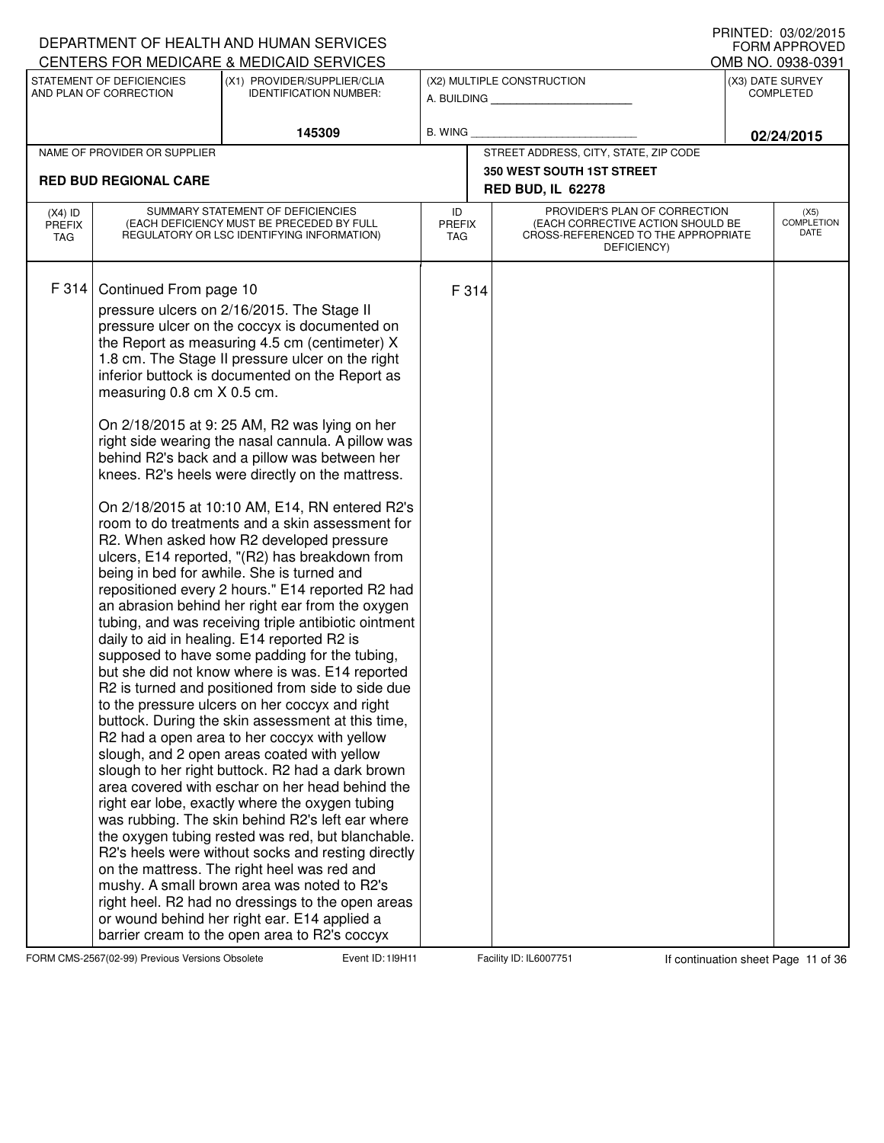|                                          |                                                      | DEPARTMENT OF HEALTH AND HUMAN SERVICES<br>CENTERS FOR MEDICARE & MEDICAID SERVICES                                                                                                                                                                                                                                                                                                                                                                                                                                                                                                                                                                                                                                                                                                                                                                                                                                                                                                                                                                                                                                                                                                                                                                                                                                                                                                                                                                                                                                                                                                                                                                                                                                                                                                                                                                                         |                                   |                                                                                                                          |  | I IUINILLU. VUIVLILUIJ<br>FORM APPROVED<br>OMB NO. 0938-0391 |  |
|------------------------------------------|------------------------------------------------------|-----------------------------------------------------------------------------------------------------------------------------------------------------------------------------------------------------------------------------------------------------------------------------------------------------------------------------------------------------------------------------------------------------------------------------------------------------------------------------------------------------------------------------------------------------------------------------------------------------------------------------------------------------------------------------------------------------------------------------------------------------------------------------------------------------------------------------------------------------------------------------------------------------------------------------------------------------------------------------------------------------------------------------------------------------------------------------------------------------------------------------------------------------------------------------------------------------------------------------------------------------------------------------------------------------------------------------------------------------------------------------------------------------------------------------------------------------------------------------------------------------------------------------------------------------------------------------------------------------------------------------------------------------------------------------------------------------------------------------------------------------------------------------------------------------------------------------------------------------------------------------|-----------------------------------|--------------------------------------------------------------------------------------------------------------------------|--|--------------------------------------------------------------|--|
|                                          | STATEMENT OF DEFICIENCIES<br>AND PLAN OF CORRECTION  | (X1) PROVIDER/SUPPLIER/CLIA<br><b>IDENTIFICATION NUMBER:</b>                                                                                                                                                                                                                                                                                                                                                                                                                                                                                                                                                                                                                                                                                                                                                                                                                                                                                                                                                                                                                                                                                                                                                                                                                                                                                                                                                                                                                                                                                                                                                                                                                                                                                                                                                                                                                |                                   | (X2) MULTIPLE CONSTRUCTION<br>A. BUILDING                                                                                |  | (X3) DATE SURVEY<br><b>COMPLETED</b>                         |  |
|                                          |                                                      | 145309                                                                                                                                                                                                                                                                                                                                                                                                                                                                                                                                                                                                                                                                                                                                                                                                                                                                                                                                                                                                                                                                                                                                                                                                                                                                                                                                                                                                                                                                                                                                                                                                                                                                                                                                                                                                                                                                      | <b>B. WING</b>                    |                                                                                                                          |  | 02/24/2015                                                   |  |
|                                          | NAME OF PROVIDER OR SUPPLIER                         |                                                                                                                                                                                                                                                                                                                                                                                                                                                                                                                                                                                                                                                                                                                                                                                                                                                                                                                                                                                                                                                                                                                                                                                                                                                                                                                                                                                                                                                                                                                                                                                                                                                                                                                                                                                                                                                                             |                                   | STREET ADDRESS, CITY, STATE, ZIP CODE                                                                                    |  |                                                              |  |
|                                          | <b>RED BUD REGIONAL CARE</b>                         |                                                                                                                                                                                                                                                                                                                                                                                                                                                                                                                                                                                                                                                                                                                                                                                                                                                                                                                                                                                                                                                                                                                                                                                                                                                                                                                                                                                                                                                                                                                                                                                                                                                                                                                                                                                                                                                                             |                                   | <b>350 WEST SOUTH 1ST STREET</b><br><b>RED BUD, IL 62278</b>                                                             |  |                                                              |  |
| $(X4)$ ID<br><b>PREFIX</b><br><b>TAG</b> |                                                      | SUMMARY STATEMENT OF DEFICIENCIES<br>(EACH DEFICIENCY MUST BE PRECEDED BY FULL<br>REGULATORY OR LSC IDENTIFYING INFORMATION)                                                                                                                                                                                                                                                                                                                                                                                                                                                                                                                                                                                                                                                                                                                                                                                                                                                                                                                                                                                                                                                                                                                                                                                                                                                                                                                                                                                                                                                                                                                                                                                                                                                                                                                                                | ID<br><b>PREFIX</b><br><b>TAG</b> | PROVIDER'S PLAN OF CORRECTION<br>(EACH CORRECTIVE ACTION SHOULD BE<br>CROSS-REFERENCED TO THE APPROPRIATE<br>DEFICIENCY) |  | (X5)<br><b>COMPLETION</b><br>DATE                            |  |
| F 314                                    | Continued From page 10<br>measuring 0.8 cm X 0.5 cm. | pressure ulcers on 2/16/2015. The Stage II<br>pressure ulcer on the coccyx is documented on<br>the Report as measuring 4.5 cm (centimeter) X<br>1.8 cm. The Stage II pressure ulcer on the right<br>inferior buttock is documented on the Report as<br>On 2/18/2015 at 9: 25 AM, R2 was lying on her<br>right side wearing the nasal cannula. A pillow was<br>behind R2's back and a pillow was between her<br>knees. R2's heels were directly on the mattress.<br>On 2/18/2015 at 10:10 AM, E14, RN entered R2's<br>room to do treatments and a skin assessment for<br>R2. When asked how R2 developed pressure<br>ulcers, E14 reported, "(R2) has breakdown from<br>being in bed for awhile. She is turned and<br>repositioned every 2 hours." E14 reported R2 had<br>an abrasion behind her right ear from the oxygen<br>tubing, and was receiving triple antibiotic ointment<br>daily to aid in healing. E14 reported R2 is<br>supposed to have some padding for the tubing,<br>but she did not know where is was. E14 reported<br>R2 is turned and positioned from side to side due<br>to the pressure ulcers on her coccyx and right<br>buttock. During the skin assessment at this time,<br>R2 had a open area to her coccyx with yellow<br>slough, and 2 open areas coated with yellow<br>slough to her right buttock. R2 had a dark brown<br>area covered with eschar on her head behind the<br>right ear lobe, exactly where the oxygen tubing<br>was rubbing. The skin behind R2's left ear where<br>the oxygen tubing rested was red, but blanchable.<br>R2's heels were without socks and resting directly<br>on the mattress. The right heel was red and<br>mushy. A small brown area was noted to R2's<br>right heel. R2 had no dressings to the open areas<br>or wound behind her right ear. E14 applied a<br>barrier cream to the open area to R2's coccyx | F 314                             |                                                                                                                          |  |                                                              |  |

FORM CMS-2567(02-99) Previous Versions Obsolete **11** Event ID: 119H11 Facility ID: IL6007751 If continuation sheet Page 11 of 36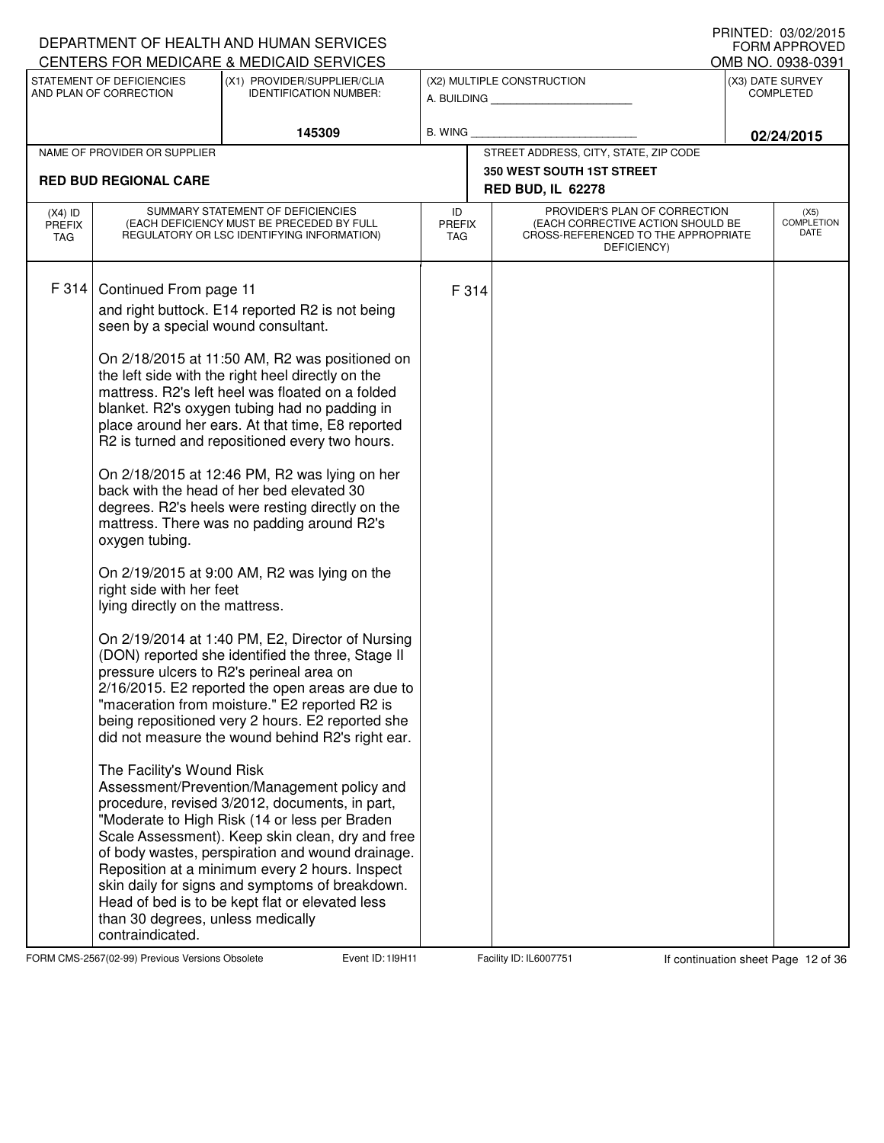|                                          |                                                                                                                                                                                                                  | DEPARTMENT OF HEALTH AND HUMAN SERVICES<br>CENTERS FOR MEDICARE & MEDICAID SERVICES                                                                                                                                                                                                                                                                                                                                                                                                                                                                                                                                                                                                                                                                                                                                                                                                                                                                                                                                                                                                                                                                                                                                                                                                                                                                                                                   |                                   |                                                                                                                          | I INNILD. VJ/VZ/ZVIJ<br><b>FORM APPROVED</b><br>OMB NO. 0938-0391 |
|------------------------------------------|------------------------------------------------------------------------------------------------------------------------------------------------------------------------------------------------------------------|-------------------------------------------------------------------------------------------------------------------------------------------------------------------------------------------------------------------------------------------------------------------------------------------------------------------------------------------------------------------------------------------------------------------------------------------------------------------------------------------------------------------------------------------------------------------------------------------------------------------------------------------------------------------------------------------------------------------------------------------------------------------------------------------------------------------------------------------------------------------------------------------------------------------------------------------------------------------------------------------------------------------------------------------------------------------------------------------------------------------------------------------------------------------------------------------------------------------------------------------------------------------------------------------------------------------------------------------------------------------------------------------------------|-----------------------------------|--------------------------------------------------------------------------------------------------------------------------|-------------------------------------------------------------------|
|                                          | STATEMENT OF DEFICIENCIES<br>AND PLAN OF CORRECTION                                                                                                                                                              | (X1) PROVIDER/SUPPLIER/CLIA<br><b>IDENTIFICATION NUMBER:</b>                                                                                                                                                                                                                                                                                                                                                                                                                                                                                                                                                                                                                                                                                                                                                                                                                                                                                                                                                                                                                                                                                                                                                                                                                                                                                                                                          |                                   | (X2) MULTIPLE CONSTRUCTION<br>A. BUILDING                                                                                | (X3) DATE SURVEY<br><b>COMPLETED</b>                              |
|                                          |                                                                                                                                                                                                                  | 145309                                                                                                                                                                                                                                                                                                                                                                                                                                                                                                                                                                                                                                                                                                                                                                                                                                                                                                                                                                                                                                                                                                                                                                                                                                                                                                                                                                                                | B. WING                           |                                                                                                                          | 02/24/2015                                                        |
|                                          | NAME OF PROVIDER OR SUPPLIER                                                                                                                                                                                     |                                                                                                                                                                                                                                                                                                                                                                                                                                                                                                                                                                                                                                                                                                                                                                                                                                                                                                                                                                                                                                                                                                                                                                                                                                                                                                                                                                                                       |                                   | STREET ADDRESS, CITY, STATE, ZIP CODE                                                                                    |                                                                   |
|                                          | <b>RED BUD REGIONAL CARE</b>                                                                                                                                                                                     |                                                                                                                                                                                                                                                                                                                                                                                                                                                                                                                                                                                                                                                                                                                                                                                                                                                                                                                                                                                                                                                                                                                                                                                                                                                                                                                                                                                                       |                                   | <b>350 WEST SOUTH 1ST STREET</b><br><b>RED BUD, IL 62278</b>                                                             |                                                                   |
| $(X4)$ ID<br><b>PREFIX</b><br><b>TAG</b> |                                                                                                                                                                                                                  | SUMMARY STATEMENT OF DEFICIENCIES<br>(EACH DEFICIENCY MUST BE PRECEDED BY FULL<br>REGULATORY OR LSC IDENTIFYING INFORMATION)                                                                                                                                                                                                                                                                                                                                                                                                                                                                                                                                                                                                                                                                                                                                                                                                                                                                                                                                                                                                                                                                                                                                                                                                                                                                          | ID<br><b>PREFIX</b><br><b>TAG</b> | PROVIDER'S PLAN OF CORRECTION<br>(EACH CORRECTIVE ACTION SHOULD BE<br>CROSS-REFERENCED TO THE APPROPRIATE<br>DEFICIENCY) | (X5)<br><b>COMPLETION</b><br>DATE                                 |
| F 314                                    | Continued From page 11<br>seen by a special wound consultant.<br>oxygen tubing.<br>right side with her feet<br>lying directly on the mattress.<br>The Facility's Wound Risk<br>than 30 degrees, unless medically | and right buttock. E14 reported R2 is not being<br>On 2/18/2015 at 11:50 AM, R2 was positioned on<br>the left side with the right heel directly on the<br>mattress. R2's left heel was floated on a folded<br>blanket. R2's oxygen tubing had no padding in<br>place around her ears. At that time, E8 reported<br>R2 is turned and repositioned every two hours.<br>On 2/18/2015 at 12:46 PM, R2 was lying on her<br>back with the head of her bed elevated 30<br>degrees. R2's heels were resting directly on the<br>mattress. There was no padding around R2's<br>On 2/19/2015 at 9:00 AM, R2 was lying on the<br>On 2/19/2014 at 1:40 PM, E2, Director of Nursing<br>(DON) reported she identified the three, Stage II<br>pressure ulcers to R2's perineal area on<br>2/16/2015. E2 reported the open areas are due to<br>"maceration from moisture." E2 reported R2 is<br>being repositioned very 2 hours. E2 reported she<br>did not measure the wound behind R2's right ear.<br>Assessment/Prevention/Management policy and<br>procedure, revised 3/2012, documents, in part,<br>"Moderate to High Risk (14 or less per Braden<br>Scale Assessment). Keep skin clean, dry and free<br>of body wastes, perspiration and wound drainage.<br>Reposition at a minimum every 2 hours. Inspect<br>skin daily for signs and symptoms of breakdown.<br>Head of bed is to be kept flat or elevated less | F 314                             |                                                                                                                          |                                                                   |
|                                          | contraindicated.                                                                                                                                                                                                 |                                                                                                                                                                                                                                                                                                                                                                                                                                                                                                                                                                                                                                                                                                                                                                                                                                                                                                                                                                                                                                                                                                                                                                                                                                                                                                                                                                                                       |                                   |                                                                                                                          |                                                                   |

FORM CMS-2567(02-99) Previous Versions Obsolete **12** Event ID: 119H11 Facility ID: IL6007751 If continuation sheet Page 12 of 36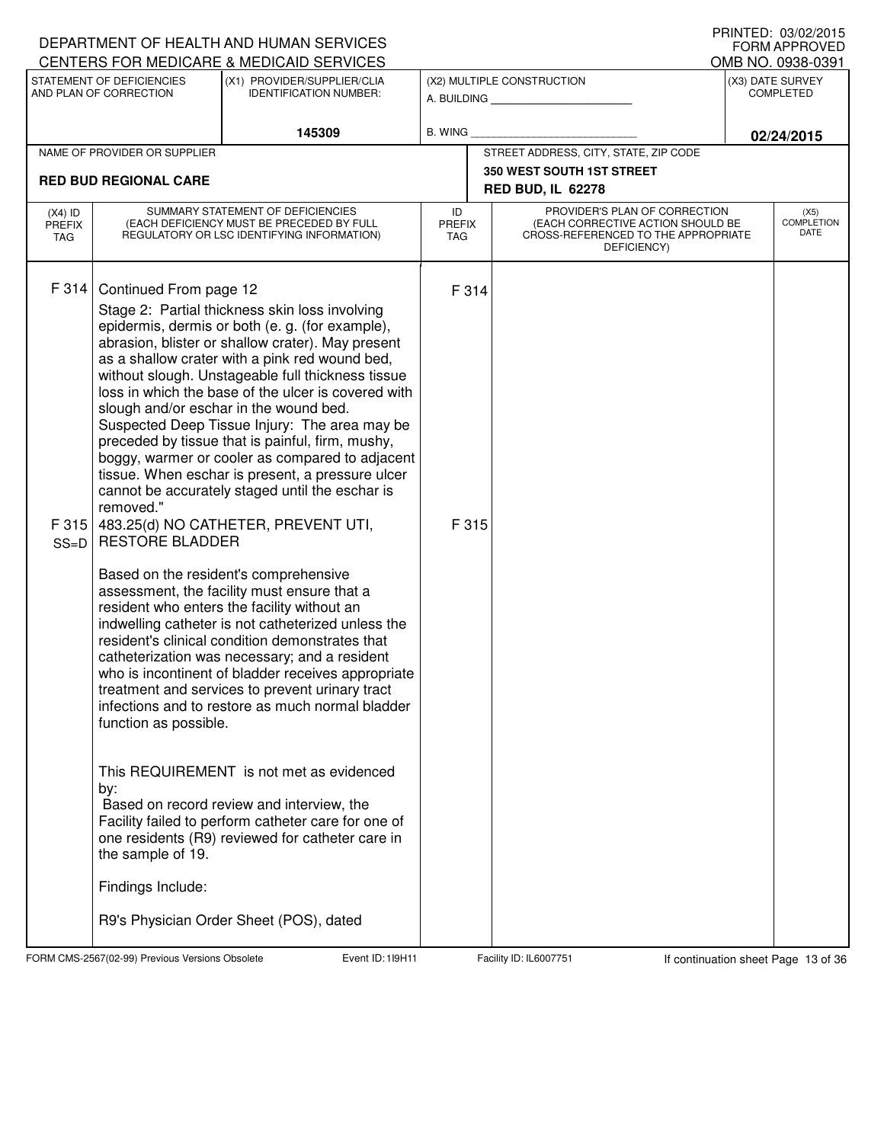|                                          |                                                                                                                                         | DEPARTMENT OF HEALTH AND HUMAN SERVICES<br>CENTERS FOR MEDICARE & MEDICAID SERVICES                                                                                                                                                                                                                                                                                                                                                                                                                                                                                                                                                                                                                                                                                                                                                                                                                                                                                                                                                                                                                                                                                                                                                                                                                                                                                               |                            |                                                                                                                          | I IUIN LLU. VUIVLILUTU<br><b>FORM APPROVED</b><br>OMB NO. 0938-0391 |
|------------------------------------------|-----------------------------------------------------------------------------------------------------------------------------------------|-----------------------------------------------------------------------------------------------------------------------------------------------------------------------------------------------------------------------------------------------------------------------------------------------------------------------------------------------------------------------------------------------------------------------------------------------------------------------------------------------------------------------------------------------------------------------------------------------------------------------------------------------------------------------------------------------------------------------------------------------------------------------------------------------------------------------------------------------------------------------------------------------------------------------------------------------------------------------------------------------------------------------------------------------------------------------------------------------------------------------------------------------------------------------------------------------------------------------------------------------------------------------------------------------------------------------------------------------------------------------------------|----------------------------|--------------------------------------------------------------------------------------------------------------------------|---------------------------------------------------------------------|
|                                          | STATEMENT OF DEFICIENCIES<br>AND PLAN OF CORRECTION                                                                                     | (X1) PROVIDER/SUPPLIER/CLIA<br><b>IDENTIFICATION NUMBER:</b>                                                                                                                                                                                                                                                                                                                                                                                                                                                                                                                                                                                                                                                                                                                                                                                                                                                                                                                                                                                                                                                                                                                                                                                                                                                                                                                      |                            | (X2) MULTIPLE CONSTRUCTION<br>A. BUILDING                                                                                | (X3) DATE SURVEY<br><b>COMPLETED</b>                                |
|                                          |                                                                                                                                         | 145309                                                                                                                                                                                                                                                                                                                                                                                                                                                                                                                                                                                                                                                                                                                                                                                                                                                                                                                                                                                                                                                                                                                                                                                                                                                                                                                                                                            | <b>B. WING</b>             |                                                                                                                          | 02/24/2015                                                          |
|                                          | NAME OF PROVIDER OR SUPPLIER                                                                                                            |                                                                                                                                                                                                                                                                                                                                                                                                                                                                                                                                                                                                                                                                                                                                                                                                                                                                                                                                                                                                                                                                                                                                                                                                                                                                                                                                                                                   |                            | STREET ADDRESS, CITY, STATE, ZIP CODE                                                                                    |                                                                     |
|                                          | <b>RED BUD REGIONAL CARE</b>                                                                                                            |                                                                                                                                                                                                                                                                                                                                                                                                                                                                                                                                                                                                                                                                                                                                                                                                                                                                                                                                                                                                                                                                                                                                                                                                                                                                                                                                                                                   |                            | <b>350 WEST SOUTH 1ST STREET</b><br><b>RED BUD, IL 62278</b>                                                             |                                                                     |
| $(X4)$ ID<br><b>PREFIX</b><br><b>TAG</b> |                                                                                                                                         | SUMMARY STATEMENT OF DEFICIENCIES<br>(EACH DEFICIENCY MUST BE PRECEDED BY FULL<br>REGULATORY OR LSC IDENTIFYING INFORMATION)                                                                                                                                                                                                                                                                                                                                                                                                                                                                                                                                                                                                                                                                                                                                                                                                                                                                                                                                                                                                                                                                                                                                                                                                                                                      | ID<br><b>PREFIX</b><br>TAG | PROVIDER'S PLAN OF CORRECTION<br>(EACH CORRECTIVE ACTION SHOULD BE<br>CROSS-REFERENCED TO THE APPROPRIATE<br>DEFICIENCY) | (X5)<br><b>COMPLETION</b><br>DATE                                   |
| F 314<br>F 315<br>$SS=D$                 | Continued From page 12<br>removed."<br><b>RESTORE BLADDER</b><br>function as possible.<br>by:<br>the sample of 19.<br>Findings Include: | Stage 2: Partial thickness skin loss involving<br>epidermis, dermis or both (e. g. (for example),<br>abrasion, blister or shallow crater). May present<br>as a shallow crater with a pink red wound bed,<br>without slough. Unstageable full thickness tissue<br>loss in which the base of the ulcer is covered with<br>slough and/or eschar in the wound bed.<br>Suspected Deep Tissue Injury: The area may be<br>preceded by tissue that is painful, firm, mushy,<br>boggy, warmer or cooler as compared to adjacent<br>tissue. When eschar is present, a pressure ulcer<br>cannot be accurately staged until the eschar is<br>483.25(d) NO CATHETER, PREVENT UTI,<br>Based on the resident's comprehensive<br>assessment, the facility must ensure that a<br>resident who enters the facility without an<br>indwelling catheter is not catheterized unless the<br>resident's clinical condition demonstrates that<br>catheterization was necessary; and a resident<br>who is incontinent of bladder receives appropriate<br>treatment and services to prevent urinary tract<br>infections and to restore as much normal bladder<br>This REQUIREMENT is not met as evidenced<br>Based on record review and interview, the<br>Facility failed to perform catheter care for one of<br>one residents (R9) reviewed for catheter care in<br>R9's Physician Order Sheet (POS), dated | F 314<br>F 315             |                                                                                                                          |                                                                     |
|                                          |                                                                                                                                         |                                                                                                                                                                                                                                                                                                                                                                                                                                                                                                                                                                                                                                                                                                                                                                                                                                                                                                                                                                                                                                                                                                                                                                                                                                                                                                                                                                                   |                            |                                                                                                                          |                                                                     |

FORM CMS-2567(02-99) Previous Versions Obsolete **11** Event ID: 119H11 Facility ID: IL6007751 If continuation sheet Page 13 of 36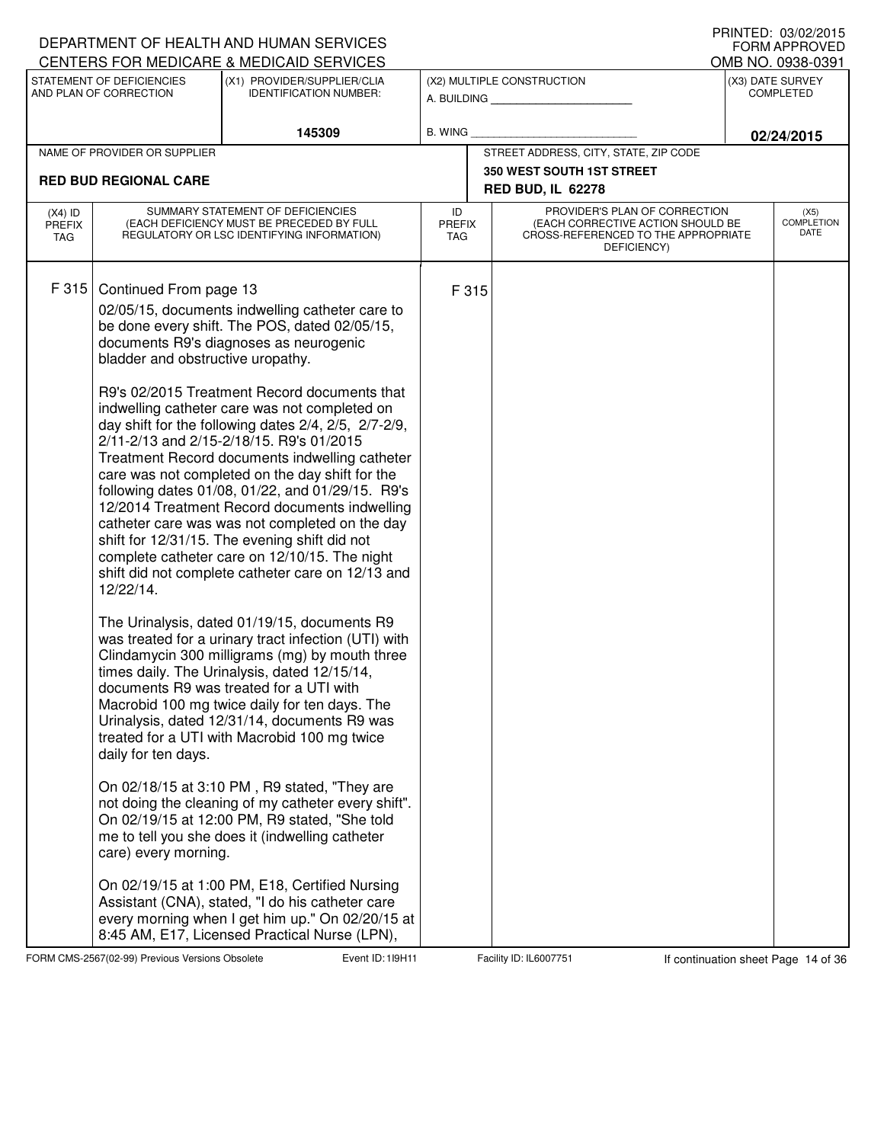|                                                                                                                                                                                                                                                                                                                                                                                                                                                                                                                                                                                                                                                                                                                                                                                                                                                                                                                                                                                                                                                                                     | DEPARTMENT OF HEALTH AND HUMAN SERVICES                                                                                                                                                                                                                                                                                                                                                                                                                                                                                                                                                                                                    |                            |                                                                                                                          | FORM APPROVED                        |
|-------------------------------------------------------------------------------------------------------------------------------------------------------------------------------------------------------------------------------------------------------------------------------------------------------------------------------------------------------------------------------------------------------------------------------------------------------------------------------------------------------------------------------------------------------------------------------------------------------------------------------------------------------------------------------------------------------------------------------------------------------------------------------------------------------------------------------------------------------------------------------------------------------------------------------------------------------------------------------------------------------------------------------------------------------------------------------------|--------------------------------------------------------------------------------------------------------------------------------------------------------------------------------------------------------------------------------------------------------------------------------------------------------------------------------------------------------------------------------------------------------------------------------------------------------------------------------------------------------------------------------------------------------------------------------------------------------------------------------------------|----------------------------|--------------------------------------------------------------------------------------------------------------------------|--------------------------------------|
| CENTERS FOR MEDICARE & MEDICAID SERVICES                                                                                                                                                                                                                                                                                                                                                                                                                                                                                                                                                                                                                                                                                                                                                                                                                                                                                                                                                                                                                                            |                                                                                                                                                                                                                                                                                                                                                                                                                                                                                                                                                                                                                                            |                            |                                                                                                                          | OMB NO. 0938-0391                    |
| STATEMENT OF DEFICIENCIES<br>AND PLAN OF CORRECTION                                                                                                                                                                                                                                                                                                                                                                                                                                                                                                                                                                                                                                                                                                                                                                                                                                                                                                                                                                                                                                 | (X1) PROVIDER/SUPPLIER/CLIA<br><b>IDENTIFICATION NUMBER:</b>                                                                                                                                                                                                                                                                                                                                                                                                                                                                                                                                                                               |                            | (X2) MULTIPLE CONSTRUCTION<br>A. BUILDING                                                                                | (X3) DATE SURVEY<br><b>COMPLETED</b> |
|                                                                                                                                                                                                                                                                                                                                                                                                                                                                                                                                                                                                                                                                                                                                                                                                                                                                                                                                                                                                                                                                                     | 145309                                                                                                                                                                                                                                                                                                                                                                                                                                                                                                                                                                                                                                     | B. WING                    |                                                                                                                          | 02/24/2015                           |
| NAME OF PROVIDER OR SUPPLIER                                                                                                                                                                                                                                                                                                                                                                                                                                                                                                                                                                                                                                                                                                                                                                                                                                                                                                                                                                                                                                                        |                                                                                                                                                                                                                                                                                                                                                                                                                                                                                                                                                                                                                                            |                            | STREET ADDRESS, CITY, STATE, ZIP CODE                                                                                    |                                      |
| <b>RED BUD REGIONAL CARE</b>                                                                                                                                                                                                                                                                                                                                                                                                                                                                                                                                                                                                                                                                                                                                                                                                                                                                                                                                                                                                                                                        |                                                                                                                                                                                                                                                                                                                                                                                                                                                                                                                                                                                                                                            |                            | <b>350 WEST SOUTH 1ST STREET</b><br><b>RED BUD, IL 62278</b>                                                             |                                      |
| $(X4)$ ID<br><b>PREFIX</b><br>TAG                                                                                                                                                                                                                                                                                                                                                                                                                                                                                                                                                                                                                                                                                                                                                                                                                                                                                                                                                                                                                                                   | SUMMARY STATEMENT OF DEFICIENCIES<br>(EACH DEFICIENCY MUST BE PRECEDED BY FULL<br>REGULATORY OR LSC IDENTIFYING INFORMATION)                                                                                                                                                                                                                                                                                                                                                                                                                                                                                                               | ID<br><b>PREFIX</b><br>TAG | PROVIDER'S PLAN OF CORRECTION<br>(EACH CORRECTIVE ACTION SHOULD BE<br>CROSS-REFERENCED TO THE APPROPRIATE<br>DEFICIENCY) | (X5)<br><b>COMPLETION</b><br>DATE    |
| F315<br>Continued From page 13<br>be done every shift. The POS, dated 02/05/15,<br>documents R9's diagnoses as neurogenic<br>bladder and obstructive uropathy.<br>indwelling catheter care was not completed on<br>2/11-2/13 and 2/15-2/18/15. R9's 01/2015<br>care was not completed on the day shift for the<br>shift for 12/31/15. The evening shift did not<br>complete catheter care on 12/10/15. The night<br>12/22/14.<br>The Urinalysis, dated 01/19/15, documents R9<br>times daily. The Urinalysis, dated 12/15/14,<br>documents R9 was treated for a UTI with<br>Macrobid 100 mg twice daily for ten days. The<br>Urinalysis, dated 12/31/14, documents R9 was<br>treated for a UTI with Macrobid 100 mg twice<br>daily for ten days.<br>On 02/18/15 at 3:10 PM, R9 stated, "They are<br>On 02/19/15 at 12:00 PM, R9 stated, "She told<br>me to tell you she does it (indwelling catheter<br>care) every morning.<br>On 02/19/15 at 1:00 PM, E18, Certified Nursing<br>Assistant (CNA), stated, "I do his catheter care<br>8:45 AM, E17, Licensed Practical Nurse (LPN), | 02/05/15, documents indwelling catheter care to<br>R9's 02/2015 Treatment Record documents that<br>day shift for the following dates 2/4, 2/5, 2/7-2/9,<br>Treatment Record documents indwelling catheter<br>following dates 01/08, 01/22, and 01/29/15. R9's<br>12/2014 Treatment Record documents indwelling<br>catheter care was was not completed on the day<br>shift did not complete catheter care on 12/13 and<br>was treated for a urinary tract infection (UTI) with<br>Clindamycin 300 milligrams (mg) by mouth three<br>not doing the cleaning of my catheter every shift".<br>every morning when I get him up." On 02/20/15 at | F 315                      |                                                                                                                          |                                      |

FORM CMS-2567(02-99) Previous Versions Obsolete **11 Event ID: 119H11** Facility ID: IL6007751 If continuation sheet Page 14 of 36

DEPARTMENT OF HEALTH AND HUMAN SERVICES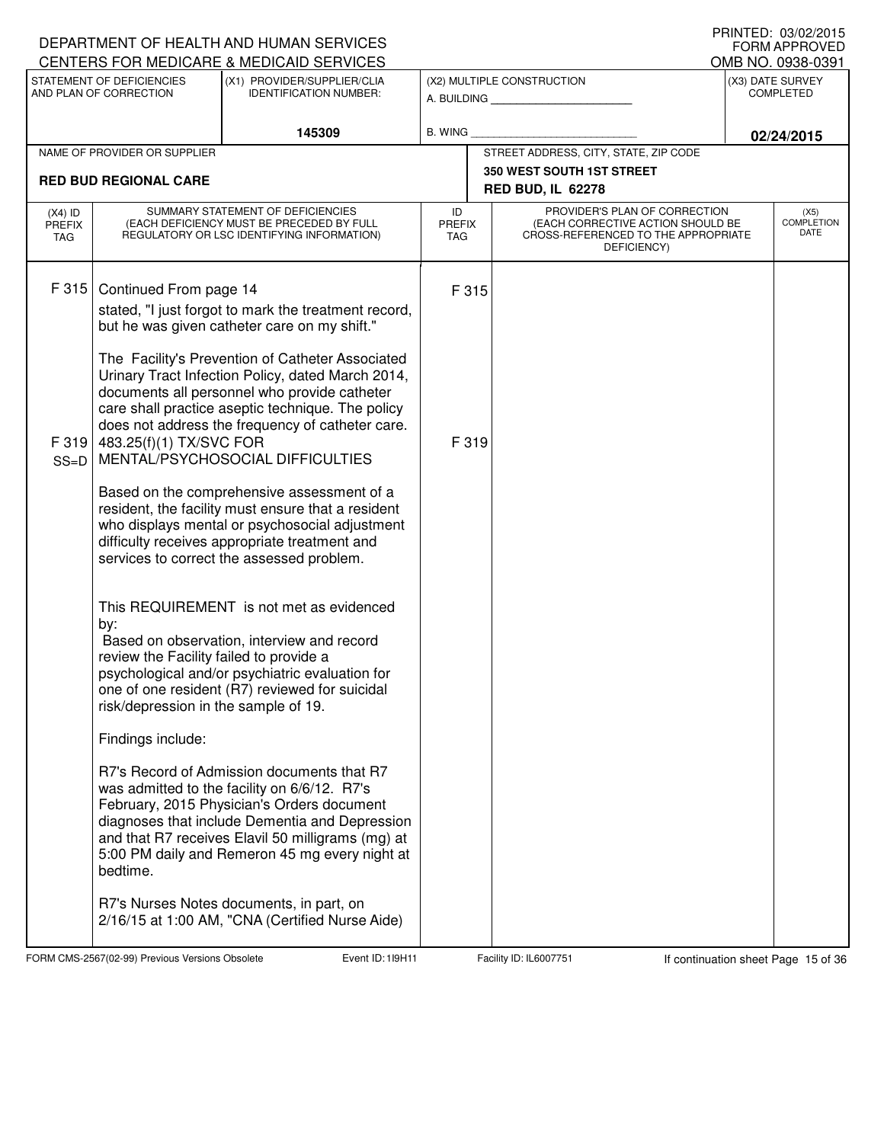|                                   |                                                                                                                                                                  | DEPARTMENT OF HEALTH AND HUMAN SERVICES<br>CENTERS FOR MEDICARE & MEDICAID SERVICES                                                                                                                                                                                                                                                                                                                                                                                                                                                                                                                                                                                                                                                                                                                                                                                                                                                                                                                                                                                                                                                                                |                                       |  |                                                                                                                          |  | I INNILD. VJ/VZ/ZVIJ<br>FORM APPROVED<br>OMB NO. 0938-0391 |  |
|-----------------------------------|------------------------------------------------------------------------------------------------------------------------------------------------------------------|--------------------------------------------------------------------------------------------------------------------------------------------------------------------------------------------------------------------------------------------------------------------------------------------------------------------------------------------------------------------------------------------------------------------------------------------------------------------------------------------------------------------------------------------------------------------------------------------------------------------------------------------------------------------------------------------------------------------------------------------------------------------------------------------------------------------------------------------------------------------------------------------------------------------------------------------------------------------------------------------------------------------------------------------------------------------------------------------------------------------------------------------------------------------|---------------------------------------|--|--------------------------------------------------------------------------------------------------------------------------|--|------------------------------------------------------------|--|
|                                   | STATEMENT OF DEFICIENCIES<br>AND PLAN OF CORRECTION                                                                                                              | (X1) PROVIDER/SUPPLIER/CLIA<br><b>IDENTIFICATION NUMBER:</b>                                                                                                                                                                                                                                                                                                                                                                                                                                                                                                                                                                                                                                                                                                                                                                                                                                                                                                                                                                                                                                                                                                       |                                       |  | (X2) MULTIPLE CONSTRUCTION<br>A. BUILDING                                                                                |  | (X3) DATE SURVEY<br><b>COMPLETED</b>                       |  |
|                                   |                                                                                                                                                                  | 145309                                                                                                                                                                                                                                                                                                                                                                                                                                                                                                                                                                                                                                                                                                                                                                                                                                                                                                                                                                                                                                                                                                                                                             | B. WING                               |  |                                                                                                                          |  | 02/24/2015                                                 |  |
|                                   | NAME OF PROVIDER OR SUPPLIER                                                                                                                                     |                                                                                                                                                                                                                                                                                                                                                                                                                                                                                                                                                                                                                                                                                                                                                                                                                                                                                                                                                                                                                                                                                                                                                                    | STREET ADDRESS, CITY, STATE, ZIP CODE |  |                                                                                                                          |  |                                                            |  |
|                                   | <b>RED BUD REGIONAL CARE</b>                                                                                                                                     |                                                                                                                                                                                                                                                                                                                                                                                                                                                                                                                                                                                                                                                                                                                                                                                                                                                                                                                                                                                                                                                                                                                                                                    |                                       |  | <b>350 WEST SOUTH 1ST STREET</b><br><b>RED BUD, IL 62278</b>                                                             |  |                                                            |  |
| $(X4)$ ID<br><b>PREFIX</b><br>TAG |                                                                                                                                                                  | SUMMARY STATEMENT OF DEFICIENCIES<br>(EACH DEFICIENCY MUST BE PRECEDED BY FULL<br>REGULATORY OR LSC IDENTIFYING INFORMATION)                                                                                                                                                                                                                                                                                                                                                                                                                                                                                                                                                                                                                                                                                                                                                                                                                                                                                                                                                                                                                                       | ID<br><b>PREFIX</b><br><b>TAG</b>     |  | PROVIDER'S PLAN OF CORRECTION<br>(EACH CORRECTIVE ACTION SHOULD BE<br>CROSS-REFERENCED TO THE APPROPRIATE<br>DEFICIENCY) |  | (X5)<br><b>COMPLETION</b><br>DATE                          |  |
| F 315<br>F 319<br>$SS=D$          | Continued From page 14<br>483.25(f)(1) TX/SVC FOR<br>by:<br>review the Facility failed to provide a<br>risk/depression in the sample of 19.<br>Findings include: | stated, "I just forgot to mark the treatment record,<br>but he was given catheter care on my shift."<br>The Facility's Prevention of Catheter Associated<br>Urinary Tract Infection Policy, dated March 2014,<br>documents all personnel who provide catheter<br>care shall practice aseptic technique. The policy<br>does not address the frequency of catheter care.<br>MENTAL/PSYCHOSOCIAL DIFFICULTIES<br>Based on the comprehensive assessment of a<br>resident, the facility must ensure that a resident<br>who displays mental or psychosocial adjustment<br>difficulty receives appropriate treatment and<br>services to correct the assessed problem.<br>This REQUIREMENT is not met as evidenced<br>Based on observation, interview and record<br>psychological and/or psychiatric evaluation for<br>one of one resident (R7) reviewed for suicidal<br>R7's Record of Admission documents that R7<br>was admitted to the facility on 6/6/12. R7's<br>February, 2015 Physician's Orders document<br>diagnoses that include Dementia and Depression<br>and that R7 receives Elavil 50 milligrams (mg) at<br>5:00 PM daily and Remeron 45 mg every night at | F 315<br>F 319                        |  |                                                                                                                          |  |                                                            |  |
|                                   | bedtime.                                                                                                                                                         | R7's Nurses Notes documents, in part, on<br>2/16/15 at 1:00 AM, "CNA (Certified Nurse Aide)                                                                                                                                                                                                                                                                                                                                                                                                                                                                                                                                                                                                                                                                                                                                                                                                                                                                                                                                                                                                                                                                        |                                       |  |                                                                                                                          |  |                                                            |  |

FORM CMS-2567(02-99) Previous Versions Obsolete **11** Event ID: 119H11 Facility ID: IL6007751 If continuation sheet Page 15 of 36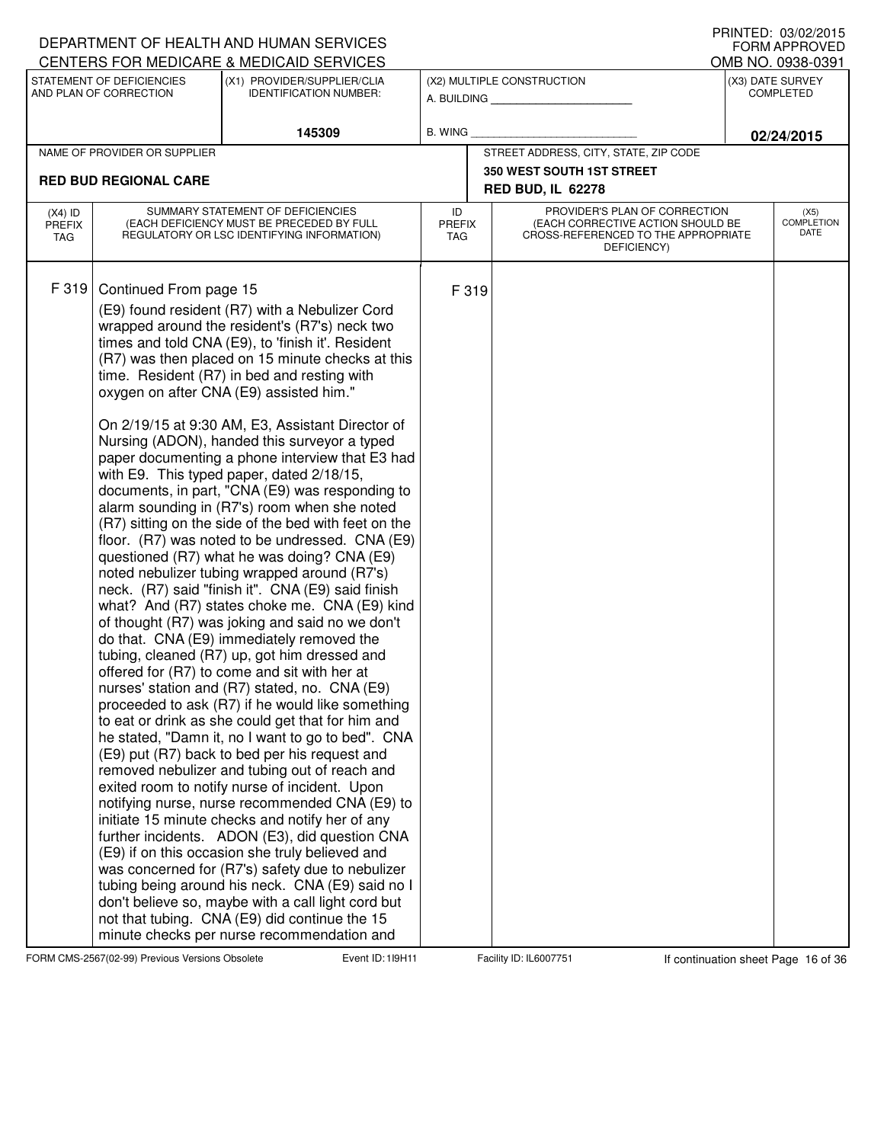## A. BUILDING **\_\_\_\_\_\_\_\_\_\_\_\_\_\_\_\_\_\_\_\_\_\_** (X1) PROVIDER/SUPPLIER/CLIA IDENTIFICATION NUMBER: STATEMENT OF DEFICIENCIES AND PLAN OF CORRECTION (X3) DATE SURVEY COMPLETED (X2) MULTIPLE CONSTRUCTION B. WING CENTERS FOR MEDICARE & MEDICAID SERVICES **145309 02/24/2015** NAME OF PROVIDER OR SUPPLIER STREET ADDRESS, CITY, STATE, ZIP CODE **350 WEST SOUTH 1ST STREET RED BUD REGIONAL CARE RED BUD, IL 62278** PROVIDER'S PLAN OF CORRECTION (EACH CORRECTIVE ACTION SHOULD BE CROSS-REFERENCED TO THE APPROPRIATE DEFICIENCY) (X5) **COMPLETION** DATE ID PREFIX TAG (X4) ID PREFIX TAG SUMMARY STATEMENT OF DEFICIENCIES (EACH DEFICIENCY MUST BE PRECEDED BY FULL REGULATORY OR LSC IDENTIFYING INFORMATION) F 319 Continued From page 15 F 319 (E9) found resident (R7) with a Nebulizer Cord wrapped around the resident's (R7's) neck two times and told CNA (E9), to 'finish it'. Resident (R7) was then placed on 15 minute checks at this time. Resident (R7) in bed and resting with oxygen on after CNA (E9) assisted him." On 2/19/15 at 9:30 AM, E3, Assistant Director of Nursing (ADON), handed this surveyor a typed paper documenting a phone interview that E3 had with E9. This typed paper, dated 2/18/15, documents, in part, "CNA (E9) was responding to alarm sounding in (R7's) room when she noted (R7) sitting on the side of the bed with feet on the floor. (R7) was noted to be undressed. CNA (E9) questioned (R7) what he was doing? CNA (E9) noted nebulizer tubing wrapped around (R7's) neck. (R7) said "finish it". CNA (E9) said finish what? And (R7) states choke me. CNA (E9) kind of thought (R7) was joking and said no we don't do that. CNA (E9) immediately removed the tubing, cleaned (R7) up, got him dressed and offered for (R7) to come and sit with her at nurses' station and (R7) stated, no. CNA (E9) proceeded to ask (R7) if he would like something to eat or drink as she could get that for him and he stated, "Damn it, no I want to go to bed". CNA (E9) put (R7) back to bed per his request and removed nebulizer and tubing out of reach and exited room to notify nurse of incident. Upon notifying nurse, nurse recommended CNA (E9) to initiate 15 minute checks and notify her of any further incidents. ADON (E3), did question CNA (E9) if on this occasion she truly believed and was concerned for (R7's) safety due to nebulizer tubing being around his neck. CNA (E9) said no I don't believe so, maybe with a call light cord but not that tubing. CNA (E9) did continue the 15 minute checks per nurse recommendation and

FORM CMS-2567(02-99) Previous Versions Obsolete 11 Event ID: 119H11 Facility ID: IL6007751 If continuation sheet Page 16 of 36

DEPARTMENT OF HEALTH AND HUMAN SERVICES

## PRINTED: 03/02/2015 FORM APPROVED<br>OMB NO. 0938-0391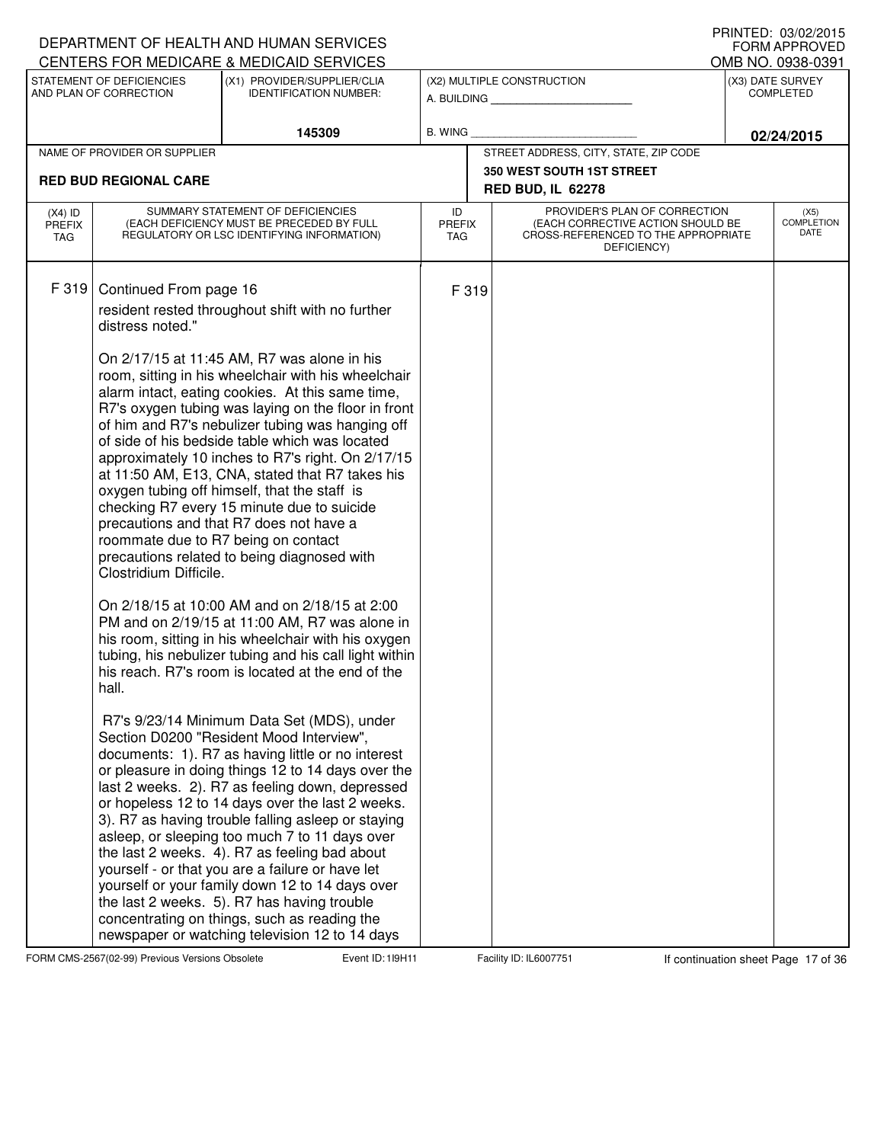|                                          |                                                                                                                      | DEPARTMENT OF HEALTH AND HUMAN SERVICES<br>CENTERS FOR MEDICARE & MEDICAID SERVICES                                                                                                                                                                                                                                                                                                                                                                                                                                                                                                                                                                                                                                                                                                                                                                                                                                                                                                                                                                                                                                                                                                                                                                                                                                                                                                                                                                                                                                                                                         |                                   |       |                                                                                                                          | $1$ INNILD. VJ/VZ/ZVIJ<br><b>FORM APPROVED</b><br>OMB NO. 0938-0391 |
|------------------------------------------|----------------------------------------------------------------------------------------------------------------------|-----------------------------------------------------------------------------------------------------------------------------------------------------------------------------------------------------------------------------------------------------------------------------------------------------------------------------------------------------------------------------------------------------------------------------------------------------------------------------------------------------------------------------------------------------------------------------------------------------------------------------------------------------------------------------------------------------------------------------------------------------------------------------------------------------------------------------------------------------------------------------------------------------------------------------------------------------------------------------------------------------------------------------------------------------------------------------------------------------------------------------------------------------------------------------------------------------------------------------------------------------------------------------------------------------------------------------------------------------------------------------------------------------------------------------------------------------------------------------------------------------------------------------------------------------------------------------|-----------------------------------|-------|--------------------------------------------------------------------------------------------------------------------------|---------------------------------------------------------------------|
|                                          | STATEMENT OF DEFICIENCIES<br>AND PLAN OF CORRECTION                                                                  | (X1) PROVIDER/SUPPLIER/CLIA<br><b>IDENTIFICATION NUMBER:</b>                                                                                                                                                                                                                                                                                                                                                                                                                                                                                                                                                                                                                                                                                                                                                                                                                                                                                                                                                                                                                                                                                                                                                                                                                                                                                                                                                                                                                                                                                                                |                                   |       | (X2) MULTIPLE CONSTRUCTION<br>A. BUILDING                                                                                | (X3) DATE SURVEY<br><b>COMPLETED</b>                                |
|                                          |                                                                                                                      | 145309                                                                                                                                                                                                                                                                                                                                                                                                                                                                                                                                                                                                                                                                                                                                                                                                                                                                                                                                                                                                                                                                                                                                                                                                                                                                                                                                                                                                                                                                                                                                                                      | B. WING                           |       |                                                                                                                          | 02/24/2015                                                          |
|                                          | NAME OF PROVIDER OR SUPPLIER                                                                                         |                                                                                                                                                                                                                                                                                                                                                                                                                                                                                                                                                                                                                                                                                                                                                                                                                                                                                                                                                                                                                                                                                                                                                                                                                                                                                                                                                                                                                                                                                                                                                                             |                                   |       | STREET ADDRESS, CITY, STATE, ZIP CODE                                                                                    |                                                                     |
|                                          | <b>RED BUD REGIONAL CARE</b>                                                                                         |                                                                                                                                                                                                                                                                                                                                                                                                                                                                                                                                                                                                                                                                                                                                                                                                                                                                                                                                                                                                                                                                                                                                                                                                                                                                                                                                                                                                                                                                                                                                                                             |                                   |       | 350 WEST SOUTH 1ST STREET                                                                                                |                                                                     |
|                                          |                                                                                                                      |                                                                                                                                                                                                                                                                                                                                                                                                                                                                                                                                                                                                                                                                                                                                                                                                                                                                                                                                                                                                                                                                                                                                                                                                                                                                                                                                                                                                                                                                                                                                                                             |                                   |       | <b>RED BUD, IL 62278</b>                                                                                                 |                                                                     |
| $(X4)$ ID<br><b>PREFIX</b><br><b>TAG</b> |                                                                                                                      | SUMMARY STATEMENT OF DEFICIENCIES<br>(EACH DEFICIENCY MUST BE PRECEDED BY FULL<br>REGULATORY OR LSC IDENTIFYING INFORMATION)                                                                                                                                                                                                                                                                                                                                                                                                                                                                                                                                                                                                                                                                                                                                                                                                                                                                                                                                                                                                                                                                                                                                                                                                                                                                                                                                                                                                                                                | ID<br><b>PREFIX</b><br><b>TAG</b> |       | PROVIDER'S PLAN OF CORRECTION<br>(EACH CORRECTIVE ACTION SHOULD BE<br>CROSS-REFERENCED TO THE APPROPRIATE<br>DEFICIENCY) | (X5)<br><b>COMPLETION</b><br>DATE                                   |
| F 319                                    | Continued From page 16<br>distress noted."<br>roommate due to R7 being on contact<br>Clostridium Difficile.<br>hall. | resident rested throughout shift with no further<br>On 2/17/15 at 11:45 AM, R7 was alone in his<br>room, sitting in his wheelchair with his wheelchair<br>alarm intact, eating cookies. At this same time,<br>R7's oxygen tubing was laying on the floor in front<br>of him and R7's nebulizer tubing was hanging off<br>of side of his bedside table which was located<br>approximately 10 inches to R7's right. On 2/17/15<br>at 11:50 AM, E13, CNA, stated that R7 takes his<br>oxygen tubing off himself, that the staff is<br>checking R7 every 15 minute due to suicide<br>precautions and that R7 does not have a<br>precautions related to being diagnosed with<br>On 2/18/15 at 10:00 AM and on 2/18/15 at 2:00<br>PM and on 2/19/15 at 11:00 AM, R7 was alone in<br>his room, sitting in his wheelchair with his oxygen<br>tubing, his nebulizer tubing and his call light within<br>his reach. R7's room is located at the end of the<br>R7's 9/23/14 Minimum Data Set (MDS), under<br>Section D0200 "Resident Mood Interview",<br>documents: 1). R7 as having little or no interest<br>or pleasure in doing things 12 to 14 days over the<br>last 2 weeks. 2). R7 as feeling down, depressed<br>or hopeless 12 to 14 days over the last 2 weeks.<br>3). R7 as having trouble falling asleep or staying<br>asleep, or sleeping too much 7 to 11 days over<br>the last 2 weeks. 4). R7 as feeling bad about<br>yourself - or that you are a failure or have let<br>yourself or your family down 12 to 14 days over<br>the last 2 weeks. 5). R7 has having trouble |                                   | F 319 |                                                                                                                          |                                                                     |
|                                          |                                                                                                                      | concentrating on things, such as reading the<br>newspaper or watching television 12 to 14 days                                                                                                                                                                                                                                                                                                                                                                                                                                                                                                                                                                                                                                                                                                                                                                                                                                                                                                                                                                                                                                                                                                                                                                                                                                                                                                                                                                                                                                                                              |                                   |       |                                                                                                                          |                                                                     |

FORM CMS-2567(02-99) Previous Versions Obsolete 17 of 36 Event ID: 119H11 Facility ID: IL6007751 If continuation sheet Page 17 of 36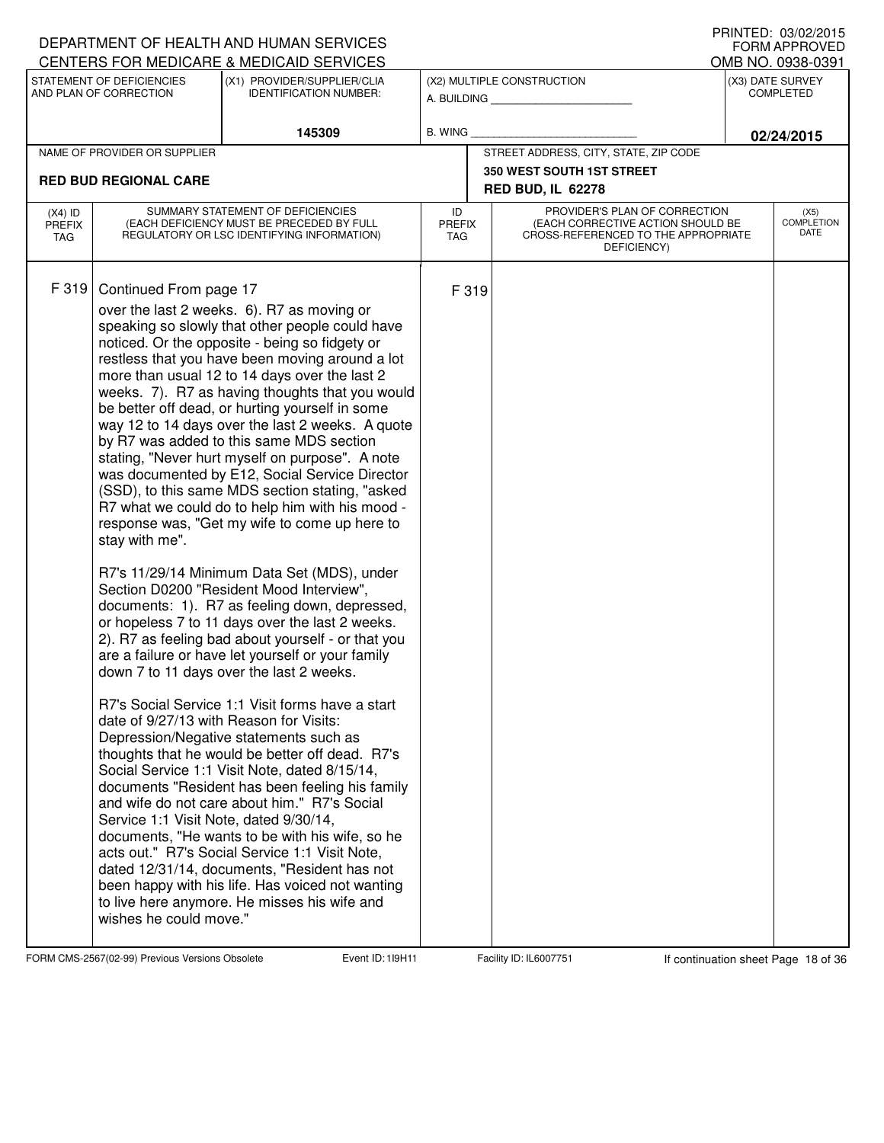|                                   |                                                                                                                                                         | DEPARTMENT OF HEALTH AND HUMAN SERVICES<br>CENTERS FOR MEDICARE & MEDICAID SERVICES                                                                                                                                                                                                                                                                                                                                                                                                                                                                                                                                                                                                                                                                                                                                                                                                                                                                                                                                                                                                                                                                                                                                                                                                                                                                                                                                                                                                                                                                                                                                                       |                                   |                                                                                                                          | I INNILD. VJ/VZ/ZVIJ<br><b>FORM APPROVED</b><br>OMB NO. 0938-0391 |
|-----------------------------------|---------------------------------------------------------------------------------------------------------------------------------------------------------|-------------------------------------------------------------------------------------------------------------------------------------------------------------------------------------------------------------------------------------------------------------------------------------------------------------------------------------------------------------------------------------------------------------------------------------------------------------------------------------------------------------------------------------------------------------------------------------------------------------------------------------------------------------------------------------------------------------------------------------------------------------------------------------------------------------------------------------------------------------------------------------------------------------------------------------------------------------------------------------------------------------------------------------------------------------------------------------------------------------------------------------------------------------------------------------------------------------------------------------------------------------------------------------------------------------------------------------------------------------------------------------------------------------------------------------------------------------------------------------------------------------------------------------------------------------------------------------------------------------------------------------------|-----------------------------------|--------------------------------------------------------------------------------------------------------------------------|-------------------------------------------------------------------|
|                                   | STATEMENT OF DEFICIENCIES<br>AND PLAN OF CORRECTION                                                                                                     | (X1) PROVIDER/SUPPLIER/CLIA<br><b>IDENTIFICATION NUMBER:</b>                                                                                                                                                                                                                                                                                                                                                                                                                                                                                                                                                                                                                                                                                                                                                                                                                                                                                                                                                                                                                                                                                                                                                                                                                                                                                                                                                                                                                                                                                                                                                                              |                                   | (X2) MULTIPLE CONSTRUCTION<br>A. BUILDING                                                                                | (X3) DATE SURVEY<br><b>COMPLETED</b>                              |
|                                   |                                                                                                                                                         | 145309                                                                                                                                                                                                                                                                                                                                                                                                                                                                                                                                                                                                                                                                                                                                                                                                                                                                                                                                                                                                                                                                                                                                                                                                                                                                                                                                                                                                                                                                                                                                                                                                                                    | B. WING                           |                                                                                                                          | 02/24/2015                                                        |
|                                   | NAME OF PROVIDER OR SUPPLIER                                                                                                                            |                                                                                                                                                                                                                                                                                                                                                                                                                                                                                                                                                                                                                                                                                                                                                                                                                                                                                                                                                                                                                                                                                                                                                                                                                                                                                                                                                                                                                                                                                                                                                                                                                                           |                                   | STREET ADDRESS, CITY, STATE, ZIP CODE                                                                                    |                                                                   |
|                                   | <b>RED BUD REGIONAL CARE</b>                                                                                                                            |                                                                                                                                                                                                                                                                                                                                                                                                                                                                                                                                                                                                                                                                                                                                                                                                                                                                                                                                                                                                                                                                                                                                                                                                                                                                                                                                                                                                                                                                                                                                                                                                                                           |                                   | <b>350 WEST SOUTH 1ST STREET</b><br><b>RED BUD, IL 62278</b>                                                             |                                                                   |
| $(X4)$ ID<br><b>PREFIX</b><br>TAG |                                                                                                                                                         | SUMMARY STATEMENT OF DEFICIENCIES<br>(EACH DEFICIENCY MUST BE PRECEDED BY FULL<br>REGULATORY OR LSC IDENTIFYING INFORMATION)                                                                                                                                                                                                                                                                                                                                                                                                                                                                                                                                                                                                                                                                                                                                                                                                                                                                                                                                                                                                                                                                                                                                                                                                                                                                                                                                                                                                                                                                                                              | ID<br><b>PREFIX</b><br><b>TAG</b> | PROVIDER'S PLAN OF CORRECTION<br>(EACH CORRECTIVE ACTION SHOULD BE<br>CROSS-REFERENCED TO THE APPROPRIATE<br>DEFICIENCY) | (X5)<br><b>COMPLETION</b><br>DATE                                 |
| F 319                             | Continued From page 17<br>stay with me".<br>date of 9/27/13 with Reason for Visits:<br>Service 1:1 Visit Note, dated 9/30/14,<br>wishes he could move." | over the last 2 weeks. 6). R7 as moving or<br>speaking so slowly that other people could have<br>noticed. Or the opposite - being so fidgety or<br>restless that you have been moving around a lot<br>more than usual 12 to 14 days over the last 2<br>weeks. 7). R7 as having thoughts that you would<br>be better off dead, or hurting yourself in some<br>way 12 to 14 days over the last 2 weeks. A quote<br>by R7 was added to this same MDS section<br>stating, "Never hurt myself on purpose". A note<br>was documented by E12, Social Service Director<br>(SSD), to this same MDS section stating, "asked<br>R7 what we could do to help him with his mood -<br>response was, "Get my wife to come up here to<br>R7's 11/29/14 Minimum Data Set (MDS), under<br>Section D0200 "Resident Mood Interview",<br>documents: 1). R7 as feeling down, depressed,<br>or hopeless 7 to 11 days over the last 2 weeks.<br>2). R7 as feeling bad about yourself - or that you<br>are a failure or have let yourself or your family<br>down 7 to 11 days over the last 2 weeks.<br>R7's Social Service 1:1 Visit forms have a start<br>Depression/Negative statements such as<br>thoughts that he would be better off dead. R7's<br>Social Service 1:1 Visit Note, dated 8/15/14,<br>documents "Resident has been feeling his family<br>and wife do not care about him." R7's Social<br>documents, "He wants to be with his wife, so he<br>acts out." R7's Social Service 1:1 Visit Note,<br>dated 12/31/14, documents, "Resident has not<br>been happy with his life. Has voiced not wanting<br>to live here anymore. He misses his wife and | F 319                             |                                                                                                                          |                                                                   |

FORM CMS-2567(02-99) Previous Versions Obsolete **18** Event ID: 119H11 Facility ID: IL6007751 If continuation sheet Page 18 of 36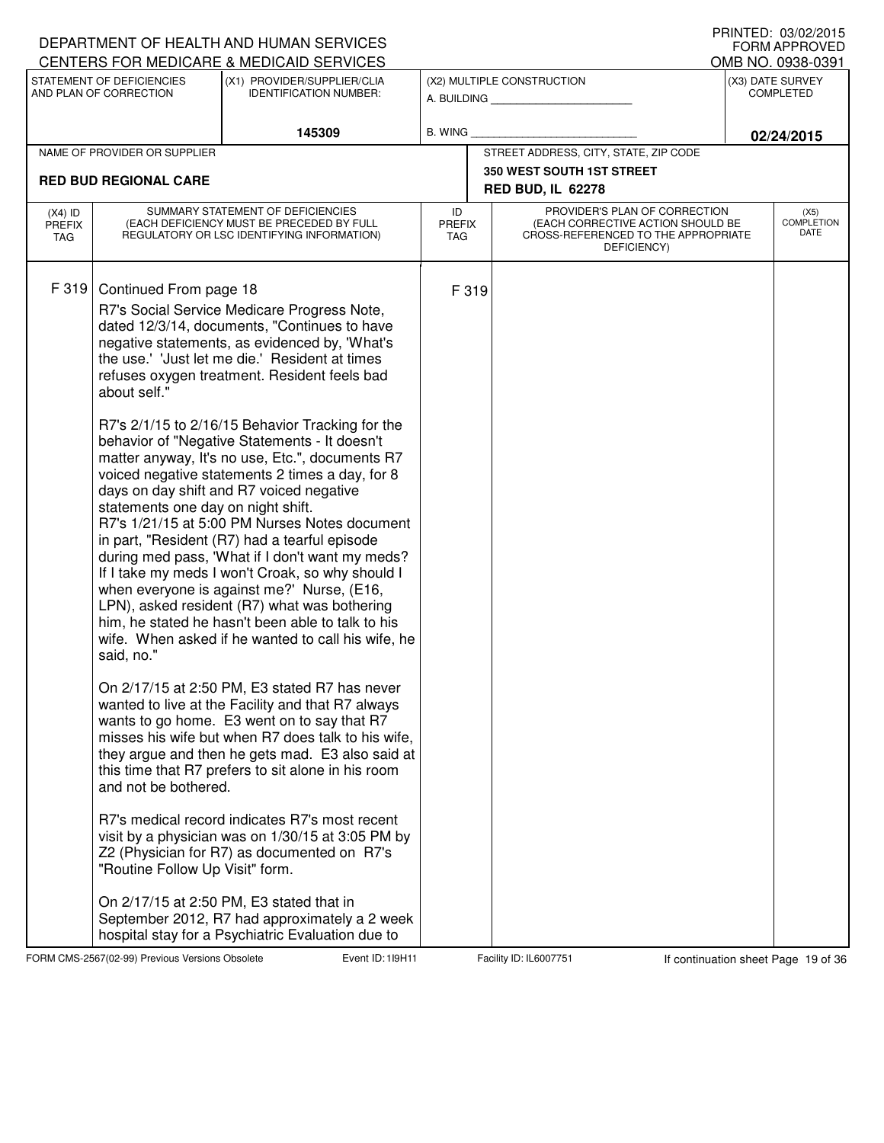|                                          |                                                                                                                                                       | DEPARTMENT OF HEALTH AND HUMAN SERVICES<br>CENTERS FOR MEDICARE & MEDICAID SERVICES                                                                                                                                                                                                                                                                                                                                                                                                                                                                                                                                                                                                                                                                                                                                                                                                                                                                                                                                                                                                                                                                                                                                                                                                                                                                                                                                                                                                             |                                   |                                                                                                                          | I INNILD. VJ/VZ/ZVIJ<br>FORM APPROVED<br>OMB NO. 0938-0391 |
|------------------------------------------|-------------------------------------------------------------------------------------------------------------------------------------------------------|-------------------------------------------------------------------------------------------------------------------------------------------------------------------------------------------------------------------------------------------------------------------------------------------------------------------------------------------------------------------------------------------------------------------------------------------------------------------------------------------------------------------------------------------------------------------------------------------------------------------------------------------------------------------------------------------------------------------------------------------------------------------------------------------------------------------------------------------------------------------------------------------------------------------------------------------------------------------------------------------------------------------------------------------------------------------------------------------------------------------------------------------------------------------------------------------------------------------------------------------------------------------------------------------------------------------------------------------------------------------------------------------------------------------------------------------------------------------------------------------------|-----------------------------------|--------------------------------------------------------------------------------------------------------------------------|------------------------------------------------------------|
|                                          | STATEMENT OF DEFICIENCIES                                                                                                                             | (X1) PROVIDER/SUPPLIER/CLIA                                                                                                                                                                                                                                                                                                                                                                                                                                                                                                                                                                                                                                                                                                                                                                                                                                                                                                                                                                                                                                                                                                                                                                                                                                                                                                                                                                                                                                                                     |                                   | (X2) MULTIPLE CONSTRUCTION                                                                                               | (X3) DATE SURVEY                                           |
|                                          | AND PLAN OF CORRECTION                                                                                                                                | <b>IDENTIFICATION NUMBER:</b>                                                                                                                                                                                                                                                                                                                                                                                                                                                                                                                                                                                                                                                                                                                                                                                                                                                                                                                                                                                                                                                                                                                                                                                                                                                                                                                                                                                                                                                                   |                                   | A. BUILDING                                                                                                              | <b>COMPLETED</b>                                           |
|                                          |                                                                                                                                                       | 145309                                                                                                                                                                                                                                                                                                                                                                                                                                                                                                                                                                                                                                                                                                                                                                                                                                                                                                                                                                                                                                                                                                                                                                                                                                                                                                                                                                                                                                                                                          | B. WING                           |                                                                                                                          | 02/24/2015                                                 |
|                                          | NAME OF PROVIDER OR SUPPLIER                                                                                                                          |                                                                                                                                                                                                                                                                                                                                                                                                                                                                                                                                                                                                                                                                                                                                                                                                                                                                                                                                                                                                                                                                                                                                                                                                                                                                                                                                                                                                                                                                                                 |                                   | STREET ADDRESS, CITY, STATE, ZIP CODE                                                                                    |                                                            |
|                                          | <b>RED BUD REGIONAL CARE</b>                                                                                                                          |                                                                                                                                                                                                                                                                                                                                                                                                                                                                                                                                                                                                                                                                                                                                                                                                                                                                                                                                                                                                                                                                                                                                                                                                                                                                                                                                                                                                                                                                                                 |                                   | <b>350 WEST SOUTH 1ST STREET</b><br><b>RED BUD, IL 62278</b>                                                             |                                                            |
| $(X4)$ ID<br><b>PREFIX</b><br><b>TAG</b> |                                                                                                                                                       | SUMMARY STATEMENT OF DEFICIENCIES<br>(EACH DEFICIENCY MUST BE PRECEDED BY FULL<br>REGULATORY OR LSC IDENTIFYING INFORMATION)                                                                                                                                                                                                                                                                                                                                                                                                                                                                                                                                                                                                                                                                                                                                                                                                                                                                                                                                                                                                                                                                                                                                                                                                                                                                                                                                                                    | ID<br><b>PREFIX</b><br><b>TAG</b> | PROVIDER'S PLAN OF CORRECTION<br>(EACH CORRECTIVE ACTION SHOULD BE<br>CROSS-REFERENCED TO THE APPROPRIATE<br>DEFICIENCY) | (X5)<br><b>COMPLETION</b><br>DATE                          |
| F 319                                    | Continued From page 18<br>about self."<br>statements one day on night shift.<br>said, no."<br>and not be bothered.<br>"Routine Follow Up Visit" form. | R7's Social Service Medicare Progress Note,<br>dated 12/3/14, documents, "Continues to have<br>negative statements, as evidenced by, 'What's<br>the use.' 'Just let me die.' Resident at times<br>refuses oxygen treatment. Resident feels bad<br>R7's 2/1/15 to 2/16/15 Behavior Tracking for the<br>behavior of "Negative Statements - It doesn't<br>matter anyway, It's no use, Etc.", documents R7<br>voiced negative statements 2 times a day, for 8<br>days on day shift and R7 voiced negative<br>R7's 1/21/15 at 5:00 PM Nurses Notes document<br>in part, "Resident (R7) had a tearful episode<br>during med pass, 'What if I don't want my meds?<br>If I take my meds I won't Croak, so why should I<br>when everyone is against me?' Nurse, (E16,<br>LPN), asked resident (R7) what was bothering<br>him, he stated he hasn't been able to talk to his<br>wife. When asked if he wanted to call his wife, he<br>On 2/17/15 at 2:50 PM, E3 stated R7 has never<br>wanted to live at the Facility and that R7 always<br>wants to go home. E3 went on to say that R7<br>misses his wife but when R7 does talk to his wife,<br>they argue and then he gets mad. E3 also said at<br>this time that R7 prefers to sit alone in his room<br>R7's medical record indicates R7's most recent<br>visit by a physician was on 1/30/15 at 3:05 PM by<br>Z2 (Physician for R7) as documented on R7's<br>On 2/17/15 at 2:50 PM, E3 stated that in<br>September 2012, R7 had approximately a 2 week | F 319                             |                                                                                                                          |                                                            |
|                                          |                                                                                                                                                       | hospital stay for a Psychiatric Evaluation due to                                                                                                                                                                                                                                                                                                                                                                                                                                                                                                                                                                                                                                                                                                                                                                                                                                                                                                                                                                                                                                                                                                                                                                                                                                                                                                                                                                                                                                               |                                   |                                                                                                                          |                                                            |

FORM CMS-2567(02-99) Previous Versions Obsolete **19** Event ID: 119H11 Facility ID: IL6007751 If continuation sheet Page 19 of 36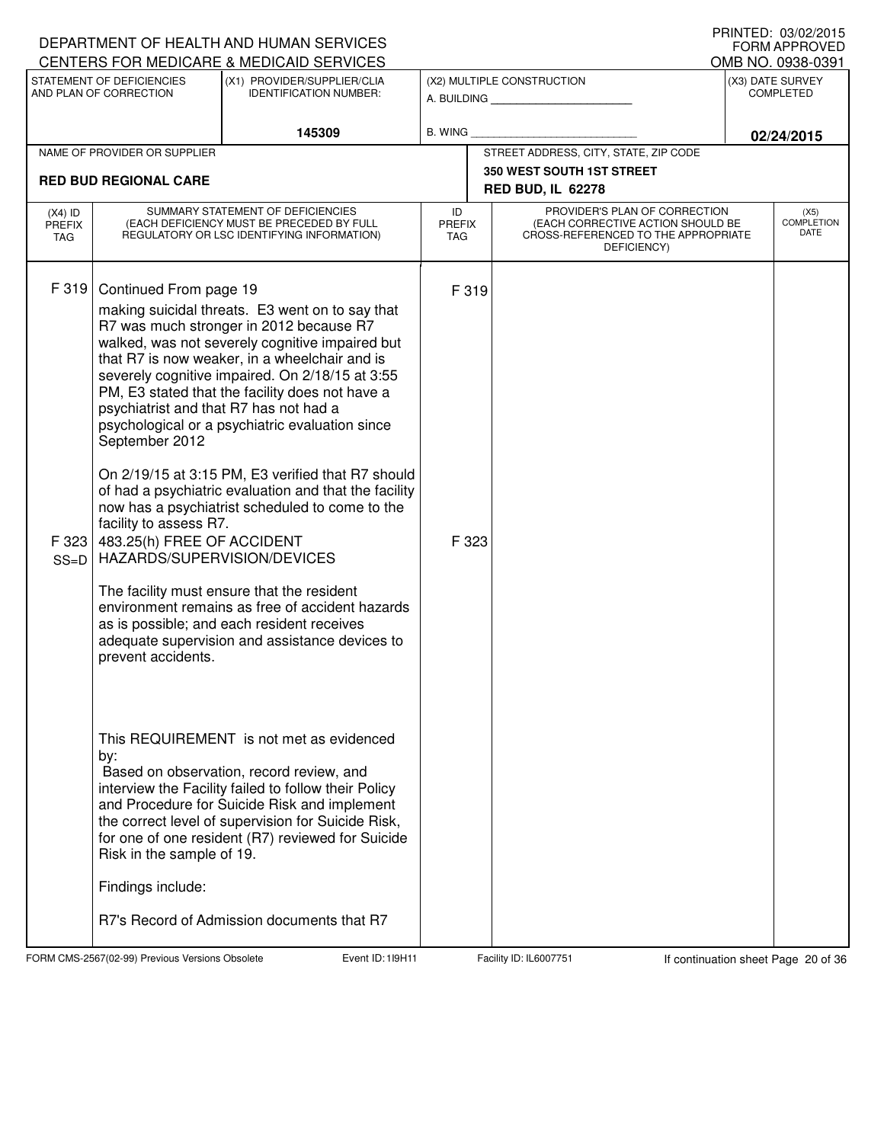|                                          |                                                                                                                                                                                                 | DEPARTMENT OF HEALTH AND HUMAN SERVICES<br>CENTERS FOR MEDICARE & MEDICAID SERVICES                                                                                                                                                                                                                                                                                                                                                                                                                                                                                                                                                                                                                                       |                                   |                |                                                                                                                          | I INNILD. VJ/VZ/ZVIJ<br><b>FORM APPROVED</b><br>OMB NO. 0938-0391 |
|------------------------------------------|-------------------------------------------------------------------------------------------------------------------------------------------------------------------------------------------------|---------------------------------------------------------------------------------------------------------------------------------------------------------------------------------------------------------------------------------------------------------------------------------------------------------------------------------------------------------------------------------------------------------------------------------------------------------------------------------------------------------------------------------------------------------------------------------------------------------------------------------------------------------------------------------------------------------------------------|-----------------------------------|----------------|--------------------------------------------------------------------------------------------------------------------------|-------------------------------------------------------------------|
|                                          | STATEMENT OF DEFICIENCIES<br>AND PLAN OF CORRECTION                                                                                                                                             | (X1) PROVIDER/SUPPLIER/CLIA<br><b>IDENTIFICATION NUMBER:</b>                                                                                                                                                                                                                                                                                                                                                                                                                                                                                                                                                                                                                                                              |                                   |                | (X2) MULTIPLE CONSTRUCTION<br>A. BUILDING                                                                                | (X3) DATE SURVEY<br><b>COMPLETED</b>                              |
|                                          |                                                                                                                                                                                                 | 145309                                                                                                                                                                                                                                                                                                                                                                                                                                                                                                                                                                                                                                                                                                                    | <b>B. WING</b>                    |                |                                                                                                                          | 02/24/2015                                                        |
|                                          | NAME OF PROVIDER OR SUPPLIER                                                                                                                                                                    |                                                                                                                                                                                                                                                                                                                                                                                                                                                                                                                                                                                                                                                                                                                           |                                   |                | STREET ADDRESS, CITY, STATE, ZIP CODE                                                                                    |                                                                   |
|                                          | <b>RED BUD REGIONAL CARE</b>                                                                                                                                                                    |                                                                                                                                                                                                                                                                                                                                                                                                                                                                                                                                                                                                                                                                                                                           |                                   |                | <b>350 WEST SOUTH 1ST STREET</b><br><b>RED BUD, IL 62278</b>                                                             |                                                                   |
| $(X4)$ ID<br><b>PREFIX</b><br><b>TAG</b> |                                                                                                                                                                                                 | SUMMARY STATEMENT OF DEFICIENCIES<br>(EACH DEFICIENCY MUST BE PRECEDED BY FULL<br>REGULATORY OR LSC IDENTIFYING INFORMATION)                                                                                                                                                                                                                                                                                                                                                                                                                                                                                                                                                                                              | ID<br><b>PREFIX</b><br><b>TAG</b> |                | PROVIDER'S PLAN OF CORRECTION<br>(EACH CORRECTIVE ACTION SHOULD BE<br>CROSS-REFERENCED TO THE APPROPRIATE<br>DEFICIENCY) | (X5)<br><b>COMPLETION</b><br>DATE                                 |
| F 319<br>F 323<br>$SS=D$                 | Continued From page 19<br>psychiatrist and that R7 has not had a<br>September 2012<br>facility to assess R7.<br>483.25(h) FREE OF ACCIDENT<br>HAZARDS/SUPERVISION/DEVICES<br>prevent accidents. | making suicidal threats. E3 went on to say that<br>R7 was much stronger in 2012 because R7<br>walked, was not severely cognitive impaired but<br>that R7 is now weaker, in a wheelchair and is<br>severely cognitive impaired. On 2/18/15 at 3:55<br>PM, E3 stated that the facility does not have a<br>psychological or a psychiatric evaluation since<br>On 2/19/15 at 3:15 PM, E3 verified that R7 should<br>of had a psychiatric evaluation and that the facility<br>now has a psychiatrist scheduled to come to the<br>The facility must ensure that the resident<br>environment remains as free of accident hazards<br>as is possible; and each resident receives<br>adequate supervision and assistance devices to |                                   | F 319<br>F 323 |                                                                                                                          |                                                                   |
|                                          | by:<br>Risk in the sample of 19.<br>Findings include:                                                                                                                                           | This REQUIREMENT is not met as evidenced<br>Based on observation, record review, and<br>interview the Facility failed to follow their Policy<br>and Procedure for Suicide Risk and implement<br>the correct level of supervision for Suicide Risk,<br>for one of one resident (R7) reviewed for Suicide                                                                                                                                                                                                                                                                                                                                                                                                                   |                                   |                |                                                                                                                          |                                                                   |
|                                          |                                                                                                                                                                                                 | R7's Record of Admission documents that R7                                                                                                                                                                                                                                                                                                                                                                                                                                                                                                                                                                                                                                                                                |                                   |                |                                                                                                                          |                                                                   |

FORM CMS-2567(02-99) Previous Versions Obsolete 119H11 Event ID: 119H11 Facility ID: IL6007751 If continuation sheet Page 20 of 36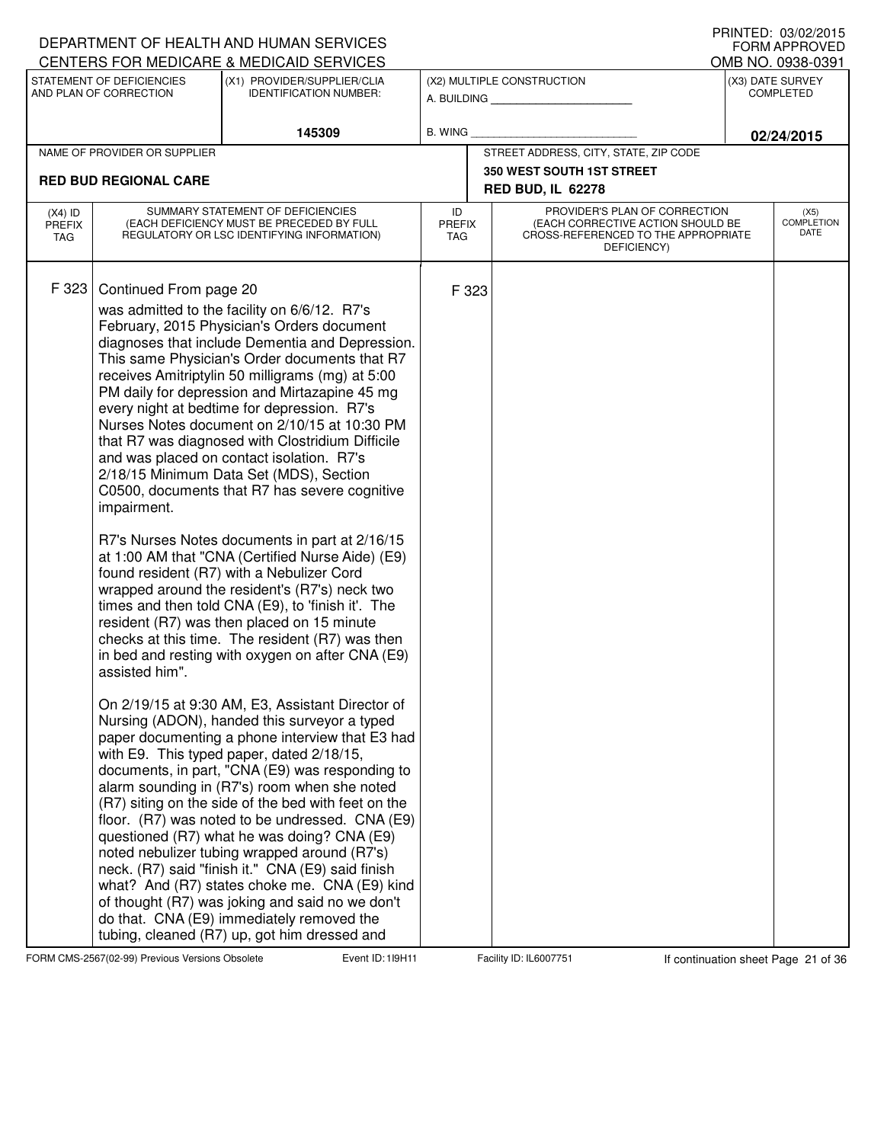|                                          |                                                         | DEPARTMENT OF HEALTH AND HUMAN SERVICES                                                                                                                                                                                                                                                                                                                                                                                                                                                                                                                                                                                                                                                                                                                                                                                                                                                                                                                                                                                                                                                                                                                                                                                                                                                                                                                                                                                                                                                                                                                                                                                                                                                                                             |                                   |       |                                                                                                                          | I IUIN LLU. VU/VE/LUTJ<br><b>FORM APPROVED</b> |
|------------------------------------------|---------------------------------------------------------|-------------------------------------------------------------------------------------------------------------------------------------------------------------------------------------------------------------------------------------------------------------------------------------------------------------------------------------------------------------------------------------------------------------------------------------------------------------------------------------------------------------------------------------------------------------------------------------------------------------------------------------------------------------------------------------------------------------------------------------------------------------------------------------------------------------------------------------------------------------------------------------------------------------------------------------------------------------------------------------------------------------------------------------------------------------------------------------------------------------------------------------------------------------------------------------------------------------------------------------------------------------------------------------------------------------------------------------------------------------------------------------------------------------------------------------------------------------------------------------------------------------------------------------------------------------------------------------------------------------------------------------------------------------------------------------------------------------------------------------|-----------------------------------|-------|--------------------------------------------------------------------------------------------------------------------------|------------------------------------------------|
|                                          |                                                         | CENTERS FOR MEDICARE & MEDICAID SERVICES                                                                                                                                                                                                                                                                                                                                                                                                                                                                                                                                                                                                                                                                                                                                                                                                                                                                                                                                                                                                                                                                                                                                                                                                                                                                                                                                                                                                                                                                                                                                                                                                                                                                                            |                                   |       |                                                                                                                          | OMB NO. 0938-0391                              |
|                                          | STATEMENT OF DEFICIENCIES<br>AND PLAN OF CORRECTION     | (X1) PROVIDER/SUPPLIER/CLIA<br><b>IDENTIFICATION NUMBER:</b>                                                                                                                                                                                                                                                                                                                                                                                                                                                                                                                                                                                                                                                                                                                                                                                                                                                                                                                                                                                                                                                                                                                                                                                                                                                                                                                                                                                                                                                                                                                                                                                                                                                                        |                                   |       | (X2) MULTIPLE CONSTRUCTION<br>A. BUILDING                                                                                | (X3) DATE SURVEY<br><b>COMPLETED</b>           |
|                                          |                                                         | 145309                                                                                                                                                                                                                                                                                                                                                                                                                                                                                                                                                                                                                                                                                                                                                                                                                                                                                                                                                                                                                                                                                                                                                                                                                                                                                                                                                                                                                                                                                                                                                                                                                                                                                                                              | <b>B. WING</b>                    |       |                                                                                                                          | 02/24/2015                                     |
|                                          | NAME OF PROVIDER OR SUPPLIER                            |                                                                                                                                                                                                                                                                                                                                                                                                                                                                                                                                                                                                                                                                                                                                                                                                                                                                                                                                                                                                                                                                                                                                                                                                                                                                                                                                                                                                                                                                                                                                                                                                                                                                                                                                     |                                   |       | STREET ADDRESS, CITY, STATE, ZIP CODE                                                                                    |                                                |
|                                          | <b>RED BUD REGIONAL CARE</b>                            |                                                                                                                                                                                                                                                                                                                                                                                                                                                                                                                                                                                                                                                                                                                                                                                                                                                                                                                                                                                                                                                                                                                                                                                                                                                                                                                                                                                                                                                                                                                                                                                                                                                                                                                                     |                                   |       | <b>350 WEST SOUTH 1ST STREET</b>                                                                                         |                                                |
|                                          |                                                         |                                                                                                                                                                                                                                                                                                                                                                                                                                                                                                                                                                                                                                                                                                                                                                                                                                                                                                                                                                                                                                                                                                                                                                                                                                                                                                                                                                                                                                                                                                                                                                                                                                                                                                                                     |                                   |       | <b>RED BUD, IL 62278</b>                                                                                                 |                                                |
| $(X4)$ ID<br><b>PREFIX</b><br><b>TAG</b> |                                                         | SUMMARY STATEMENT OF DEFICIENCIES<br>(EACH DEFICIENCY MUST BE PRECEDED BY FULL<br>REGULATORY OR LSC IDENTIFYING INFORMATION)                                                                                                                                                                                                                                                                                                                                                                                                                                                                                                                                                                                                                                                                                                                                                                                                                                                                                                                                                                                                                                                                                                                                                                                                                                                                                                                                                                                                                                                                                                                                                                                                        | ID<br><b>PREFIX</b><br><b>TAG</b> |       | PROVIDER'S PLAN OF CORRECTION<br>(EACH CORRECTIVE ACTION SHOULD BE<br>CROSS-REFERENCED TO THE APPROPRIATE<br>DEFICIENCY) | (X5)<br><b>COMPLETION</b><br>DATE              |
| F 323                                    | Continued From page 20<br>impairment.<br>assisted him". | was admitted to the facility on 6/6/12. R7's<br>February, 2015 Physician's Orders document<br>diagnoses that include Dementia and Depression.<br>This same Physician's Order documents that R7<br>receives Amitriptylin 50 milligrams (mg) at 5:00<br>PM daily for depression and Mirtazapine 45 mg<br>every night at bedtime for depression. R7's<br>Nurses Notes document on 2/10/15 at 10:30 PM<br>that R7 was diagnosed with Clostridium Difficile<br>and was placed on contact isolation. R7's<br>2/18/15 Minimum Data Set (MDS), Section<br>C0500, documents that R7 has severe cognitive<br>R7's Nurses Notes documents in part at 2/16/15<br>at 1:00 AM that "CNA (Certified Nurse Aide) (E9)<br>found resident (R7) with a Nebulizer Cord<br>wrapped around the resident's (R7's) neck two<br>times and then told CNA (E9), to 'finish it'. The<br>resident (R7) was then placed on 15 minute<br>checks at this time. The resident (R7) was then<br>in bed and resting with oxygen on after CNA (E9)<br>On 2/19/15 at 9:30 AM, E3, Assistant Director of<br>Nursing (ADON), handed this surveyor a typed<br>paper documenting a phone interview that E3 had<br>with E9. This typed paper, dated 2/18/15,<br>documents, in part, "CNA (E9) was responding to<br>alarm sounding in (R7's) room when she noted<br>(R7) siting on the side of the bed with feet on the<br>floor. (R7) was noted to be undressed. CNA (E9)<br>questioned (R7) what he was doing? CNA (E9)<br>noted nebulizer tubing wrapped around (R7's)<br>neck. (R7) said "finish it." CNA (E9) said finish<br>what? And (R7) states choke me. CNA (E9) kind<br>of thought (R7) was joking and said no we don't<br>do that. CNA (E9) immediately removed the |                                   | F 323 |                                                                                                                          |                                                |
|                                          |                                                         | tubing, cleaned (R7) up, got him dressed and                                                                                                                                                                                                                                                                                                                                                                                                                                                                                                                                                                                                                                                                                                                                                                                                                                                                                                                                                                                                                                                                                                                                                                                                                                                                                                                                                                                                                                                                                                                                                                                                                                                                                        |                                   |       |                                                                                                                          |                                                |

FORM CMS-2567(02-99) Previous Versions Obsolete **119H Event ID: 119H11** Facility ID: IL6007751 If continuation sheet Page 21 of 36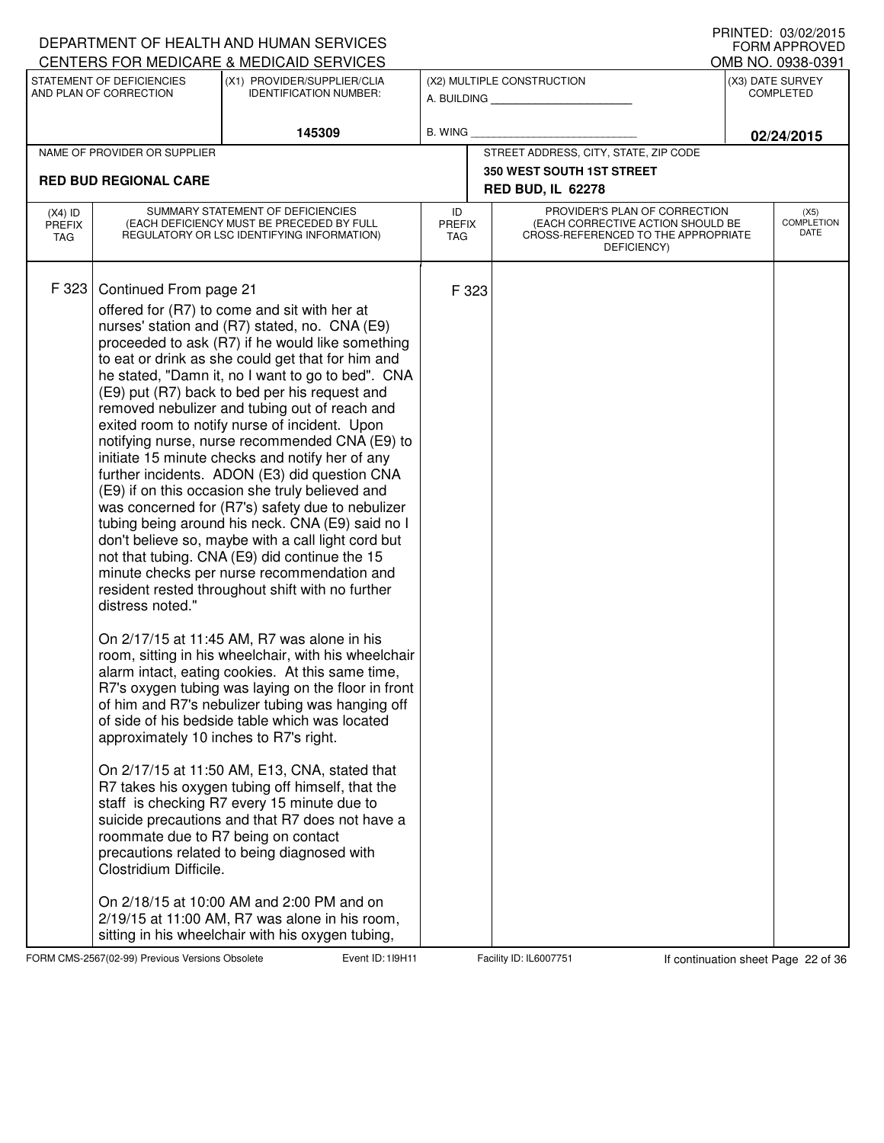|                                   |                                                                                                                                                       | DEPARTMENT OF HEALTH AND HUMAN SERVICES                                                                                                                                                                                                                                                                                                                                                                                                                                                                                                                                                                                                                                                                                                                                                                                                                                                                                                                                                                                                                                                                                                                                                                                                                                                                                                                                                                                                                                                                                                                                                                               |                                   |                                                                                                                          |  | I INNILLI. VJ/VZ/ZVIJ<br><b>FORM APPROVED</b> |
|-----------------------------------|-------------------------------------------------------------------------------------------------------------------------------------------------------|-----------------------------------------------------------------------------------------------------------------------------------------------------------------------------------------------------------------------------------------------------------------------------------------------------------------------------------------------------------------------------------------------------------------------------------------------------------------------------------------------------------------------------------------------------------------------------------------------------------------------------------------------------------------------------------------------------------------------------------------------------------------------------------------------------------------------------------------------------------------------------------------------------------------------------------------------------------------------------------------------------------------------------------------------------------------------------------------------------------------------------------------------------------------------------------------------------------------------------------------------------------------------------------------------------------------------------------------------------------------------------------------------------------------------------------------------------------------------------------------------------------------------------------------------------------------------------------------------------------------------|-----------------------------------|--------------------------------------------------------------------------------------------------------------------------|--|-----------------------------------------------|
|                                   | STATEMENT OF DEFICIENCIES                                                                                                                             | CENTERS FOR MEDICARE & MEDICAID SERVICES<br>(X1) PROVIDER/SUPPLIER/CLIA                                                                                                                                                                                                                                                                                                                                                                                                                                                                                                                                                                                                                                                                                                                                                                                                                                                                                                                                                                                                                                                                                                                                                                                                                                                                                                                                                                                                                                                                                                                                               |                                   | (X2) MULTIPLE CONSTRUCTION                                                                                               |  | OMB NO. 0938-0391<br>(X3) DATE SURVEY         |
|                                   | AND PLAN OF CORRECTION                                                                                                                                | <b>IDENTIFICATION NUMBER:</b>                                                                                                                                                                                                                                                                                                                                                                                                                                                                                                                                                                                                                                                                                                                                                                                                                                                                                                                                                                                                                                                                                                                                                                                                                                                                                                                                                                                                                                                                                                                                                                                         |                                   | A. BUILDING                                                                                                              |  | <b>COMPLETED</b>                              |
|                                   |                                                                                                                                                       | 145309                                                                                                                                                                                                                                                                                                                                                                                                                                                                                                                                                                                                                                                                                                                                                                                                                                                                                                                                                                                                                                                                                                                                                                                                                                                                                                                                                                                                                                                                                                                                                                                                                | B. WING                           |                                                                                                                          |  | 02/24/2015                                    |
|                                   | NAME OF PROVIDER OR SUPPLIER                                                                                                                          |                                                                                                                                                                                                                                                                                                                                                                                                                                                                                                                                                                                                                                                                                                                                                                                                                                                                                                                                                                                                                                                                                                                                                                                                                                                                                                                                                                                                                                                                                                                                                                                                                       |                                   | STREET ADDRESS, CITY, STATE, ZIP CODE                                                                                    |  |                                               |
|                                   | <b>RED BUD REGIONAL CARE</b>                                                                                                                          |                                                                                                                                                                                                                                                                                                                                                                                                                                                                                                                                                                                                                                                                                                                                                                                                                                                                                                                                                                                                                                                                                                                                                                                                                                                                                                                                                                                                                                                                                                                                                                                                                       |                                   | <b>350 WEST SOUTH 1ST STREET</b>                                                                                         |  |                                               |
|                                   |                                                                                                                                                       |                                                                                                                                                                                                                                                                                                                                                                                                                                                                                                                                                                                                                                                                                                                                                                                                                                                                                                                                                                                                                                                                                                                                                                                                                                                                                                                                                                                                                                                                                                                                                                                                                       |                                   | <b>RED BUD, IL 62278</b>                                                                                                 |  |                                               |
| $(X4)$ ID<br><b>PREFIX</b><br>TAG |                                                                                                                                                       | SUMMARY STATEMENT OF DEFICIENCIES<br>(EACH DEFICIENCY MUST BE PRECEDED BY FULL<br>REGULATORY OR LSC IDENTIFYING INFORMATION)                                                                                                                                                                                                                                                                                                                                                                                                                                                                                                                                                                                                                                                                                                                                                                                                                                                                                                                                                                                                                                                                                                                                                                                                                                                                                                                                                                                                                                                                                          | ID<br><b>PREFIX</b><br><b>TAG</b> | PROVIDER'S PLAN OF CORRECTION<br>(EACH CORRECTIVE ACTION SHOULD BE<br>CROSS-REFERENCED TO THE APPROPRIATE<br>DEFICIENCY) |  | (X5)<br><b>COMPLETION</b><br>DATE             |
| F 323                             | Continued From page 21<br>distress noted."<br>approximately 10 inches to R7's right.<br>roommate due to R7 being on contact<br>Clostridium Difficile. | offered for (R7) to come and sit with her at<br>nurses' station and (R7) stated, no. CNA (E9)<br>proceeded to ask (R7) if he would like something<br>to eat or drink as she could get that for him and<br>he stated, "Damn it, no I want to go to bed". CNA<br>(E9) put (R7) back to bed per his request and<br>removed nebulizer and tubing out of reach and<br>exited room to notify nurse of incident. Upon<br>notifying nurse, nurse recommended CNA (E9) to<br>initiate 15 minute checks and notify her of any<br>further incidents. ADON (E3) did question CNA<br>(E9) if on this occasion she truly believed and<br>was concerned for (R7's) safety due to nebulizer<br>tubing being around his neck. CNA (E9) said no I<br>don't believe so, maybe with a call light cord but<br>not that tubing. CNA (E9) did continue the 15<br>minute checks per nurse recommendation and<br>resident rested throughout shift with no further<br>On 2/17/15 at 11:45 AM, R7 was alone in his<br>room, sitting in his wheelchair, with his wheelchair<br>alarm intact, eating cookies. At this same time,<br>R7's oxygen tubing was laying on the floor in front<br>of him and R7's nebulizer tubing was hanging off<br>of side of his bedside table which was located<br>On 2/17/15 at 11:50 AM, E13, CNA, stated that<br>R7 takes his oxygen tubing off himself, that the<br>staff is checking R7 every 15 minute due to<br>suicide precautions and that R7 does not have a<br>precautions related to being diagnosed with<br>On 2/18/15 at 10:00 AM and 2:00 PM and on<br>2/19/15 at 11:00 AM, R7 was alone in his room, | F 323                             |                                                                                                                          |  |                                               |
|                                   |                                                                                                                                                       | sitting in his wheelchair with his oxygen tubing,                                                                                                                                                                                                                                                                                                                                                                                                                                                                                                                                                                                                                                                                                                                                                                                                                                                                                                                                                                                                                                                                                                                                                                                                                                                                                                                                                                                                                                                                                                                                                                     |                                   |                                                                                                                          |  |                                               |

FORM CMS-2567(02-99) Previous Versions Obsolete 119H11 Event ID: 119H11 Facility ID: IL6007751 If continuation sheet Page 22 of 36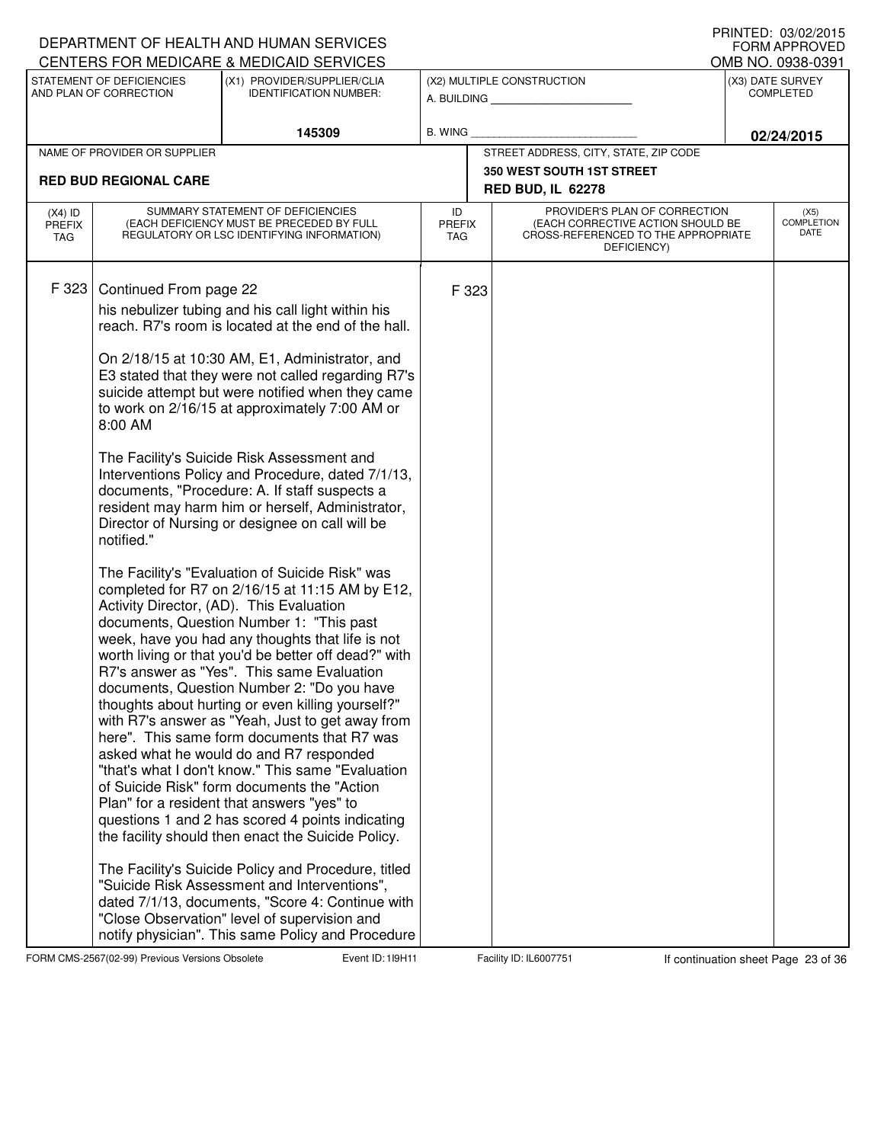|                                          |                                                     | DEPARTMENT OF HEALTH AND HUMAN SERVICES<br>CENTERS FOR MEDICARE & MEDICAID SERVICES                                                                                                                                                                                                                                                                                                                                                                                                                                                                                                                                                                                                                                                                                                                                                                                                                                                                                                                                                                                                                                                                                                                                                                                                                                                                                                                                                                                                                                                                                                                                                                                                                                       |                                   |       |                                                                                                                          | I INNILD. VJ/VZ/ZVIJ<br><b>FORM APPROVED</b><br>OMB NO. 0938-0391 |
|------------------------------------------|-----------------------------------------------------|---------------------------------------------------------------------------------------------------------------------------------------------------------------------------------------------------------------------------------------------------------------------------------------------------------------------------------------------------------------------------------------------------------------------------------------------------------------------------------------------------------------------------------------------------------------------------------------------------------------------------------------------------------------------------------------------------------------------------------------------------------------------------------------------------------------------------------------------------------------------------------------------------------------------------------------------------------------------------------------------------------------------------------------------------------------------------------------------------------------------------------------------------------------------------------------------------------------------------------------------------------------------------------------------------------------------------------------------------------------------------------------------------------------------------------------------------------------------------------------------------------------------------------------------------------------------------------------------------------------------------------------------------------------------------------------------------------------------------|-----------------------------------|-------|--------------------------------------------------------------------------------------------------------------------------|-------------------------------------------------------------------|
|                                          | STATEMENT OF DEFICIENCIES<br>AND PLAN OF CORRECTION | (X1) PROVIDER/SUPPLIER/CLIA<br><b>IDENTIFICATION NUMBER:</b>                                                                                                                                                                                                                                                                                                                                                                                                                                                                                                                                                                                                                                                                                                                                                                                                                                                                                                                                                                                                                                                                                                                                                                                                                                                                                                                                                                                                                                                                                                                                                                                                                                                              |                                   |       | (X2) MULTIPLE CONSTRUCTION<br>A. BUILDING                                                                                | (X3) DATE SURVEY<br><b>COMPLETED</b>                              |
|                                          |                                                     | 145309                                                                                                                                                                                                                                                                                                                                                                                                                                                                                                                                                                                                                                                                                                                                                                                                                                                                                                                                                                                                                                                                                                                                                                                                                                                                                                                                                                                                                                                                                                                                                                                                                                                                                                                    | <b>B. WING</b>                    |       |                                                                                                                          | 02/24/2015                                                        |
|                                          | NAME OF PROVIDER OR SUPPLIER                        |                                                                                                                                                                                                                                                                                                                                                                                                                                                                                                                                                                                                                                                                                                                                                                                                                                                                                                                                                                                                                                                                                                                                                                                                                                                                                                                                                                                                                                                                                                                                                                                                                                                                                                                           |                                   |       | STREET ADDRESS, CITY, STATE, ZIP CODE                                                                                    |                                                                   |
|                                          | <b>RED BUD REGIONAL CARE</b>                        |                                                                                                                                                                                                                                                                                                                                                                                                                                                                                                                                                                                                                                                                                                                                                                                                                                                                                                                                                                                                                                                                                                                                                                                                                                                                                                                                                                                                                                                                                                                                                                                                                                                                                                                           |                                   |       | <b>350 WEST SOUTH 1ST STREET</b>                                                                                         |                                                                   |
|                                          |                                                     |                                                                                                                                                                                                                                                                                                                                                                                                                                                                                                                                                                                                                                                                                                                                                                                                                                                                                                                                                                                                                                                                                                                                                                                                                                                                                                                                                                                                                                                                                                                                                                                                                                                                                                                           |                                   |       | <b>RED BUD, IL 62278</b>                                                                                                 |                                                                   |
| $(X4)$ ID<br><b>PREFIX</b><br><b>TAG</b> |                                                     | SUMMARY STATEMENT OF DEFICIENCIES<br>(EACH DEFICIENCY MUST BE PRECEDED BY FULL<br>REGULATORY OR LSC IDENTIFYING INFORMATION)                                                                                                                                                                                                                                                                                                                                                                                                                                                                                                                                                                                                                                                                                                                                                                                                                                                                                                                                                                                                                                                                                                                                                                                                                                                                                                                                                                                                                                                                                                                                                                                              | ID<br><b>PREFIX</b><br><b>TAG</b> |       | PROVIDER'S PLAN OF CORRECTION<br>(EACH CORRECTIVE ACTION SHOULD BE<br>CROSS-REFERENCED TO THE APPROPRIATE<br>DEFICIENCY) | (X5)<br><b>COMPLETION</b><br>DATE                                 |
| F 323                                    | Continued From page 22<br>8:00 AM<br>notified."     | his nebulizer tubing and his call light within his<br>reach. R7's room is located at the end of the hall.<br>On 2/18/15 at 10:30 AM, E1, Administrator, and<br>E3 stated that they were not called regarding R7's<br>suicide attempt but were notified when they came<br>to work on 2/16/15 at approximately 7:00 AM or<br>The Facility's Suicide Risk Assessment and<br>Interventions Policy and Procedure, dated 7/1/13,<br>documents, "Procedure: A. If staff suspects a<br>resident may harm him or herself, Administrator,<br>Director of Nursing or designee on call will be<br>The Facility's "Evaluation of Suicide Risk" was<br>completed for R7 on 2/16/15 at 11:15 AM by E12,<br>Activity Director, (AD). This Evaluation<br>documents, Question Number 1: "This past<br>week, have you had any thoughts that life is not<br>worth living or that you'd be better off dead?" with<br>R7's answer as "Yes". This same Evaluation<br>documents, Question Number 2: "Do you have<br>thoughts about hurting or even killing yourself?"<br>with R7's answer as "Yeah, Just to get away from<br>here". This same form documents that R7 was<br>asked what he would do and R7 responded<br>"that's what I don't know." This same "Evaluation"<br>of Suicide Risk" form documents the "Action"<br>Plan" for a resident that answers "yes" to<br>questions 1 and 2 has scored 4 points indicating<br>the facility should then enact the Suicide Policy.<br>The Facility's Suicide Policy and Procedure, titled<br>"Suicide Risk Assessment and Interventions",<br>dated 7/1/13, documents, "Score 4: Continue with<br>"Close Observation" level of supervision and<br>notify physician". This same Policy and Procedure |                                   | F 323 |                                                                                                                          |                                                                   |

FORM CMS-2567(02-99) Previous Versions Obsolete **119H Event ID: 119H11** Facility ID: IL6007751 If continuation sheet Page 23 of 36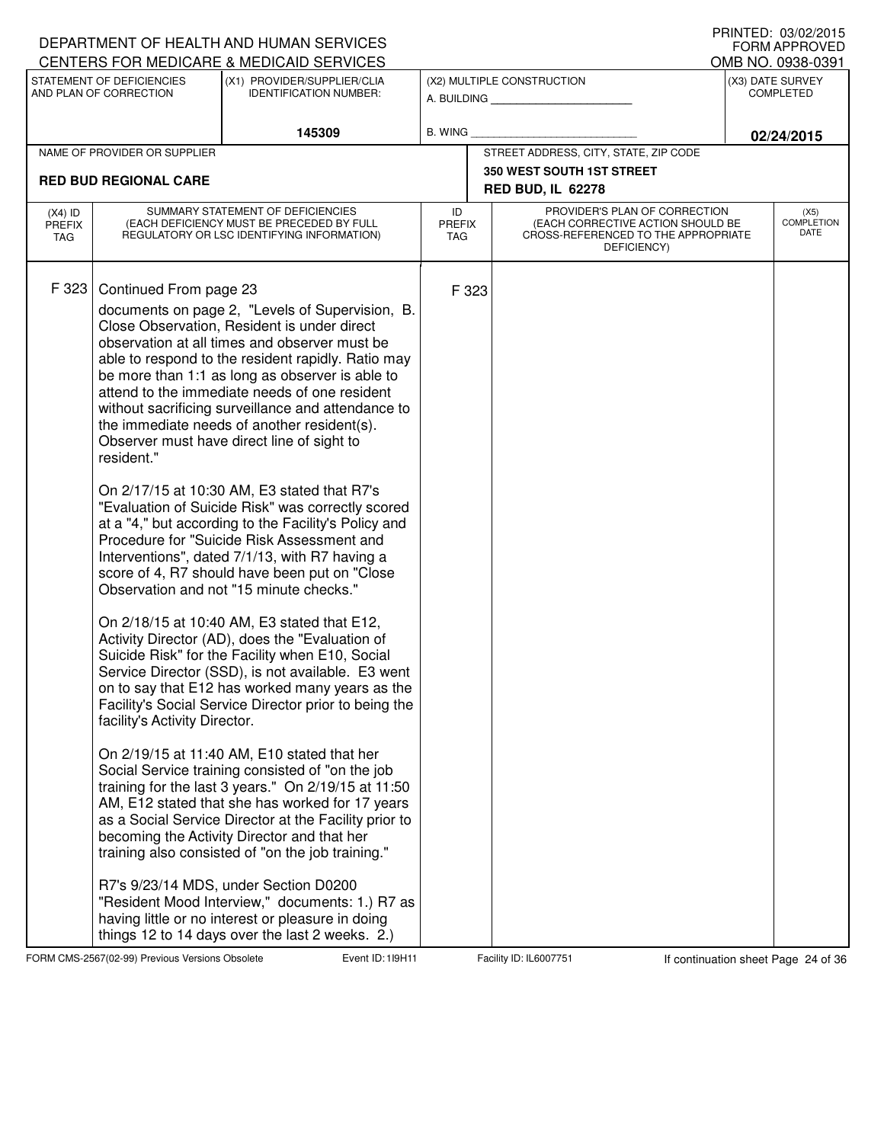|                                          |                                                                       | DEPARTMENT OF HEALTH AND HUMAN SERVICES<br>CENTERS FOR MEDICARE & MEDICAID SERVICES                                                                                                                                                                                                                                                                                                                                                                                                                                                                                                                                                                                                                                                                                                                                                                                                                                                                                                                                                                                                                                                                                                                                                                                                                                                                                                                                                                                                                                                                                                                                                                                    |                                   |       |                                                                                                                          | I INNILD. VJ/VZ/ZVIJ<br><b>FORM APPROVED</b><br>OMB NO. 0938-0391 |
|------------------------------------------|-----------------------------------------------------------------------|------------------------------------------------------------------------------------------------------------------------------------------------------------------------------------------------------------------------------------------------------------------------------------------------------------------------------------------------------------------------------------------------------------------------------------------------------------------------------------------------------------------------------------------------------------------------------------------------------------------------------------------------------------------------------------------------------------------------------------------------------------------------------------------------------------------------------------------------------------------------------------------------------------------------------------------------------------------------------------------------------------------------------------------------------------------------------------------------------------------------------------------------------------------------------------------------------------------------------------------------------------------------------------------------------------------------------------------------------------------------------------------------------------------------------------------------------------------------------------------------------------------------------------------------------------------------------------------------------------------------------------------------------------------------|-----------------------------------|-------|--------------------------------------------------------------------------------------------------------------------------|-------------------------------------------------------------------|
|                                          | STATEMENT OF DEFICIENCIES<br>AND PLAN OF CORRECTION                   | (X1) PROVIDER/SUPPLIER/CLIA<br><b>IDENTIFICATION NUMBER:</b>                                                                                                                                                                                                                                                                                                                                                                                                                                                                                                                                                                                                                                                                                                                                                                                                                                                                                                                                                                                                                                                                                                                                                                                                                                                                                                                                                                                                                                                                                                                                                                                                           |                                   |       | (X2) MULTIPLE CONSTRUCTION<br>A. BUILDING <b>A.</b> BUILDING                                                             | (X3) DATE SURVEY<br><b>COMPLETED</b>                              |
|                                          |                                                                       | 145309                                                                                                                                                                                                                                                                                                                                                                                                                                                                                                                                                                                                                                                                                                                                                                                                                                                                                                                                                                                                                                                                                                                                                                                                                                                                                                                                                                                                                                                                                                                                                                                                                                                                 | <b>B. WING</b>                    |       |                                                                                                                          | 02/24/2015                                                        |
|                                          | NAME OF PROVIDER OR SUPPLIER                                          |                                                                                                                                                                                                                                                                                                                                                                                                                                                                                                                                                                                                                                                                                                                                                                                                                                                                                                                                                                                                                                                                                                                                                                                                                                                                                                                                                                                                                                                                                                                                                                                                                                                                        |                                   |       | STREET ADDRESS, CITY, STATE, ZIP CODE                                                                                    |                                                                   |
|                                          | <b>RED BUD REGIONAL CARE</b>                                          |                                                                                                                                                                                                                                                                                                                                                                                                                                                                                                                                                                                                                                                                                                                                                                                                                                                                                                                                                                                                                                                                                                                                                                                                                                                                                                                                                                                                                                                                                                                                                                                                                                                                        |                                   |       | <b>350 WEST SOUTH 1ST STREET</b>                                                                                         |                                                                   |
|                                          |                                                                       |                                                                                                                                                                                                                                                                                                                                                                                                                                                                                                                                                                                                                                                                                                                                                                                                                                                                                                                                                                                                                                                                                                                                                                                                                                                                                                                                                                                                                                                                                                                                                                                                                                                                        |                                   |       | <b>RED BUD, IL 62278</b>                                                                                                 |                                                                   |
| $(X4)$ ID<br><b>PREFIX</b><br><b>TAG</b> |                                                                       | SUMMARY STATEMENT OF DEFICIENCIES<br>(EACH DEFICIENCY MUST BE PRECEDED BY FULL<br>REGULATORY OR LSC IDENTIFYING INFORMATION)                                                                                                                                                                                                                                                                                                                                                                                                                                                                                                                                                                                                                                                                                                                                                                                                                                                                                                                                                                                                                                                                                                                                                                                                                                                                                                                                                                                                                                                                                                                                           | ID<br><b>PREFIX</b><br><b>TAG</b> |       | PROVIDER'S PLAN OF CORRECTION<br>(EACH CORRECTIVE ACTION SHOULD BE<br>CROSS-REFERENCED TO THE APPROPRIATE<br>DEFICIENCY) | (X5)<br><b>COMPLETION</b><br>DATE                                 |
| F 323                                    | Continued From page 23<br>resident."<br>facility's Activity Director. | documents on page 2, "Levels of Supervision, B.<br>Close Observation, Resident is under direct<br>observation at all times and observer must be<br>able to respond to the resident rapidly. Ratio may<br>be more than 1:1 as long as observer is able to<br>attend to the immediate needs of one resident<br>without sacrificing surveillance and attendance to<br>the immediate needs of another resident(s).<br>Observer must have direct line of sight to<br>On 2/17/15 at 10:30 AM, E3 stated that R7's<br>"Evaluation of Suicide Risk" was correctly scored<br>at a "4," but according to the Facility's Policy and<br>Procedure for "Suicide Risk Assessment and<br>Interventions", dated 7/1/13, with R7 having a<br>score of 4, R7 should have been put on "Close"<br>Observation and not "15 minute checks."<br>On 2/18/15 at 10:40 AM, E3 stated that E12,<br>Activity Director (AD), does the "Evaluation of<br>Suicide Risk" for the Facility when E10, Social<br>Service Director (SSD), is not available. E3 went<br>on to say that E12 has worked many years as the<br>Facility's Social Service Director prior to being the<br>On 2/19/15 at 11:40 AM, E10 stated that her<br>Social Service training consisted of "on the job<br>training for the last 3 years." On 2/19/15 at 11:50<br>AM, E12 stated that she has worked for 17 years<br>as a Social Service Director at the Facility prior to<br>becoming the Activity Director and that her<br>training also consisted of "on the job training."<br>R7's 9/23/14 MDS, under Section D0200<br>"Resident Mood Interview," documents: 1.) R7 as<br>having little or no interest or pleasure in doing |                                   | F 323 |                                                                                                                          |                                                                   |
|                                          |                                                                       | things 12 to 14 days over the last 2 weeks. 2.)                                                                                                                                                                                                                                                                                                                                                                                                                                                                                                                                                                                                                                                                                                                                                                                                                                                                                                                                                                                                                                                                                                                                                                                                                                                                                                                                                                                                                                                                                                                                                                                                                        |                                   |       |                                                                                                                          |                                                                   |

FORM CMS-2567(02-99) Previous Versions Obsolete **119H Event ID: 119H11** Facility ID: IL6007751 If continuation sheet Page 24 of 36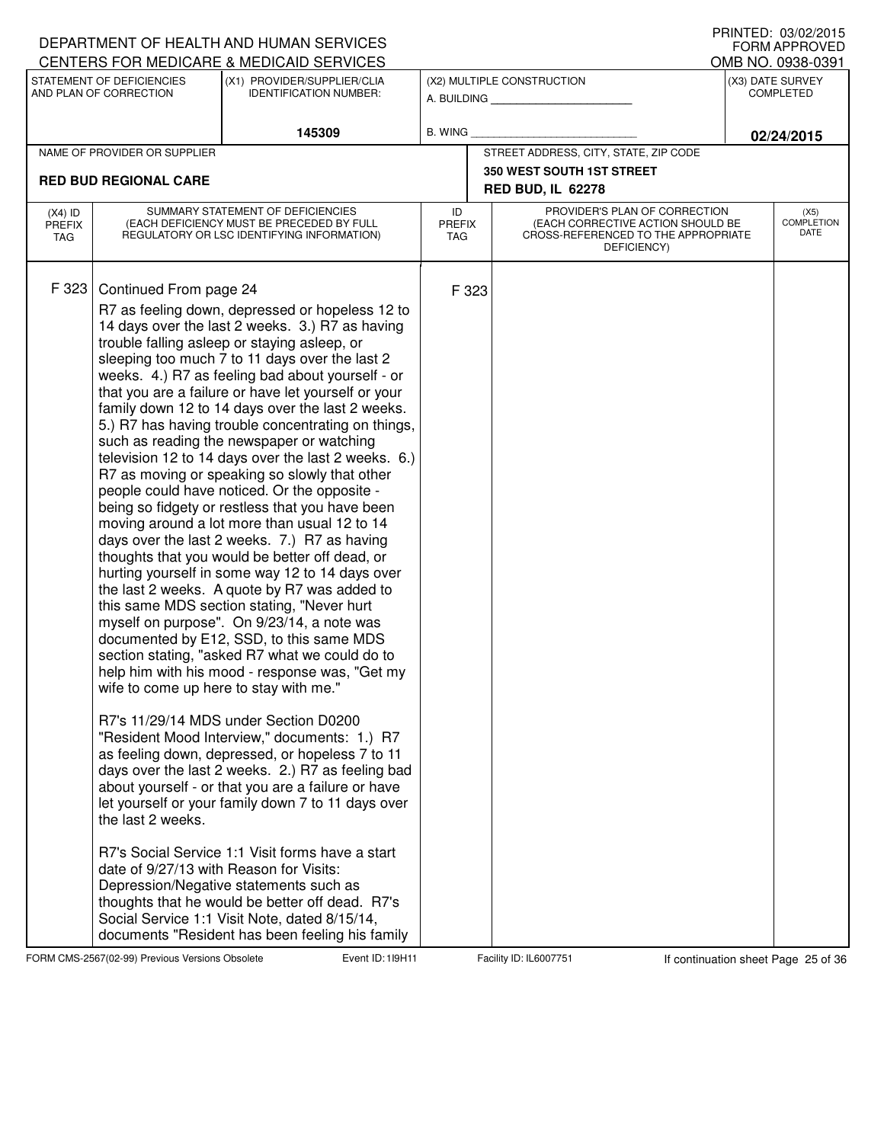|                                   |                                                                                                                                  | DEPARTMENT OF HEALTH AND HUMAN SERVICES<br>CENTERS FOR MEDICARE & MEDICAID SERVICES                                                                                                                                                                                                                                                                                                                                                                                                                                                                                                                                                                                                                                                                                                                                                                                                                                                                                                                                                                                                                                                                                                                                                                                                                                                                                                                                                                                                                                                                                                                                                                                                                                                                  |                            |                                                                                                                          | $1$ THISTLD. US/UZ/ZUTJ<br><b>FORM APPROVED</b><br>OMB NO. 0938-0391 |
|-----------------------------------|----------------------------------------------------------------------------------------------------------------------------------|------------------------------------------------------------------------------------------------------------------------------------------------------------------------------------------------------------------------------------------------------------------------------------------------------------------------------------------------------------------------------------------------------------------------------------------------------------------------------------------------------------------------------------------------------------------------------------------------------------------------------------------------------------------------------------------------------------------------------------------------------------------------------------------------------------------------------------------------------------------------------------------------------------------------------------------------------------------------------------------------------------------------------------------------------------------------------------------------------------------------------------------------------------------------------------------------------------------------------------------------------------------------------------------------------------------------------------------------------------------------------------------------------------------------------------------------------------------------------------------------------------------------------------------------------------------------------------------------------------------------------------------------------------------------------------------------------------------------------------------------------|----------------------------|--------------------------------------------------------------------------------------------------------------------------|----------------------------------------------------------------------|
|                                   | STATEMENT OF DEFICIENCIES<br>AND PLAN OF CORRECTION                                                                              | (X1) PROVIDER/SUPPLIER/CLIA<br><b>IDENTIFICATION NUMBER:</b>                                                                                                                                                                                                                                                                                                                                                                                                                                                                                                                                                                                                                                                                                                                                                                                                                                                                                                                                                                                                                                                                                                                                                                                                                                                                                                                                                                                                                                                                                                                                                                                                                                                                                         |                            | (X2) MULTIPLE CONSTRUCTION<br>A. BUILDING                                                                                | (X3) DATE SURVEY<br><b>COMPLETED</b>                                 |
|                                   |                                                                                                                                  | 145309                                                                                                                                                                                                                                                                                                                                                                                                                                                                                                                                                                                                                                                                                                                                                                                                                                                                                                                                                                                                                                                                                                                                                                                                                                                                                                                                                                                                                                                                                                                                                                                                                                                                                                                                               | B. WING                    |                                                                                                                          | 02/24/2015                                                           |
|                                   | NAME OF PROVIDER OR SUPPLIER                                                                                                     |                                                                                                                                                                                                                                                                                                                                                                                                                                                                                                                                                                                                                                                                                                                                                                                                                                                                                                                                                                                                                                                                                                                                                                                                                                                                                                                                                                                                                                                                                                                                                                                                                                                                                                                                                      |                            | STREET ADDRESS, CITY, STATE, ZIP CODE                                                                                    |                                                                      |
|                                   | <b>RED BUD REGIONAL CARE</b>                                                                                                     |                                                                                                                                                                                                                                                                                                                                                                                                                                                                                                                                                                                                                                                                                                                                                                                                                                                                                                                                                                                                                                                                                                                                                                                                                                                                                                                                                                                                                                                                                                                                                                                                                                                                                                                                                      |                            | <b>350 WEST SOUTH 1ST STREET</b><br><b>RED BUD, IL 62278</b>                                                             |                                                                      |
| $(X4)$ ID<br><b>PREFIX</b><br>TAG |                                                                                                                                  | SUMMARY STATEMENT OF DEFICIENCIES<br>(EACH DEFICIENCY MUST BE PRECEDED BY FULL<br>REGULATORY OR LSC IDENTIFYING INFORMATION)                                                                                                                                                                                                                                                                                                                                                                                                                                                                                                                                                                                                                                                                                                                                                                                                                                                                                                                                                                                                                                                                                                                                                                                                                                                                                                                                                                                                                                                                                                                                                                                                                         | ID<br><b>PREFIX</b><br>TAG | PROVIDER'S PLAN OF CORRECTION<br>(EACH CORRECTIVE ACTION SHOULD BE<br>CROSS-REFERENCED TO THE APPROPRIATE<br>DEFICIENCY) | (X5)<br><b>COMPLETION</b><br>DATE                                    |
| F 323                             | Continued From page 24<br>wife to come up here to stay with me."<br>the last 2 weeks.<br>date of 9/27/13 with Reason for Visits: | R7 as feeling down, depressed or hopeless 12 to<br>14 days over the last 2 weeks. 3.) R7 as having<br>trouble falling asleep or staying asleep, or<br>sleeping too much 7 to 11 days over the last 2<br>weeks. 4.) R7 as feeling bad about yourself - or<br>that you are a failure or have let yourself or your<br>family down 12 to 14 days over the last 2 weeks.<br>5.) R7 has having trouble concentrating on things,<br>such as reading the newspaper or watching<br>television 12 to 14 days over the last 2 weeks. 6.)<br>R7 as moving or speaking so slowly that other<br>people could have noticed. Or the opposite -<br>being so fidgety or restless that you have been<br>moving around a lot more than usual 12 to 14<br>days over the last 2 weeks. 7.) R7 as having<br>thoughts that you would be better off dead, or<br>hurting yourself in some way 12 to 14 days over<br>the last 2 weeks. A quote by R7 was added to<br>this same MDS section stating, "Never hurt<br>myself on purpose". On 9/23/14, a note was<br>documented by E12, SSD, to this same MDS<br>section stating, "asked R7 what we could do to<br>help him with his mood - response was, "Get my<br>R7's 11/29/14 MDS under Section D0200<br>"Resident Mood Interview," documents: 1.) R7<br>as feeling down, depressed, or hopeless 7 to 11<br>days over the last 2 weeks. 2.) R7 as feeling bad<br>about yourself - or that you are a failure or have<br>let yourself or your family down 7 to 11 days over<br>R7's Social Service 1:1 Visit forms have a start<br>Depression/Negative statements such as<br>thoughts that he would be better off dead. R7's<br>Social Service 1:1 Visit Note, dated 8/15/14,<br>documents "Resident has been feeling his family | F 323                      |                                                                                                                          |                                                                      |

FORM CMS-2567(02-99) Previous Versions Obsolete 119H11 Event ID: 119H11 Facility ID: IL6007751 If continuation sheet Page 25 of 36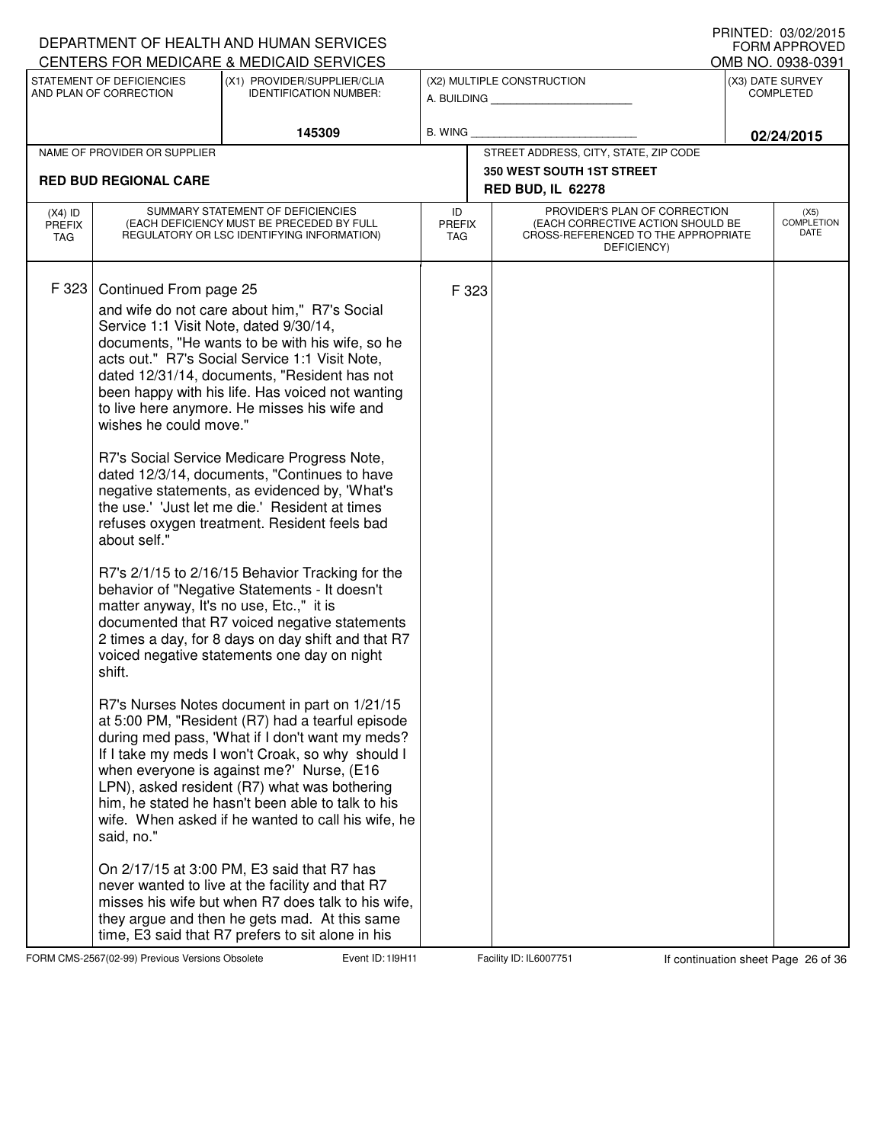|                                   |                                                                                                                                                                                | DEPARTMENT OF HEALTH AND HUMAN SERVICES                                                                                                                                                                                                                                                                                                                                                                                                                                                                                                                                                                                                                                                                                                                                                                                                                                                                                                                                                                                                                                                                                                                                                                                                                                                                                                                                                                                                         |                            |       |                                                                                                                          | <b>FORM APPROVED</b>                  |
|-----------------------------------|--------------------------------------------------------------------------------------------------------------------------------------------------------------------------------|-------------------------------------------------------------------------------------------------------------------------------------------------------------------------------------------------------------------------------------------------------------------------------------------------------------------------------------------------------------------------------------------------------------------------------------------------------------------------------------------------------------------------------------------------------------------------------------------------------------------------------------------------------------------------------------------------------------------------------------------------------------------------------------------------------------------------------------------------------------------------------------------------------------------------------------------------------------------------------------------------------------------------------------------------------------------------------------------------------------------------------------------------------------------------------------------------------------------------------------------------------------------------------------------------------------------------------------------------------------------------------------------------------------------------------------------------|----------------------------|-------|--------------------------------------------------------------------------------------------------------------------------|---------------------------------------|
|                                   | STATEMENT OF DEFICIENCIES                                                                                                                                                      | CENTERS FOR MEDICARE & MEDICAID SERVICES<br>(X1) PROVIDER/SUPPLIER/CLIA                                                                                                                                                                                                                                                                                                                                                                                                                                                                                                                                                                                                                                                                                                                                                                                                                                                                                                                                                                                                                                                                                                                                                                                                                                                                                                                                                                         |                            |       | (X2) MULTIPLE CONSTRUCTION                                                                                               | OMB NO. 0938-0391<br>(X3) DATE SURVEY |
|                                   | AND PLAN OF CORRECTION                                                                                                                                                         | <b>IDENTIFICATION NUMBER:</b>                                                                                                                                                                                                                                                                                                                                                                                                                                                                                                                                                                                                                                                                                                                                                                                                                                                                                                                                                                                                                                                                                                                                                                                                                                                                                                                                                                                                                   |                            |       | A. BUILDING A.                                                                                                           | <b>COMPLETED</b>                      |
|                                   |                                                                                                                                                                                | 145309                                                                                                                                                                                                                                                                                                                                                                                                                                                                                                                                                                                                                                                                                                                                                                                                                                                                                                                                                                                                                                                                                                                                                                                                                                                                                                                                                                                                                                          | B. WING                    |       |                                                                                                                          | 02/24/2015                            |
|                                   | NAME OF PROVIDER OR SUPPLIER                                                                                                                                                   |                                                                                                                                                                                                                                                                                                                                                                                                                                                                                                                                                                                                                                                                                                                                                                                                                                                                                                                                                                                                                                                                                                                                                                                                                                                                                                                                                                                                                                                 |                            |       | STREET ADDRESS, CITY, STATE, ZIP CODE                                                                                    |                                       |
|                                   | <b>RED BUD REGIONAL CARE</b>                                                                                                                                                   |                                                                                                                                                                                                                                                                                                                                                                                                                                                                                                                                                                                                                                                                                                                                                                                                                                                                                                                                                                                                                                                                                                                                                                                                                                                                                                                                                                                                                                                 |                            |       | 350 WEST SOUTH 1ST STREET<br><b>RED BUD, IL 62278</b>                                                                    |                                       |
| $(X4)$ ID<br><b>PREFIX</b><br>TAG |                                                                                                                                                                                | SUMMARY STATEMENT OF DEFICIENCIES<br>(EACH DEFICIENCY MUST BE PRECEDED BY FULL<br>REGULATORY OR LSC IDENTIFYING INFORMATION)                                                                                                                                                                                                                                                                                                                                                                                                                                                                                                                                                                                                                                                                                                                                                                                                                                                                                                                                                                                                                                                                                                                                                                                                                                                                                                                    | ID<br><b>PREFIX</b><br>TAG |       | PROVIDER'S PLAN OF CORRECTION<br>(EACH CORRECTIVE ACTION SHOULD BE<br>CROSS-REFERENCED TO THE APPROPRIATE<br>DEFICIENCY) | (X5)<br><b>COMPLETION</b><br>DATE     |
| F 323                             | Continued From page 25<br>Service 1:1 Visit Note, dated 9/30/14,<br>wishes he could move."<br>about self."<br>matter anyway, It's no use, Etc.," it is<br>shift.<br>said, no." | and wife do not care about him," R7's Social<br>documents, "He wants to be with his wife, so he<br>acts out." R7's Social Service 1:1 Visit Note,<br>dated 12/31/14, documents, "Resident has not<br>been happy with his life. Has voiced not wanting<br>to live here anymore. He misses his wife and<br>R7's Social Service Medicare Progress Note,<br>dated 12/3/14, documents, "Continues to have<br>negative statements, as evidenced by, 'What's<br>the use.' 'Just let me die.' Resident at times<br>refuses oxygen treatment. Resident feels bad<br>R7's 2/1/15 to 2/16/15 Behavior Tracking for the<br>behavior of "Negative Statements - It doesn't<br>documented that R7 voiced negative statements<br>2 times a day, for 8 days on day shift and that R7<br>voiced negative statements one day on night<br>R7's Nurses Notes document in part on 1/21/15<br>at 5:00 PM, "Resident (R7) had a tearful episode<br>during med pass, 'What if I don't want my meds?<br>If I take my meds I won't Croak, so why should I<br>when everyone is against me?' Nurse, (E16<br>LPN), asked resident (R7) what was bothering<br>him, he stated he hasn't been able to talk to his<br>wife. When asked if he wanted to call his wife, he<br>On 2/17/15 at 3:00 PM, E3 said that R7 has<br>never wanted to live at the facility and that R7<br>misses his wife but when R7 does talk to his wife,<br>they argue and then he gets mad. At this same |                            | F 323 |                                                                                                                          |                                       |

FORM CMS-2567(02-99) Previous Versions Obsolete 119H11 Event ID: 119H11 Facility ID: IL6007751 If continuation sheet Page 26 of 36

DEPARTMENT OF HEALTH AND HUMAN SERVICES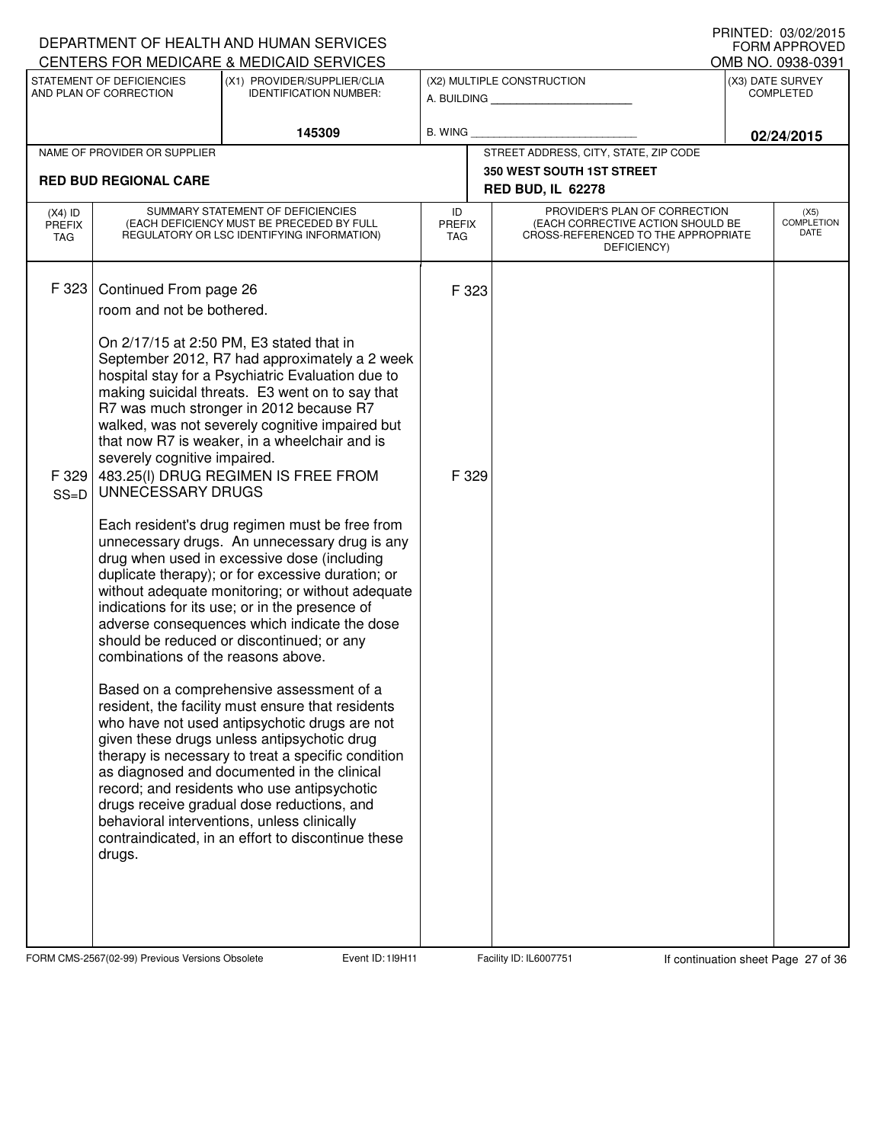|                                   |                                                                                                                                                | DEPARTMENT OF HEALTH AND HUMAN SERVICES                                                                                                                                                                                                                                                                                                                                                                                                                                                                                                                                                                                                                                                                                                                                                                                                                                                                                                                                                                                                                                                                                                                |                                                                     |                                                                                                                          |                  | FORM APPROVED                     |  |  |
|-----------------------------------|------------------------------------------------------------------------------------------------------------------------------------------------|--------------------------------------------------------------------------------------------------------------------------------------------------------------------------------------------------------------------------------------------------------------------------------------------------------------------------------------------------------------------------------------------------------------------------------------------------------------------------------------------------------------------------------------------------------------------------------------------------------------------------------------------------------------------------------------------------------------------------------------------------------------------------------------------------------------------------------------------------------------------------------------------------------------------------------------------------------------------------------------------------------------------------------------------------------------------------------------------------------------------------------------------------------|---------------------------------------------------------------------|--------------------------------------------------------------------------------------------------------------------------|------------------|-----------------------------------|--|--|
|                                   |                                                                                                                                                | CENTERS FOR MEDICARE & MEDICAID SERVICES                                                                                                                                                                                                                                                                                                                                                                                                                                                                                                                                                                                                                                                                                                                                                                                                                                                                                                                                                                                                                                                                                                               | OMB NO. 0938-0391<br>(X3) DATE SURVEY<br>(X2) MULTIPLE CONSTRUCTION |                                                                                                                          |                  |                                   |  |  |
|                                   | STATEMENT OF DEFICIENCIES<br>AND PLAN OF CORRECTION                                                                                            | (X1) PROVIDER/SUPPLIER/CLIA<br><b>IDENTIFICATION NUMBER:</b>                                                                                                                                                                                                                                                                                                                                                                                                                                                                                                                                                                                                                                                                                                                                                                                                                                                                                                                                                                                                                                                                                           |                                                                     | A. BUILDING <b>A.</b> BUILDING                                                                                           | <b>COMPLETED</b> |                                   |  |  |
|                                   |                                                                                                                                                | 145309                                                                                                                                                                                                                                                                                                                                                                                                                                                                                                                                                                                                                                                                                                                                                                                                                                                                                                                                                                                                                                                                                                                                                 | B. WING                                                             |                                                                                                                          |                  | 02/24/2015                        |  |  |
|                                   | NAME OF PROVIDER OR SUPPLIER                                                                                                                   |                                                                                                                                                                                                                                                                                                                                                                                                                                                                                                                                                                                                                                                                                                                                                                                                                                                                                                                                                                                                                                                                                                                                                        |                                                                     | STREET ADDRESS, CITY, STATE, ZIP CODE                                                                                    |                  |                                   |  |  |
| <b>RED BUD REGIONAL CARE</b>      |                                                                                                                                                |                                                                                                                                                                                                                                                                                                                                                                                                                                                                                                                                                                                                                                                                                                                                                                                                                                                                                                                                                                                                                                                                                                                                                        |                                                                     | 350 WEST SOUTH 1ST STREET<br><b>RED BUD, IL 62278</b>                                                                    |                  |                                   |  |  |
| $(X4)$ ID<br><b>PREFIX</b><br>TAG |                                                                                                                                                | SUMMARY STATEMENT OF DEFICIENCIES<br>(EACH DEFICIENCY MUST BE PRECEDED BY FULL<br>REGULATORY OR LSC IDENTIFYING INFORMATION)                                                                                                                                                                                                                                                                                                                                                                                                                                                                                                                                                                                                                                                                                                                                                                                                                                                                                                                                                                                                                           | ID<br><b>PREFIX</b><br><b>TAG</b>                                   | PROVIDER'S PLAN OF CORRECTION<br>(EACH CORRECTIVE ACTION SHOULD BE<br>CROSS-REFERENCED TO THE APPROPRIATE<br>DEFICIENCY) |                  | (X5)<br><b>COMPLETION</b><br>DATE |  |  |
| F 323<br>F 329<br>$SS=D$          | Continued From page 26<br>room and not be bothered.<br>severely cognitive impaired.<br>UNNECESSARY DRUGS<br>combinations of the reasons above. | On 2/17/15 at 2:50 PM, E3 stated that in<br>September 2012, R7 had approximately a 2 week<br>hospital stay for a Psychiatric Evaluation due to<br>making suicidal threats. E3 went on to say that<br>R7 was much stronger in 2012 because R7<br>walked, was not severely cognitive impaired but<br>that now R7 is weaker, in a wheelchair and is<br>483.25(I) DRUG REGIMEN IS FREE FROM<br>Each resident's drug regimen must be free from<br>unnecessary drugs. An unnecessary drug is any<br>drug when used in excessive dose (including<br>duplicate therapy); or for excessive duration; or<br>without adequate monitoring; or without adequate<br>indications for its use; or in the presence of<br>adverse consequences which indicate the dose<br>should be reduced or discontinued; or any<br>Based on a comprehensive assessment of a<br>resident, the facility must ensure that residents<br>who have not used antipsychotic drugs are not<br>given these drugs unless antipsychotic drug<br>therapy is necessary to treat a specific condition<br>as diagnosed and documented in the clinical<br>record; and residents who use antipsychotic | F 323<br>F 329                                                      |                                                                                                                          |                  |                                   |  |  |
|                                   | drugs.                                                                                                                                         | drugs receive gradual dose reductions, and<br>behavioral interventions, unless clinically<br>contraindicated, in an effort to discontinue these                                                                                                                                                                                                                                                                                                                                                                                                                                                                                                                                                                                                                                                                                                                                                                                                                                                                                                                                                                                                        |                                                                     |                                                                                                                          |                  |                                   |  |  |

FORM CMS-2567(02-99) Previous Versions Obsolete 119H11 Event ID: 119H11 Facility ID: IL6007751 If continuation sheet Page 27 of 36

DEPARTMENT OF HEALTH AND HUMAN SERVICES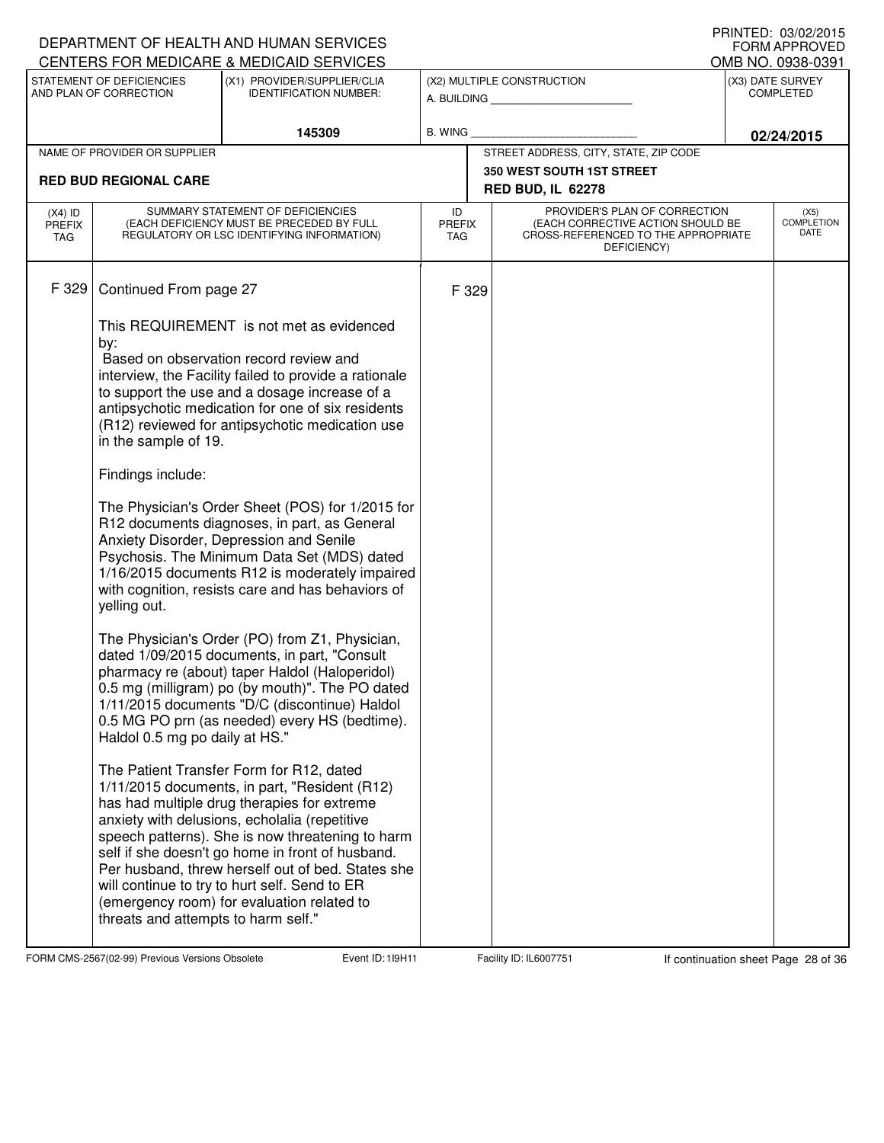| DEPARTMENT OF HEALTH AND HUMAN SERVICES<br>CENTERS FOR MEDICARE & MEDICAID SERVICES |                                                                                                                              | I INNILD. VJ/VZ/ZVIJ<br><b>FORM APPROVED</b><br>OMB NO. 0938-0391                                                                                                                                                                                                                                                                                                                                                                                                                                                                                                                                                                                                                                                                                                                                                                                                                                                                                                                                                                                                                                                                                                                                                                                                            |                                   |       |                                                                                                                          |                                      |                                   |
|-------------------------------------------------------------------------------------|------------------------------------------------------------------------------------------------------------------------------|------------------------------------------------------------------------------------------------------------------------------------------------------------------------------------------------------------------------------------------------------------------------------------------------------------------------------------------------------------------------------------------------------------------------------------------------------------------------------------------------------------------------------------------------------------------------------------------------------------------------------------------------------------------------------------------------------------------------------------------------------------------------------------------------------------------------------------------------------------------------------------------------------------------------------------------------------------------------------------------------------------------------------------------------------------------------------------------------------------------------------------------------------------------------------------------------------------------------------------------------------------------------------|-----------------------------------|-------|--------------------------------------------------------------------------------------------------------------------------|--------------------------------------|-----------------------------------|
|                                                                                     | STATEMENT OF DEFICIENCIES<br>AND PLAN OF CORRECTION                                                                          | (X1) PROVIDER/SUPPLIER/CLIA<br><b>IDENTIFICATION NUMBER:</b>                                                                                                                                                                                                                                                                                                                                                                                                                                                                                                                                                                                                                                                                                                                                                                                                                                                                                                                                                                                                                                                                                                                                                                                                                 |                                   |       | (X2) MULTIPLE CONSTRUCTION<br>A. BUILDING                                                                                | (X3) DATE SURVEY<br><b>COMPLETED</b> |                                   |
|                                                                                     |                                                                                                                              | 145309                                                                                                                                                                                                                                                                                                                                                                                                                                                                                                                                                                                                                                                                                                                                                                                                                                                                                                                                                                                                                                                                                                                                                                                                                                                                       | B. WING                           |       |                                                                                                                          | 02/24/2015                           |                                   |
|                                                                                     | NAME OF PROVIDER OR SUPPLIER                                                                                                 |                                                                                                                                                                                                                                                                                                                                                                                                                                                                                                                                                                                                                                                                                                                                                                                                                                                                                                                                                                                                                                                                                                                                                                                                                                                                              |                                   |       | STREET ADDRESS, CITY, STATE, ZIP CODE                                                                                    |                                      |                                   |
|                                                                                     | <b>RED BUD REGIONAL CARE</b>                                                                                                 |                                                                                                                                                                                                                                                                                                                                                                                                                                                                                                                                                                                                                                                                                                                                                                                                                                                                                                                                                                                                                                                                                                                                                                                                                                                                              |                                   |       | <b>350 WEST SOUTH 1ST STREET</b><br><b>RED BUD, IL 62278</b>                                                             |                                      |                                   |
| $(X4)$ ID<br><b>PREFIX</b><br>TAG                                                   |                                                                                                                              | SUMMARY STATEMENT OF DEFICIENCIES<br>(EACH DEFICIENCY MUST BE PRECEDED BY FULL<br>REGULATORY OR LSC IDENTIFYING INFORMATION)                                                                                                                                                                                                                                                                                                                                                                                                                                                                                                                                                                                                                                                                                                                                                                                                                                                                                                                                                                                                                                                                                                                                                 | ID<br><b>PREFIX</b><br><b>TAG</b> |       | PROVIDER'S PLAN OF CORRECTION<br>(EACH CORRECTIVE ACTION SHOULD BE<br>CROSS-REFERENCED TO THE APPROPRIATE<br>DEFICIENCY) |                                      | (X5)<br><b>COMPLETION</b><br>DATE |
| F 329                                                                               | Continued From page 27<br>by:<br>in the sample of 19.<br>Findings include:<br>yelling out.<br>Haldol 0.5 mg po daily at HS." | This REQUIREMENT is not met as evidenced<br>Based on observation record review and<br>interview, the Facility failed to provide a rationale<br>to support the use and a dosage increase of a<br>antipsychotic medication for one of six residents<br>(R12) reviewed for antipsychotic medication use<br>The Physician's Order Sheet (POS) for 1/2015 for<br>R12 documents diagnoses, in part, as General<br>Anxiety Disorder, Depression and Senile<br>Psychosis. The Minimum Data Set (MDS) dated<br>1/16/2015 documents R12 is moderately impaired<br>with cognition, resists care and has behaviors of<br>The Physician's Order (PO) from Z1, Physician,<br>dated 1/09/2015 documents, in part, "Consult<br>pharmacy re (about) taper Haldol (Haloperidol)<br>0.5 mg (milligram) po (by mouth)". The PO dated<br>1/11/2015 documents "D/C (discontinue) Haldol<br>0.5 MG PO prn (as needed) every HS (bedtime).<br>The Patient Transfer Form for R12, dated<br>1/11/2015 documents, in part, "Resident (R12)<br>has had multiple drug therapies for extreme<br>anxiety with delusions, echolalia (repetitive<br>speech patterns). She is now threatening to harm<br>self if she doesn't go home in front of husband.<br>Per husband, threw herself out of bed. States she |                                   | F 329 |                                                                                                                          |                                      |                                   |
|                                                                                     | threats and attempts to harm self."                                                                                          | will continue to try to hurt self. Send to ER<br>(emergency room) for evaluation related to                                                                                                                                                                                                                                                                                                                                                                                                                                                                                                                                                                                                                                                                                                                                                                                                                                                                                                                                                                                                                                                                                                                                                                                  |                                   |       |                                                                                                                          |                                      |                                   |

FORM CMS-2567(02-99) Previous Versions Obsolete 119H11 Event ID: 119H11 Facility ID: IL6007751 If continuation sheet Page 28 of 36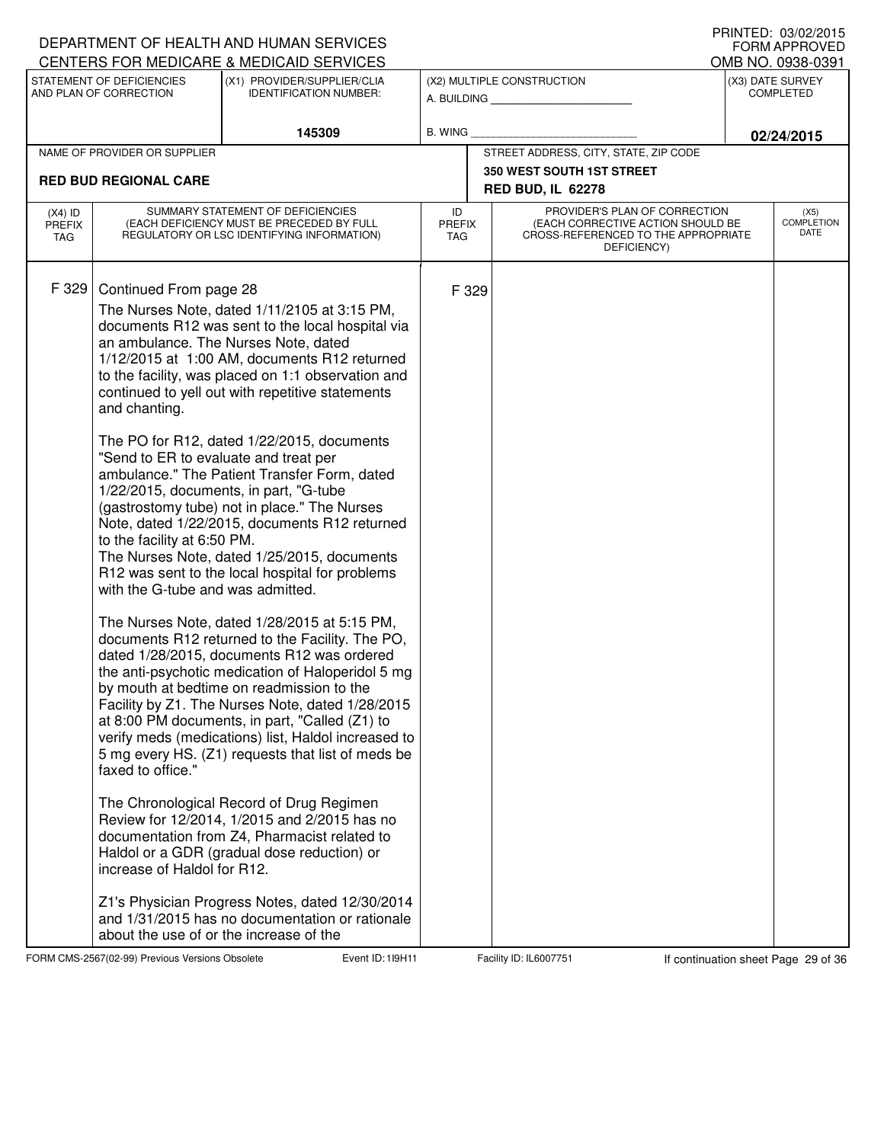|                                   |                                                                                                                                                                                                          | DEPARTMENT OF HEALTH AND HUMAN SERVICES<br>CENTERS FOR MEDICARE & MEDICAID SERVICES                                                                                                                                                                                                                                                                                                                                                                                                                                                                                                                                                                                                                                                                                                                                                                                                                                                                                                                                                                                                                                                                                                                                                                                                                                                                                                                                 |                                   |       |                                                                                                                          |            | I INNILLI. VUIVLILUIJ<br><b>FORM APPROVED</b><br>OMB NO. 0938-0391 |
|-----------------------------------|----------------------------------------------------------------------------------------------------------------------------------------------------------------------------------------------------------|---------------------------------------------------------------------------------------------------------------------------------------------------------------------------------------------------------------------------------------------------------------------------------------------------------------------------------------------------------------------------------------------------------------------------------------------------------------------------------------------------------------------------------------------------------------------------------------------------------------------------------------------------------------------------------------------------------------------------------------------------------------------------------------------------------------------------------------------------------------------------------------------------------------------------------------------------------------------------------------------------------------------------------------------------------------------------------------------------------------------------------------------------------------------------------------------------------------------------------------------------------------------------------------------------------------------------------------------------------------------------------------------------------------------|-----------------------------------|-------|--------------------------------------------------------------------------------------------------------------------------|------------|--------------------------------------------------------------------|
|                                   | STATEMENT OF DEFICIENCIES<br>AND PLAN OF CORRECTION                                                                                                                                                      | (X1) PROVIDER/SUPPLIER/CLIA<br><b>IDENTIFICATION NUMBER:</b>                                                                                                                                                                                                                                                                                                                                                                                                                                                                                                                                                                                                                                                                                                                                                                                                                                                                                                                                                                                                                                                                                                                                                                                                                                                                                                                                                        |                                   |       | (X2) MULTIPLE CONSTRUCTION<br>A. BUILDING                                                                                |            | (X3) DATE SURVEY<br><b>COMPLETED</b>                               |
|                                   |                                                                                                                                                                                                          | 145309                                                                                                                                                                                                                                                                                                                                                                                                                                                                                                                                                                                                                                                                                                                                                                                                                                                                                                                                                                                                                                                                                                                                                                                                                                                                                                                                                                                                              | B. WING                           |       |                                                                                                                          | 02/24/2015 |                                                                    |
|                                   | NAME OF PROVIDER OR SUPPLIER                                                                                                                                                                             |                                                                                                                                                                                                                                                                                                                                                                                                                                                                                                                                                                                                                                                                                                                                                                                                                                                                                                                                                                                                                                                                                                                                                                                                                                                                                                                                                                                                                     |                                   |       | STREET ADDRESS, CITY, STATE, ZIP CODE                                                                                    |            |                                                                    |
|                                   | <b>RED BUD REGIONAL CARE</b>                                                                                                                                                                             |                                                                                                                                                                                                                                                                                                                                                                                                                                                                                                                                                                                                                                                                                                                                                                                                                                                                                                                                                                                                                                                                                                                                                                                                                                                                                                                                                                                                                     |                                   |       | <b>350 WEST SOUTH 1ST STREET</b>                                                                                         |            |                                                                    |
|                                   |                                                                                                                                                                                                          |                                                                                                                                                                                                                                                                                                                                                                                                                                                                                                                                                                                                                                                                                                                                                                                                                                                                                                                                                                                                                                                                                                                                                                                                                                                                                                                                                                                                                     |                                   |       | <b>RED BUD, IL 62278</b>                                                                                                 |            |                                                                    |
| $(X4)$ ID<br><b>PREFIX</b><br>TAG |                                                                                                                                                                                                          | SUMMARY STATEMENT OF DEFICIENCIES<br>(EACH DEFICIENCY MUST BE PRECEDED BY FULL<br>REGULATORY OR LSC IDENTIFYING INFORMATION)                                                                                                                                                                                                                                                                                                                                                                                                                                                                                                                                                                                                                                                                                                                                                                                                                                                                                                                                                                                                                                                                                                                                                                                                                                                                                        | ID<br><b>PREFIX</b><br><b>TAG</b> |       | PROVIDER'S PLAN OF CORRECTION<br>(EACH CORRECTIVE ACTION SHOULD BE<br>CROSS-REFERENCED TO THE APPROPRIATE<br>DEFICIENCY) |            | (X5)<br><b>COMPLETION</b><br>DATE                                  |
| F 329                             | Continued From page 28<br>and chanting.<br>"Send to ER to evaluate and treat per<br>to the facility at 6:50 PM.<br>with the G-tube and was admitted.<br>faxed to office."<br>increase of Haldol for R12. | The Nurses Note, dated 1/11/2105 at 3:15 PM,<br>documents R12 was sent to the local hospital via<br>an ambulance. The Nurses Note, dated<br>1/12/2015 at 1:00 AM, documents R12 returned<br>to the facility, was placed on 1:1 observation and<br>continued to yell out with repetitive statements<br>The PO for R12, dated 1/22/2015, documents<br>ambulance." The Patient Transfer Form, dated<br>1/22/2015, documents, in part, "G-tube<br>(gastrostomy tube) not in place." The Nurses<br>Note, dated 1/22/2015, documents R12 returned<br>The Nurses Note, dated 1/25/2015, documents<br>R12 was sent to the local hospital for problems<br>The Nurses Note, dated 1/28/2015 at 5:15 PM,<br>documents R12 returned to the Facility. The PO,<br>dated 1/28/2015, documents R12 was ordered<br>the anti-psychotic medication of Haloperidol 5 mg<br>by mouth at bedtime on readmission to the<br>Facility by Z1. The Nurses Note, dated 1/28/2015<br>at 8:00 PM documents, in part, "Called (Z1) to<br>verify meds (medications) list, Haldol increased to<br>5 mg every HS. (Z1) requests that list of meds be<br>The Chronological Record of Drug Regimen<br>Review for 12/2014, 1/2015 and 2/2015 has no<br>documentation from Z4, Pharmacist related to<br>Haldol or a GDR (gradual dose reduction) or<br>Z1's Physician Progress Notes, dated 12/30/2014<br>and 1/31/2015 has no documentation or rationale |                                   | F 329 |                                                                                                                          |            |                                                                    |
|                                   | about the use of or the increase of the                                                                                                                                                                  |                                                                                                                                                                                                                                                                                                                                                                                                                                                                                                                                                                                                                                                                                                                                                                                                                                                                                                                                                                                                                                                                                                                                                                                                                                                                                                                                                                                                                     |                                   |       |                                                                                                                          |            |                                                                    |

FORM CMS-2567(02-99) Previous Versions Obsolete **119H Event ID: 119H11** Facility ID: IL6007751 If continuation sheet Page 29 of 36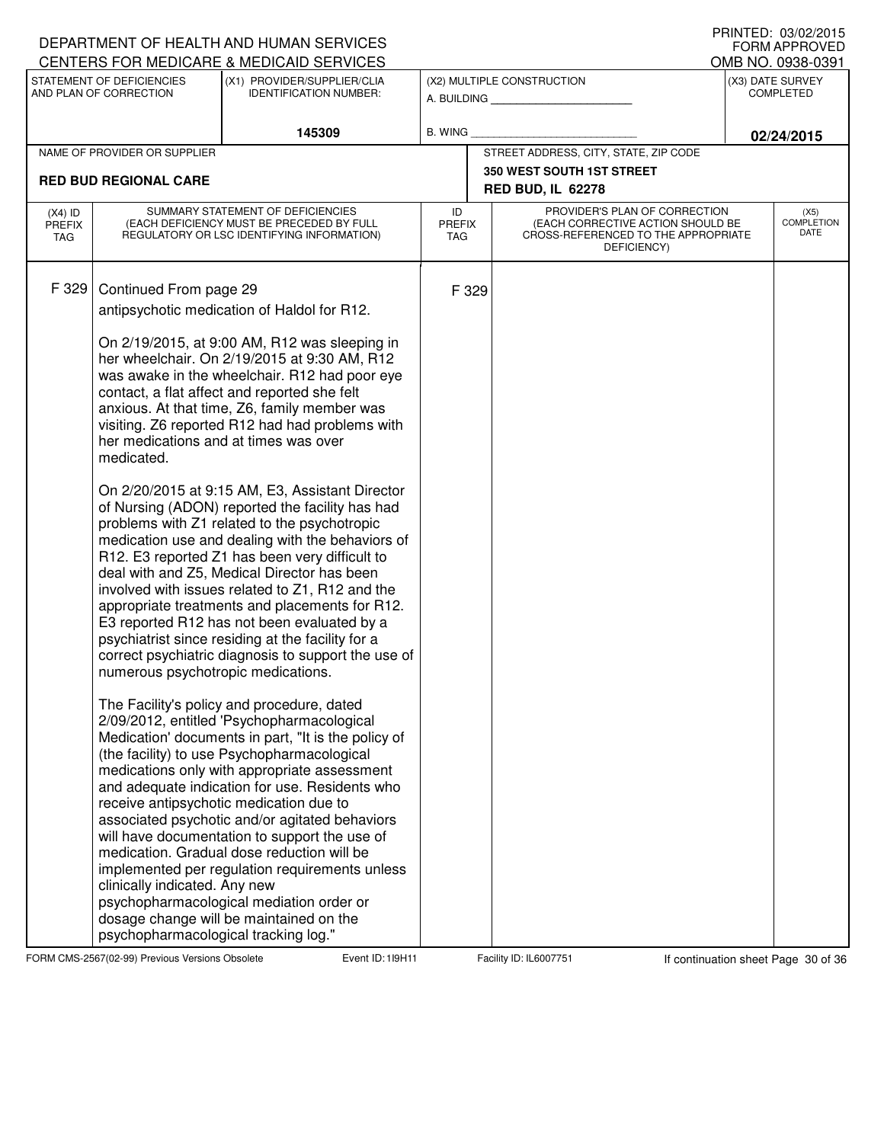|                                          |                                                                                                                                                                                              | DEPARTMENT OF HEALTH AND HUMAN SERVICES<br>CENTERS FOR MEDICARE & MEDICAID SERVICES                                                                                                                                                                                                                                                                                                                                                                                                                                                                                                                                                                                                                                                                                                                                                                                                                                                                                                                                                                                                                                                                                                                                                                                                                                                                                                                                                                                                                                                                                  |                                   |       |                                                                                                                          |                                      | I INNILD. VJ/VZ/ZVIJ<br><b>FORM APPROVED</b><br>OMB NO. 0938-0391 |  |
|------------------------------------------|----------------------------------------------------------------------------------------------------------------------------------------------------------------------------------------------|----------------------------------------------------------------------------------------------------------------------------------------------------------------------------------------------------------------------------------------------------------------------------------------------------------------------------------------------------------------------------------------------------------------------------------------------------------------------------------------------------------------------------------------------------------------------------------------------------------------------------------------------------------------------------------------------------------------------------------------------------------------------------------------------------------------------------------------------------------------------------------------------------------------------------------------------------------------------------------------------------------------------------------------------------------------------------------------------------------------------------------------------------------------------------------------------------------------------------------------------------------------------------------------------------------------------------------------------------------------------------------------------------------------------------------------------------------------------------------------------------------------------------------------------------------------------|-----------------------------------|-------|--------------------------------------------------------------------------------------------------------------------------|--------------------------------------|-------------------------------------------------------------------|--|
|                                          | STATEMENT OF DEFICIENCIES<br>AND PLAN OF CORRECTION                                                                                                                                          | (X1) PROVIDER/SUPPLIER/CLIA<br><b>IDENTIFICATION NUMBER:</b>                                                                                                                                                                                                                                                                                                                                                                                                                                                                                                                                                                                                                                                                                                                                                                                                                                                                                                                                                                                                                                                                                                                                                                                                                                                                                                                                                                                                                                                                                                         |                                   |       | (X2) MULTIPLE CONSTRUCTION<br>A. BUILDING                                                                                | (X3) DATE SURVEY<br><b>COMPLETED</b> |                                                                   |  |
|                                          |                                                                                                                                                                                              | 145309                                                                                                                                                                                                                                                                                                                                                                                                                                                                                                                                                                                                                                                                                                                                                                                                                                                                                                                                                                                                                                                                                                                                                                                                                                                                                                                                                                                                                                                                                                                                                               | <b>B. WING</b>                    |       |                                                                                                                          | 02/24/2015                           |                                                                   |  |
|                                          | NAME OF PROVIDER OR SUPPLIER                                                                                                                                                                 |                                                                                                                                                                                                                                                                                                                                                                                                                                                                                                                                                                                                                                                                                                                                                                                                                                                                                                                                                                                                                                                                                                                                                                                                                                                                                                                                                                                                                                                                                                                                                                      |                                   |       | STREET ADDRESS, CITY, STATE, ZIP CODE                                                                                    |                                      |                                                                   |  |
|                                          | <b>RED BUD REGIONAL CARE</b>                                                                                                                                                                 |                                                                                                                                                                                                                                                                                                                                                                                                                                                                                                                                                                                                                                                                                                                                                                                                                                                                                                                                                                                                                                                                                                                                                                                                                                                                                                                                                                                                                                                                                                                                                                      |                                   |       | <b>350 WEST SOUTH 1ST STREET</b><br><b>RED BUD, IL 62278</b>                                                             |                                      |                                                                   |  |
| $(X4)$ ID<br><b>PREFIX</b><br><b>TAG</b> |                                                                                                                                                                                              | SUMMARY STATEMENT OF DEFICIENCIES<br>(EACH DEFICIENCY MUST BE PRECEDED BY FULL<br>REGULATORY OR LSC IDENTIFYING INFORMATION)                                                                                                                                                                                                                                                                                                                                                                                                                                                                                                                                                                                                                                                                                                                                                                                                                                                                                                                                                                                                                                                                                                                                                                                                                                                                                                                                                                                                                                         | ID<br><b>PREFIX</b><br><b>TAG</b> |       | PROVIDER'S PLAN OF CORRECTION<br>(EACH CORRECTIVE ACTION SHOULD BE<br>CROSS-REFERENCED TO THE APPROPRIATE<br>DEFICIENCY) |                                      | (X5)<br><b>COMPLETION</b><br>DATE                                 |  |
| F 329                                    | Continued From page 29<br>her medications and at times was over<br>medicated.<br>numerous psychotropic medications.<br>clinically indicated. Any new<br>psychopharmacological tracking log." | antipsychotic medication of Haldol for R12.<br>On 2/19/2015, at 9:00 AM, R12 was sleeping in<br>her wheelchair. On 2/19/2015 at 9:30 AM, R12<br>was awake in the wheelchair. R12 had poor eye<br>contact, a flat affect and reported she felt<br>anxious. At that time, Z6, family member was<br>visiting. Z6 reported R12 had had problems with<br>On 2/20/2015 at 9:15 AM, E3, Assistant Director<br>of Nursing (ADON) reported the facility has had<br>problems with Z1 related to the psychotropic<br>medication use and dealing with the behaviors of<br>R12. E3 reported Z1 has been very difficult to<br>deal with and Z5, Medical Director has been<br>involved with issues related to Z1, R12 and the<br>appropriate treatments and placements for R12.<br>E3 reported R12 has not been evaluated by a<br>psychiatrist since residing at the facility for a<br>correct psychiatric diagnosis to support the use of<br>The Facility's policy and procedure, dated<br>2/09/2012, entitled 'Psychopharmacological<br>Medication' documents in part, "It is the policy of<br>(the facility) to use Psychopharmacological<br>medications only with appropriate assessment<br>and adequate indication for use. Residents who<br>receive antipsychotic medication due to<br>associated psychotic and/or agitated behaviors<br>will have documentation to support the use of<br>medication. Gradual dose reduction will be<br>implemented per regulation requirements unless<br>psychopharmacological mediation order or<br>dosage change will be maintained on the |                                   | F 329 |                                                                                                                          |                                      |                                                                   |  |

FORM CMS-2567(02-99) Previous Versions Obsolete Event ID: 119H11 Facility ID: IL6007751 If continuation sheet Page 30 of 36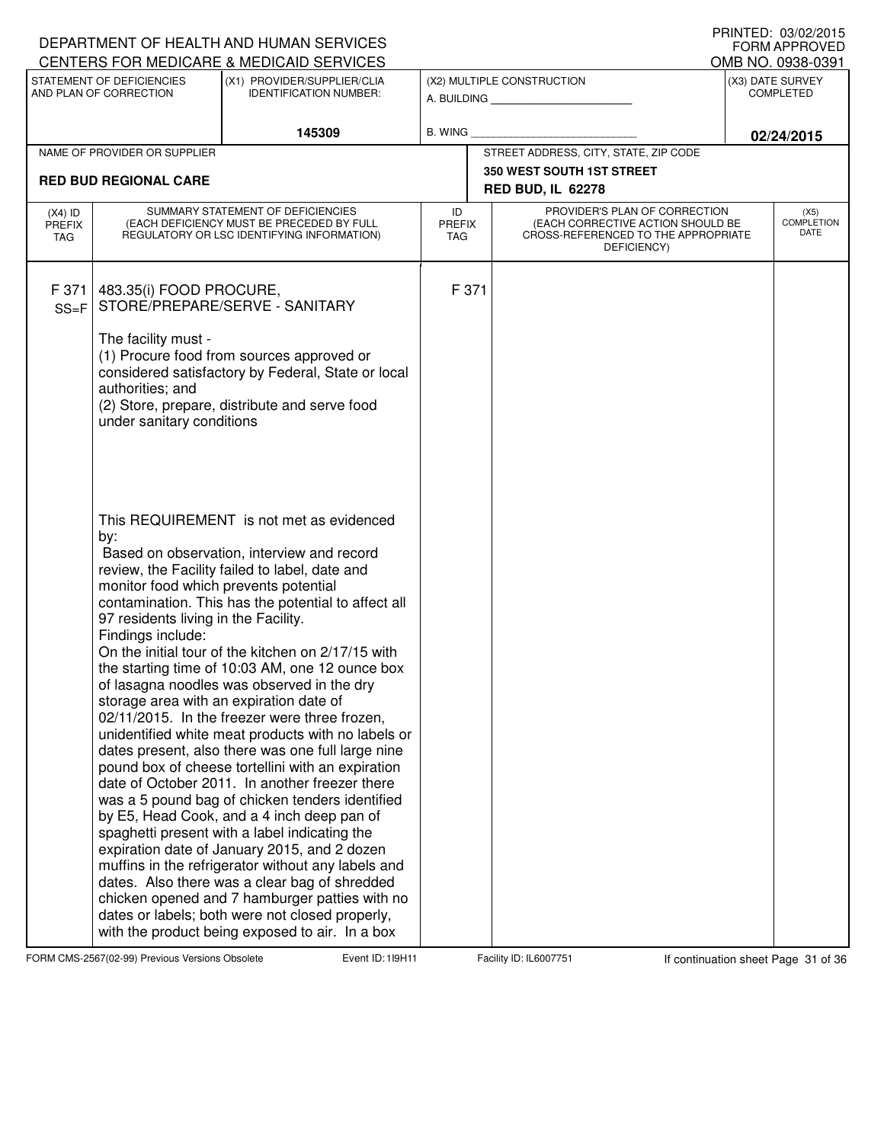|                                          |                                                                                                           | DEPARTMENT OF HEALTH AND HUMAN SERVICES<br>CENTERS FOR MEDICARE & MEDICAID SERVICES                                                                                                                                                                                                                                                                                                                                                                                                                                                                                                                                                                                                                                                                                                                                                                                                                                                                                                                                                                                                                                                   |                                   |                                                                                                                          |            | I IUIN LLU. VU/VE/LUTJ<br><b>FORM APPROVED</b><br>OMB NO. 0938-0391 |  |
|------------------------------------------|-----------------------------------------------------------------------------------------------------------|---------------------------------------------------------------------------------------------------------------------------------------------------------------------------------------------------------------------------------------------------------------------------------------------------------------------------------------------------------------------------------------------------------------------------------------------------------------------------------------------------------------------------------------------------------------------------------------------------------------------------------------------------------------------------------------------------------------------------------------------------------------------------------------------------------------------------------------------------------------------------------------------------------------------------------------------------------------------------------------------------------------------------------------------------------------------------------------------------------------------------------------|-----------------------------------|--------------------------------------------------------------------------------------------------------------------------|------------|---------------------------------------------------------------------|--|
|                                          | STATEMENT OF DEFICIENCIES<br>AND PLAN OF CORRECTION                                                       | (X1) PROVIDER/SUPPLIER/CLIA<br><b>IDENTIFICATION NUMBER:</b>                                                                                                                                                                                                                                                                                                                                                                                                                                                                                                                                                                                                                                                                                                                                                                                                                                                                                                                                                                                                                                                                          |                                   | (X2) MULTIPLE CONSTRUCTION<br>A. BUILDING AND AN INCOME.                                                                 |            | (X3) DATE SURVEY<br><b>COMPLETED</b>                                |  |
|                                          |                                                                                                           | 145309                                                                                                                                                                                                                                                                                                                                                                                                                                                                                                                                                                                                                                                                                                                                                                                                                                                                                                                                                                                                                                                                                                                                | B. WING                           |                                                                                                                          | 02/24/2015 |                                                                     |  |
|                                          | NAME OF PROVIDER OR SUPPLIER                                                                              |                                                                                                                                                                                                                                                                                                                                                                                                                                                                                                                                                                                                                                                                                                                                                                                                                                                                                                                                                                                                                                                                                                                                       |                                   | STREET ADDRESS, CITY, STATE, ZIP CODE                                                                                    |            |                                                                     |  |
|                                          | <b>RED BUD REGIONAL CARE</b>                                                                              |                                                                                                                                                                                                                                                                                                                                                                                                                                                                                                                                                                                                                                                                                                                                                                                                                                                                                                                                                                                                                                                                                                                                       |                                   | <b>350 WEST SOUTH 1ST STREET</b>                                                                                         |            |                                                                     |  |
|                                          |                                                                                                           |                                                                                                                                                                                                                                                                                                                                                                                                                                                                                                                                                                                                                                                                                                                                                                                                                                                                                                                                                                                                                                                                                                                                       |                                   | <b>RED BUD, IL 62278</b>                                                                                                 |            |                                                                     |  |
| $(X4)$ ID<br><b>PREFIX</b><br><b>TAG</b> |                                                                                                           | SUMMARY STATEMENT OF DEFICIENCIES<br>(EACH DEFICIENCY MUST BE PRECEDED BY FULL<br>REGULATORY OR LSC IDENTIFYING INFORMATION)                                                                                                                                                                                                                                                                                                                                                                                                                                                                                                                                                                                                                                                                                                                                                                                                                                                                                                                                                                                                          | ID<br><b>PREFIX</b><br><b>TAG</b> | PROVIDER'S PLAN OF CORRECTION<br>(EACH CORRECTIVE ACTION SHOULD BE<br>CROSS-REFERENCED TO THE APPROPRIATE<br>DEFICIENCY) |            | (X5)<br><b>COMPLETION</b><br>DATE                                   |  |
| F 371<br>$SS = F$                        | 483.35(i) FOOD PROCURE,                                                                                   | STORE/PREPARE/SERVE - SANITARY                                                                                                                                                                                                                                                                                                                                                                                                                                                                                                                                                                                                                                                                                                                                                                                                                                                                                                                                                                                                                                                                                                        | F 371                             |                                                                                                                          |            |                                                                     |  |
|                                          | The facility must -<br>authorities; and<br>under sanitary conditions                                      | (1) Procure food from sources approved or<br>considered satisfactory by Federal, State or local<br>(2) Store, prepare, distribute and serve food                                                                                                                                                                                                                                                                                                                                                                                                                                                                                                                                                                                                                                                                                                                                                                                                                                                                                                                                                                                      |                                   |                                                                                                                          |            |                                                                     |  |
|                                          | by:<br>monitor food which prevents potential<br>97 residents living in the Facility.<br>Findings include: | This REQUIREMENT is not met as evidenced<br>Based on observation, interview and record<br>review, the Facility failed to label, date and<br>contamination. This has the potential to affect all<br>On the initial tour of the kitchen on 2/17/15 with<br>the starting time of 10:03 AM, one 12 ounce box<br>of lasagna noodles was observed in the dry<br>storage area with an expiration date of<br>02/11/2015. In the freezer were three frozen,<br>unidentified white meat products with no labels or<br>dates present, also there was one full large nine<br>pound box of cheese tortellini with an expiration<br>date of October 2011. In another freezer there<br>was a 5 pound bag of chicken tenders identified<br>by E5, Head Cook, and a 4 inch deep pan of<br>spaghetti present with a label indicating the<br>expiration date of January 2015, and 2 dozen<br>muffins in the refrigerator without any labels and<br>dates. Also there was a clear bag of shredded<br>chicken opened and 7 hamburger patties with no<br>dates or labels; both were not closed properly,<br>with the product being exposed to air. In a box |                                   |                                                                                                                          |            |                                                                     |  |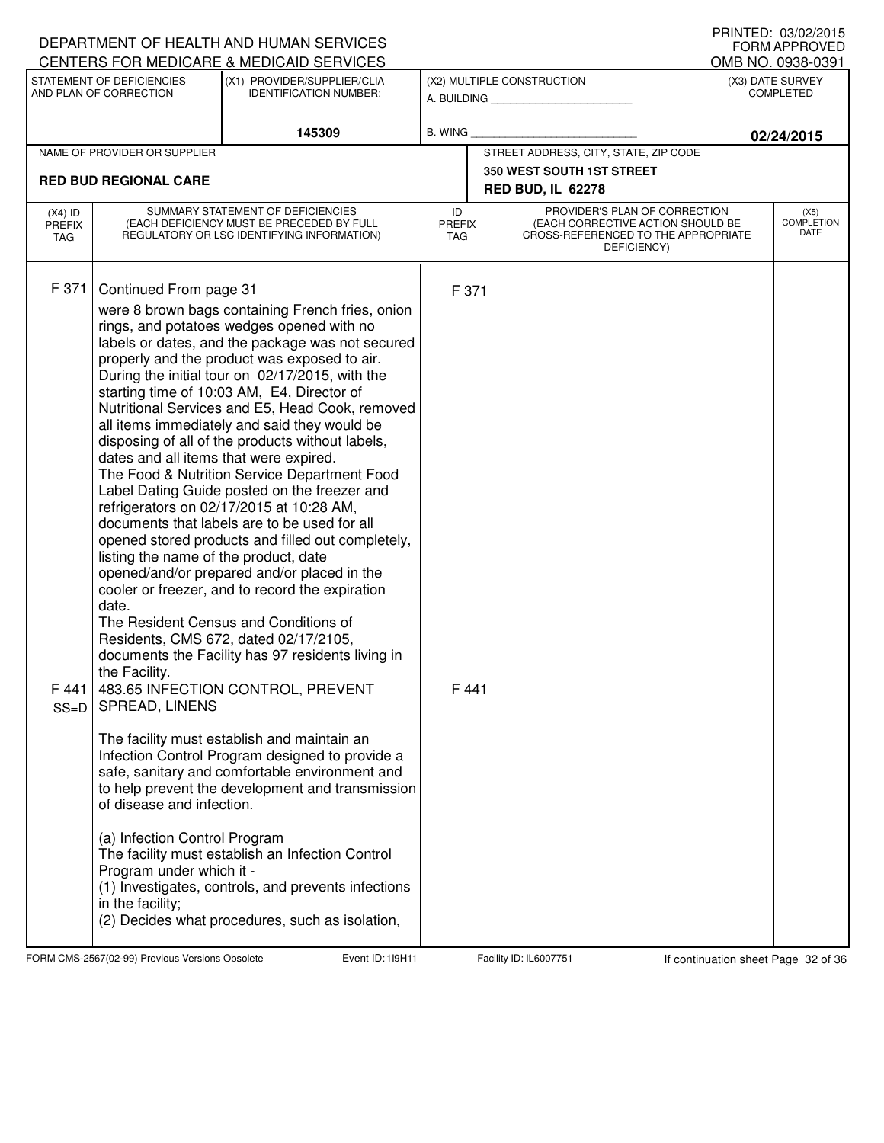|                                          |                                                                                                                                                                                                                                                                     | DEPARTMENT OF HEALTH AND HUMAN SERVICES<br>CENTERS FOR MEDICARE & MEDICAID SERVICES                                                                                                                                                                                                                                                                                                                                                                                                                                                                                                                                                                                                                                                                                                                                                                                                                                                                                                                                                                                                                                                                                                                                                                                                                                                                            |                                   | IIIIIIILD.UJ/UZ/ZUIJ<br><b>FORM APPROVED</b><br>OMB NO. 0938-0391                                                        |                                   |                                      |  |  |  |
|------------------------------------------|---------------------------------------------------------------------------------------------------------------------------------------------------------------------------------------------------------------------------------------------------------------------|----------------------------------------------------------------------------------------------------------------------------------------------------------------------------------------------------------------------------------------------------------------------------------------------------------------------------------------------------------------------------------------------------------------------------------------------------------------------------------------------------------------------------------------------------------------------------------------------------------------------------------------------------------------------------------------------------------------------------------------------------------------------------------------------------------------------------------------------------------------------------------------------------------------------------------------------------------------------------------------------------------------------------------------------------------------------------------------------------------------------------------------------------------------------------------------------------------------------------------------------------------------------------------------------------------------------------------------------------------------|-----------------------------------|--------------------------------------------------------------------------------------------------------------------------|-----------------------------------|--------------------------------------|--|--|--|
|                                          | STATEMENT OF DEFICIENCIES<br>AND PLAN OF CORRECTION                                                                                                                                                                                                                 | (X1) PROVIDER/SUPPLIER/CLIA<br><b>IDENTIFICATION NUMBER:</b>                                                                                                                                                                                                                                                                                                                                                                                                                                                                                                                                                                                                                                                                                                                                                                                                                                                                                                                                                                                                                                                                                                                                                                                                                                                                                                   |                                   | (X2) MULTIPLE CONSTRUCTION<br>A. BUILDING                                                                                |                                   | (X3) DATE SURVEY<br><b>COMPLETED</b> |  |  |  |
|                                          |                                                                                                                                                                                                                                                                     | 145309                                                                                                                                                                                                                                                                                                                                                                                                                                                                                                                                                                                                                                                                                                                                                                                                                                                                                                                                                                                                                                                                                                                                                                                                                                                                                                                                                         | B. WING                           |                                                                                                                          | 02/24/2015                        |                                      |  |  |  |
|                                          | NAME OF PROVIDER OR SUPPLIER                                                                                                                                                                                                                                        |                                                                                                                                                                                                                                                                                                                                                                                                                                                                                                                                                                                                                                                                                                                                                                                                                                                                                                                                                                                                                                                                                                                                                                                                                                                                                                                                                                |                                   | STREET ADDRESS, CITY, STATE, ZIP CODE                                                                                    |                                   |                                      |  |  |  |
|                                          | <b>RED BUD REGIONAL CARE</b>                                                                                                                                                                                                                                        |                                                                                                                                                                                                                                                                                                                                                                                                                                                                                                                                                                                                                                                                                                                                                                                                                                                                                                                                                                                                                                                                                                                                                                                                                                                                                                                                                                |                                   | <b>350 WEST SOUTH 1ST STREET</b><br><b>RED BUD, IL 62278</b>                                                             |                                   |                                      |  |  |  |
| $(X4)$ ID<br><b>PREFIX</b><br><b>TAG</b> | SUMMARY STATEMENT OF DEFICIENCIES<br>(EACH DEFICIENCY MUST BE PRECEDED BY FULL<br>REGULATORY OR LSC IDENTIFYING INFORMATION)                                                                                                                                        |                                                                                                                                                                                                                                                                                                                                                                                                                                                                                                                                                                                                                                                                                                                                                                                                                                                                                                                                                                                                                                                                                                                                                                                                                                                                                                                                                                | ID<br><b>PREFIX</b><br><b>TAG</b> | PROVIDER'S PLAN OF CORRECTION<br>(EACH CORRECTIVE ACTION SHOULD BE<br>CROSS-REFERENCED TO THE APPROPRIATE<br>DEFICIENCY) | (X5)<br><b>COMPLETION</b><br>DATE |                                      |  |  |  |
| F 371<br>F441<br>$SS=D$                  | Continued From page 31<br>dates and all items that were expired.<br>listing the name of the product, date<br>date.<br>the Facility.<br>SPREAD, LINENS<br>of disease and infection.<br>(a) Infection Control Program<br>Program under which it -<br>in the facility; | were 8 brown bags containing French fries, onion<br>rings, and potatoes wedges opened with no<br>labels or dates, and the package was not secured<br>properly and the product was exposed to air.<br>During the initial tour on 02/17/2015, with the<br>starting time of 10:03 AM, E4, Director of<br>Nutritional Services and E5, Head Cook, removed<br>all items immediately and said they would be<br>disposing of all of the products without labels,<br>The Food & Nutrition Service Department Food<br>Label Dating Guide posted on the freezer and<br>refrigerators on 02/17/2015 at 10:28 AM,<br>documents that labels are to be used for all<br>opened stored products and filled out completely,<br>opened/and/or prepared and/or placed in the<br>cooler or freezer, and to record the expiration<br>The Resident Census and Conditions of<br>Residents, CMS 672, dated 02/17/2105,<br>documents the Facility has 97 residents living in<br>483.65 INFECTION CONTROL, PREVENT<br>The facility must establish and maintain an<br>Infection Control Program designed to provide a<br>safe, sanitary and comfortable environment and<br>to help prevent the development and transmission<br>The facility must establish an Infection Control<br>(1) Investigates, controls, and prevents infections<br>(2) Decides what procedures, such as isolation, | F 371<br>F441                     |                                                                                                                          |                                   |                                      |  |  |  |

FORM CMS-2567(02-99) Previous Versions Obsolete 119H11 Event ID: 119H11 Facility ID: IL6007751 If continuation sheet Page 32 of 36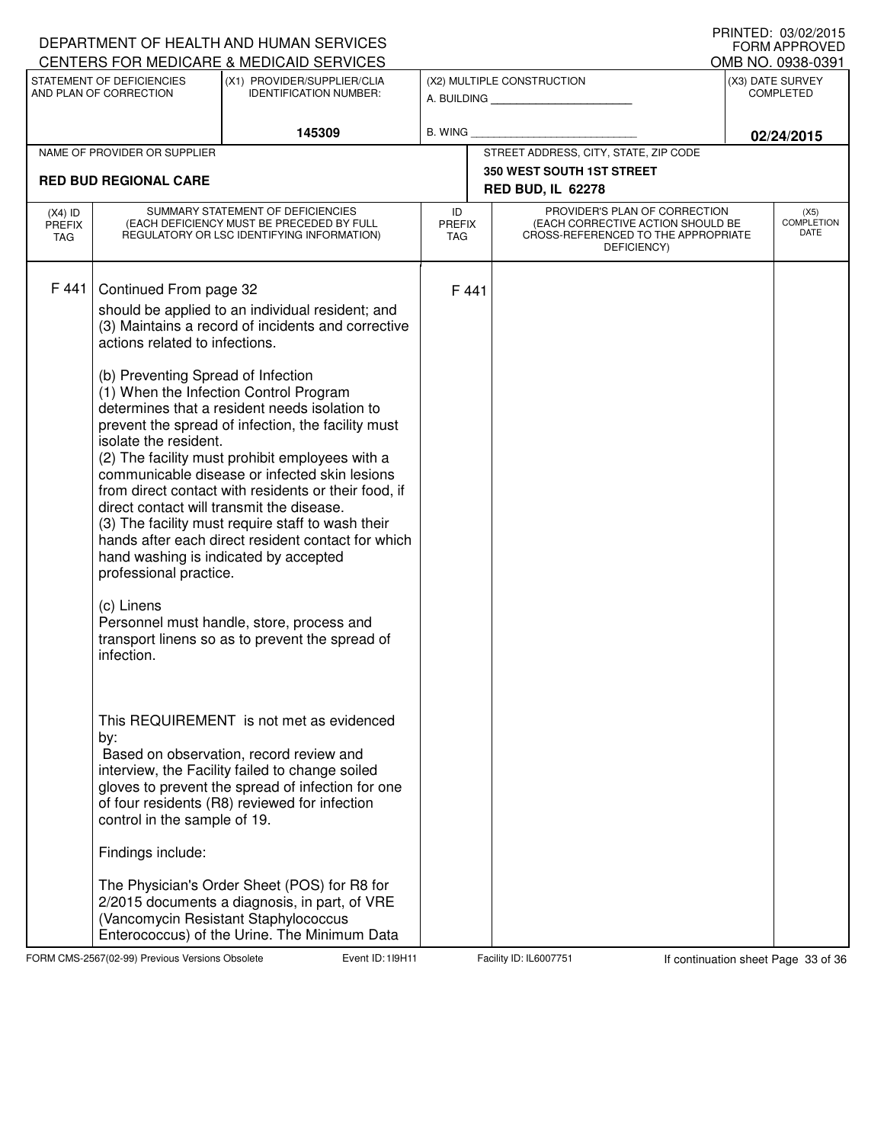|                                   |                                                                                                                                                                                                                            | DEPARTMENT OF HEALTH AND HUMAN SERVICES<br>CENTERS FOR MEDICARE & MEDICAID SERVICES                                                                                                                                                                                                                                                                                                                                                                                                                                                                                                                                                                                     |                                   |       |                                                                                                                                              | <b>I INIVILD. VJ/VZ/ZVIJ</b><br><b>FORM APPROVED</b><br>OMB NO. 0938-0391 |  |
|-----------------------------------|----------------------------------------------------------------------------------------------------------------------------------------------------------------------------------------------------------------------------|-------------------------------------------------------------------------------------------------------------------------------------------------------------------------------------------------------------------------------------------------------------------------------------------------------------------------------------------------------------------------------------------------------------------------------------------------------------------------------------------------------------------------------------------------------------------------------------------------------------------------------------------------------------------------|-----------------------------------|-------|----------------------------------------------------------------------------------------------------------------------------------------------|---------------------------------------------------------------------------|--|
|                                   | STATEMENT OF DEFICIENCIES<br>AND PLAN OF CORRECTION                                                                                                                                                                        | (X1) PROVIDER/SUPPLIER/CLIA<br><b>IDENTIFICATION NUMBER:</b>                                                                                                                                                                                                                                                                                                                                                                                                                                                                                                                                                                                                            |                                   |       | (X2) MULTIPLE CONSTRUCTION<br>A. BUILDING AND THE STATE OF THE STATE OF THE STATE OF THE STATE OF THE STATE OF THE STATE OF THE STATE OF THE | (X3) DATE SURVEY<br><b>COMPLETED</b>                                      |  |
|                                   |                                                                                                                                                                                                                            | 145309                                                                                                                                                                                                                                                                                                                                                                                                                                                                                                                                                                                                                                                                  | <b>B. WING</b>                    |       |                                                                                                                                              | 02/24/2015                                                                |  |
|                                   | NAME OF PROVIDER OR SUPPLIER                                                                                                                                                                                               |                                                                                                                                                                                                                                                                                                                                                                                                                                                                                                                                                                                                                                                                         |                                   |       | STREET ADDRESS, CITY, STATE, ZIP CODE                                                                                                        |                                                                           |  |
|                                   | <b>RED BUD REGIONAL CARE</b>                                                                                                                                                                                               |                                                                                                                                                                                                                                                                                                                                                                                                                                                                                                                                                                                                                                                                         |                                   |       | <b>350 WEST SOUTH 1ST STREET</b>                                                                                                             |                                                                           |  |
|                                   |                                                                                                                                                                                                                            |                                                                                                                                                                                                                                                                                                                                                                                                                                                                                                                                                                                                                                                                         |                                   |       | <b>RED BUD, IL 62278</b>                                                                                                                     |                                                                           |  |
| $(X4)$ ID<br>PREFIX<br><b>TAG</b> | SUMMARY STATEMENT OF DEFICIENCIES<br>(EACH DEFICIENCY MUST BE PRECEDED BY FULL<br>REGULATORY OR LSC IDENTIFYING INFORMATION)                                                                                               |                                                                                                                                                                                                                                                                                                                                                                                                                                                                                                                                                                                                                                                                         | ID<br><b>PREFIX</b><br><b>TAG</b> |       | PROVIDER'S PLAN OF CORRECTION<br>(EACH CORRECTIVE ACTION SHOULD BE<br>CROSS-REFERENCED TO THE APPROPRIATE<br>DEFICIENCY)                     | (X5)<br><b>COMPLETION</b><br>DATE                                         |  |
| F 441                             | Continued From page 32<br>actions related to infections.<br>(b) Preventing Spread of Infection<br>isolate the resident.<br>direct contact will transmit the disease.<br>professional practice.<br>(c) Linens<br>infection. | should be applied to an individual resident; and<br>(3) Maintains a record of incidents and corrective<br>(1) When the Infection Control Program<br>determines that a resident needs isolation to<br>prevent the spread of infection, the facility must<br>(2) The facility must prohibit employees with a<br>communicable disease or infected skin lesions<br>from direct contact with residents or their food, if<br>(3) The facility must require staff to wash their<br>hands after each direct resident contact for which<br>hand washing is indicated by accepted<br>Personnel must handle, store, process and<br>transport linens so as to prevent the spread of |                                   | F 441 |                                                                                                                                              |                                                                           |  |
|                                   | by:<br>control in the sample of 19.<br>Findings include:                                                                                                                                                                   | This REQUIREMENT is not met as evidenced<br>Based on observation, record review and<br>interview, the Facility failed to change soiled<br>gloves to prevent the spread of infection for one<br>of four residents (R8) reviewed for infection<br>The Physician's Order Sheet (POS) for R8 for<br>2/2015 documents a diagnosis, in part, of VRE<br>(Vancomycin Resistant Staphylococcus                                                                                                                                                                                                                                                                                   |                                   |       |                                                                                                                                              |                                                                           |  |

FORM CMS-2567(02-99) Previous Versions Obsolete **119H Event ID: 119H11** Facility ID: IL6007751 If continuation sheet Page 33 of 36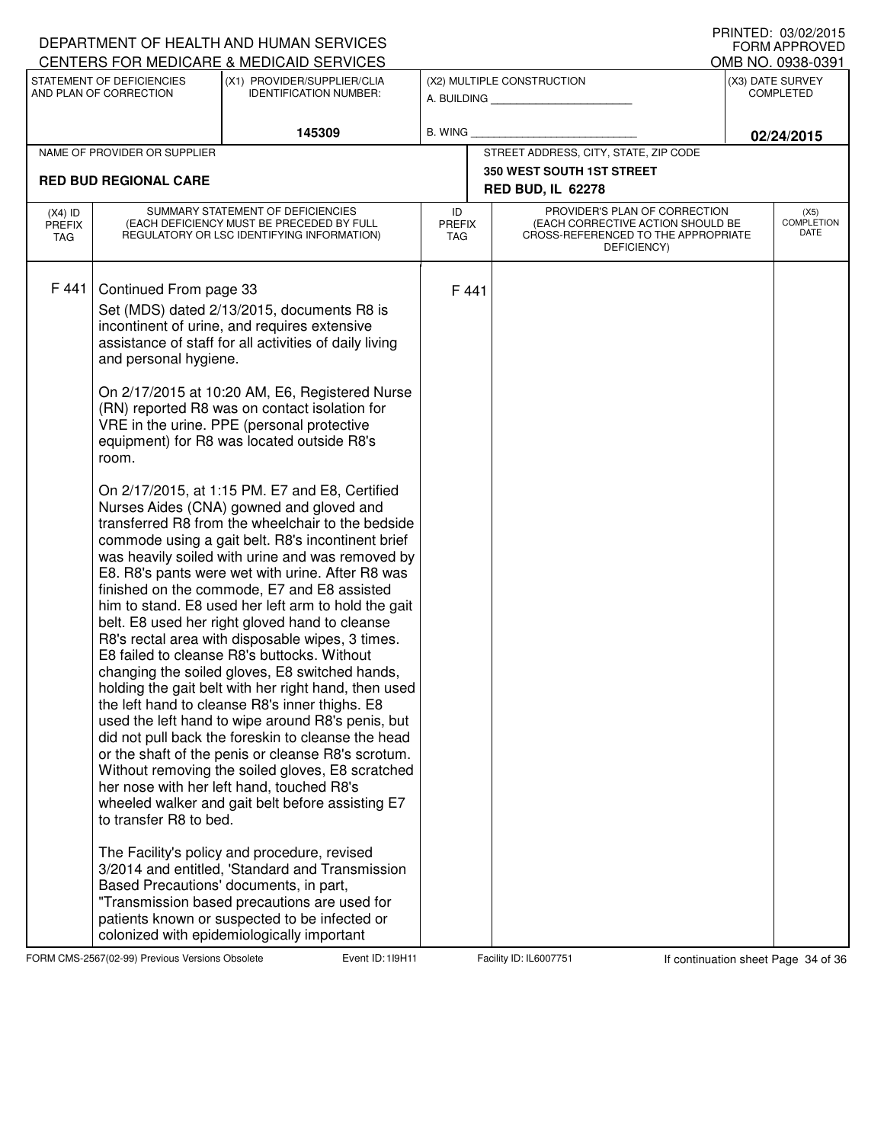| DEPARTMENT OF HEALTH AND HUMAN SERVICES | I INNILD. VJ/VZ/ZVIJ<br>FORM APPROVED<br>OMB NO. 0938-0391                         |                                                                                                                                                                                                                                                                                                                                                                                                                                                                                                                                                                                                                                                                                                                                                                                                                                                                                                                                                                                                                                                                                                                                                                                                                                                                                                                                                                                                                                                                                                                                                                                                                                                                                                              |                                   |       |                                                                                                                          |                                      |                                   |
|-----------------------------------------|------------------------------------------------------------------------------------|--------------------------------------------------------------------------------------------------------------------------------------------------------------------------------------------------------------------------------------------------------------------------------------------------------------------------------------------------------------------------------------------------------------------------------------------------------------------------------------------------------------------------------------------------------------------------------------------------------------------------------------------------------------------------------------------------------------------------------------------------------------------------------------------------------------------------------------------------------------------------------------------------------------------------------------------------------------------------------------------------------------------------------------------------------------------------------------------------------------------------------------------------------------------------------------------------------------------------------------------------------------------------------------------------------------------------------------------------------------------------------------------------------------------------------------------------------------------------------------------------------------------------------------------------------------------------------------------------------------------------------------------------------------------------------------------------------------|-----------------------------------|-------|--------------------------------------------------------------------------------------------------------------------------|--------------------------------------|-----------------------------------|
|                                         | STATEMENT OF DEFICIENCIES<br>AND PLAN OF CORRECTION                                | CENTERS FOR MEDICARE & MEDICAID SERVICES<br>(X1) PROVIDER/SUPPLIER/CLIA<br><b>IDENTIFICATION NUMBER:</b>                                                                                                                                                                                                                                                                                                                                                                                                                                                                                                                                                                                                                                                                                                                                                                                                                                                                                                                                                                                                                                                                                                                                                                                                                                                                                                                                                                                                                                                                                                                                                                                                     |                                   |       | (X2) MULTIPLE CONSTRUCTION<br>A. BUILDING                                                                                | (X3) DATE SURVEY<br><b>COMPLETED</b> |                                   |
|                                         |                                                                                    | 145309                                                                                                                                                                                                                                                                                                                                                                                                                                                                                                                                                                                                                                                                                                                                                                                                                                                                                                                                                                                                                                                                                                                                                                                                                                                                                                                                                                                                                                                                                                                                                                                                                                                                                                       | B. WING                           |       |                                                                                                                          | 02/24/2015                           |                                   |
|                                         | NAME OF PROVIDER OR SUPPLIER                                                       |                                                                                                                                                                                                                                                                                                                                                                                                                                                                                                                                                                                                                                                                                                                                                                                                                                                                                                                                                                                                                                                                                                                                                                                                                                                                                                                                                                                                                                                                                                                                                                                                                                                                                                              |                                   |       | STREET ADDRESS, CITY, STATE, ZIP CODE                                                                                    |                                      |                                   |
|                                         | <b>RED BUD REGIONAL CARE</b>                                                       |                                                                                                                                                                                                                                                                                                                                                                                                                                                                                                                                                                                                                                                                                                                                                                                                                                                                                                                                                                                                                                                                                                                                                                                                                                                                                                                                                                                                                                                                                                                                                                                                                                                                                                              |                                   |       | <b>350 WEST SOUTH 1ST STREET</b>                                                                                         |                                      |                                   |
|                                         |                                                                                    |                                                                                                                                                                                                                                                                                                                                                                                                                                                                                                                                                                                                                                                                                                                                                                                                                                                                                                                                                                                                                                                                                                                                                                                                                                                                                                                                                                                                                                                                                                                                                                                                                                                                                                              |                                   |       | <b>RED BUD, IL 62278</b>                                                                                                 |                                      |                                   |
| $(X4)$ ID<br><b>PREFIX</b><br>TAG       |                                                                                    | SUMMARY STATEMENT OF DEFICIENCIES<br>(EACH DEFICIENCY MUST BE PRECEDED BY FULL<br>REGULATORY OR LSC IDENTIFYING INFORMATION)                                                                                                                                                                                                                                                                                                                                                                                                                                                                                                                                                                                                                                                                                                                                                                                                                                                                                                                                                                                                                                                                                                                                                                                                                                                                                                                                                                                                                                                                                                                                                                                 | ID<br><b>PREFIX</b><br><b>TAG</b> |       | PROVIDER'S PLAN OF CORRECTION<br>(EACH CORRECTIVE ACTION SHOULD BE<br>CROSS-REFERENCED TO THE APPROPRIATE<br>DEFICIENCY) |                                      | (X5)<br><b>COMPLETION</b><br>DATE |
| F441                                    | Continued From page 33<br>and personal hygiene.<br>room.<br>to transfer R8 to bed. | Set (MDS) dated 2/13/2015, documents R8 is<br>incontinent of urine, and requires extensive<br>assistance of staff for all activities of daily living<br>On 2/17/2015 at 10:20 AM, E6, Registered Nurse<br>(RN) reported R8 was on contact isolation for<br>VRE in the urine. PPE (personal protective<br>equipment) for R8 was located outside R8's<br>On 2/17/2015, at 1:15 PM. E7 and E8, Certified<br>Nurses Aides (CNA) gowned and gloved and<br>transferred R8 from the wheelchair to the bedside<br>commode using a gait belt. R8's incontinent brief<br>was heavily soiled with urine and was removed by<br>E8. R8's pants were wet with urine. After R8 was<br>finished on the commode, E7 and E8 assisted<br>him to stand. E8 used her left arm to hold the gait<br>belt. E8 used her right gloved hand to cleanse<br>R8's rectal area with disposable wipes, 3 times.<br>E8 failed to cleanse R8's buttocks. Without<br>changing the soiled gloves, E8 switched hands,<br>holding the gait belt with her right hand, then used<br>the left hand to cleanse R8's inner thighs. E8<br>used the left hand to wipe around R8's penis, but<br>did not pull back the foreskin to cleanse the head<br>or the shaft of the penis or cleanse R8's scrotum.<br>Without removing the soiled gloves, E8 scratched<br>her nose with her left hand, touched R8's<br>wheeled walker and gait belt before assisting E7<br>The Facility's policy and procedure, revised<br>3/2014 and entitled, 'Standard and Transmission<br>Based Precautions' documents, in part,<br>"Transmission based precautions are used for<br>patients known or suspected to be infected or<br>colonized with epidemiologically important |                                   | F 441 |                                                                                                                          |                                      |                                   |

FORM CMS-2567(02-99) Previous Versions Obsolete **119H Event ID: 119H11** Facility ID: IL6007751 If continuation sheet Page 34 of 36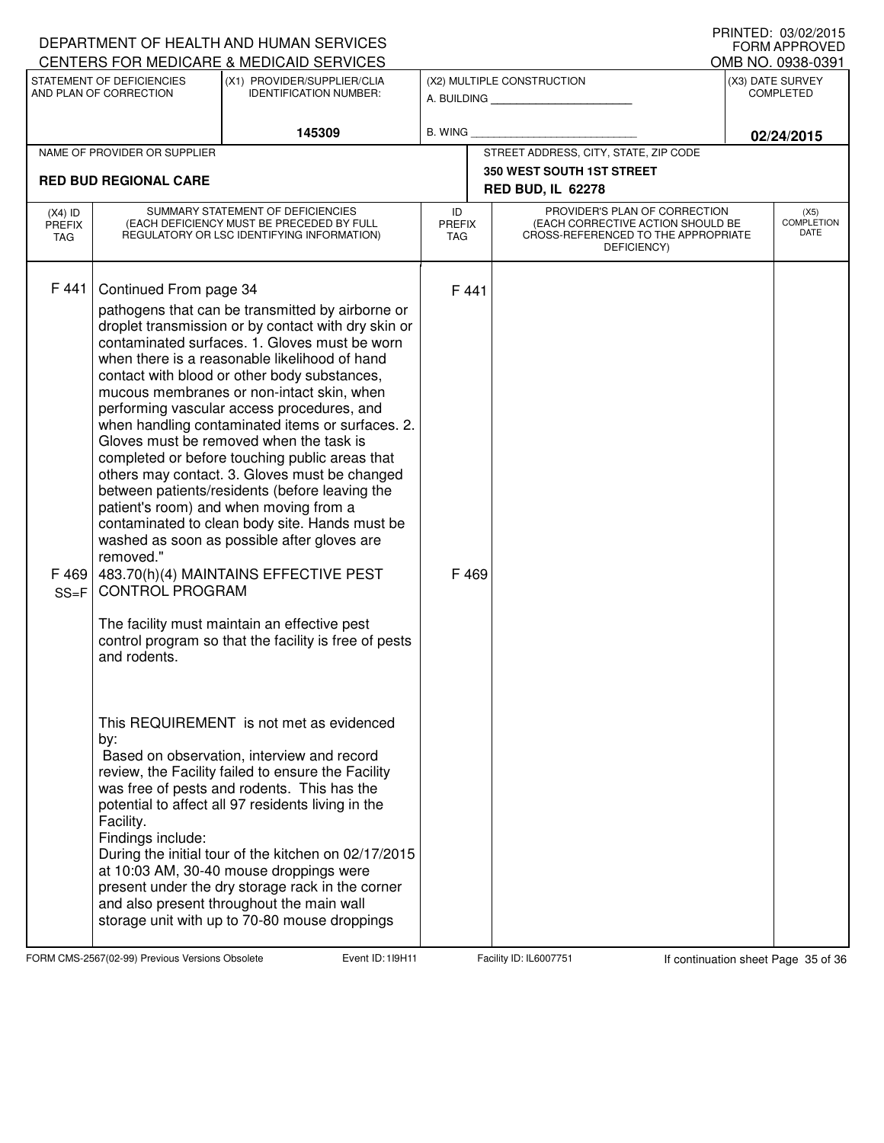|                                          |                                                                                                                              | DEPARTMENT OF HEALTH AND HUMAN SERVICES<br>CENTERS FOR MEDICARE & MEDICAID SERVICES                                                                                                                                                                                                                                                                                                                                                                                                                                                                                                                                                                                                                                                                                                                                                                                                                   |                                   |                                                                                                                          |                                      | I INNILD. VJ/VZ/ZVIJ<br><b>FORM APPROVED</b><br>OMB NO. 0938-0391 |
|------------------------------------------|------------------------------------------------------------------------------------------------------------------------------|-------------------------------------------------------------------------------------------------------------------------------------------------------------------------------------------------------------------------------------------------------------------------------------------------------------------------------------------------------------------------------------------------------------------------------------------------------------------------------------------------------------------------------------------------------------------------------------------------------------------------------------------------------------------------------------------------------------------------------------------------------------------------------------------------------------------------------------------------------------------------------------------------------|-----------------------------------|--------------------------------------------------------------------------------------------------------------------------|--------------------------------------|-------------------------------------------------------------------|
|                                          | STATEMENT OF DEFICIENCIES<br>AND PLAN OF CORRECTION                                                                          | (X1) PROVIDER/SUPPLIER/CLIA<br><b>IDENTIFICATION NUMBER:</b>                                                                                                                                                                                                                                                                                                                                                                                                                                                                                                                                                                                                                                                                                                                                                                                                                                          |                                   | (X2) MULTIPLE CONSTRUCTION<br>A. BUILDING                                                                                | (X3) DATE SURVEY<br><b>COMPLETED</b> |                                                                   |
|                                          |                                                                                                                              | 145309                                                                                                                                                                                                                                                                                                                                                                                                                                                                                                                                                                                                                                                                                                                                                                                                                                                                                                | <b>B. WING</b>                    |                                                                                                                          |                                      | 02/24/2015                                                        |
|                                          | NAME OF PROVIDER OR SUPPLIER                                                                                                 |                                                                                                                                                                                                                                                                                                                                                                                                                                                                                                                                                                                                                                                                                                                                                                                                                                                                                                       |                                   | STREET ADDRESS, CITY, STATE, ZIP CODE                                                                                    |                                      |                                                                   |
| <b>RED BUD REGIONAL CARE</b>             |                                                                                                                              |                                                                                                                                                                                                                                                                                                                                                                                                                                                                                                                                                                                                                                                                                                                                                                                                                                                                                                       |                                   | <b>350 WEST SOUTH 1ST STREET</b><br><b>RED BUD, IL 62278</b>                                                             |                                      |                                                                   |
| $(X4)$ ID<br><b>PREFIX</b><br><b>TAG</b> | SUMMARY STATEMENT OF DEFICIENCIES<br>(EACH DEFICIENCY MUST BE PRECEDED BY FULL<br>REGULATORY OR LSC IDENTIFYING INFORMATION) |                                                                                                                                                                                                                                                                                                                                                                                                                                                                                                                                                                                                                                                                                                                                                                                                                                                                                                       | ID<br><b>PREFIX</b><br><b>TAG</b> | PROVIDER'S PLAN OF CORRECTION<br>(EACH CORRECTIVE ACTION SHOULD BE<br>CROSS-REFERENCED TO THE APPROPRIATE<br>DEFICIENCY) |                                      |                                                                   |
| F 441<br>F 469<br>$SS = F$               | Continued From page 34<br>removed."<br><b>CONTROL PROGRAM</b><br>and rodents.                                                | pathogens that can be transmitted by airborne or<br>droplet transmission or by contact with dry skin or<br>contaminated surfaces, 1. Gloves must be worn<br>when there is a reasonable likelihood of hand<br>contact with blood or other body substances,<br>mucous membranes or non-intact skin, when<br>performing vascular access procedures, and<br>when handling contaminated items or surfaces. 2.<br>Gloves must be removed when the task is<br>completed or before touching public areas that<br>others may contact. 3. Gloves must be changed<br>between patients/residents (before leaving the<br>patient's room) and when moving from a<br>contaminated to clean body site. Hands must be<br>washed as soon as possible after gloves are<br>483.70(h)(4) MAINTAINS EFFECTIVE PEST<br>The facility must maintain an effective pest<br>control program so that the facility is free of pests | F 441<br>F 469                    |                                                                                                                          |                                      |                                                                   |
|                                          | by:<br>Facility.<br>Findings include:                                                                                        | This REQUIREMENT is not met as evidenced<br>Based on observation, interview and record<br>review, the Facility failed to ensure the Facility<br>was free of pests and rodents. This has the<br>potential to affect all 97 residents living in the<br>During the initial tour of the kitchen on 02/17/2015<br>at 10:03 AM, 30-40 mouse droppings were<br>present under the dry storage rack in the corner<br>and also present throughout the main wall<br>storage unit with up to 70-80 mouse droppings                                                                                                                                                                                                                                                                                                                                                                                                |                                   |                                                                                                                          |                                      |                                                                   |

FORM CMS-2567(02-99) Previous Versions Obsolete 119H11 Event ID: 119H11 Facility ID: IL6007751 If continuation sheet Page 35 of 36